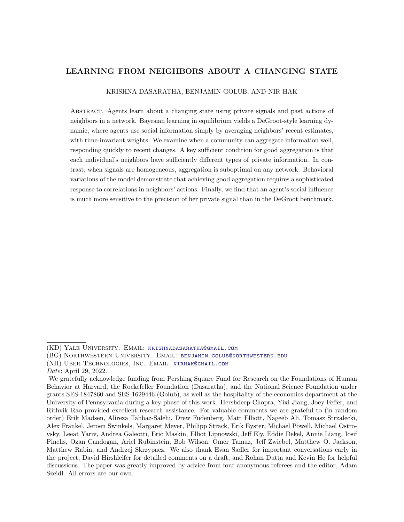# LEARNING FROM NEIGHBORS ABOUT A CHANGING STATE

#### KRISHNA DASARATHA, BENJAMIN GOLUB, AND NIR HAK

Abstract. Agents learn about a changing state using private signals and past actions of neighbors in a network. Bayesian learning in equilibrium yields a DeGroot-style learning dynamic, where agents use social information simply by averaging neighbors' recent estimates, with time-invariant weights. We examine when a community can aggregate information well, responding quickly to recent changes. A key sufficient condition for good aggregation is that each individual's neighbors have sufficiently different types of private information. In contrast, when signals are homogeneous, aggregation is suboptimal on any network. Behavioral variations of the model demonstrate that achieving good aggregation requires a sophisticated response to correlations in neighbors' actions. Finally, we find that an agent's social influence is much more sensitive to the precision of her private signal than in the DeGroot benchmark.

(NH) Uber Technologies, Inc. Email: [nirhak@gmail.com](mailto:nirhak%40gmail.com)

<sup>(</sup>KD) Yale University. Email: [krishnadasaratha@gmail.com](mailto:krishnadasaratha%40gmail.com)

<sup>(</sup>BG) Northwestern University. Email: [benjamin.golub@northwestern.edu](mailto:benjamin.golub%40northwestern.edu)

Date: April 29, 2022.

We gratefully acknowledge funding from Pershing Square Fund for Research on the Foundations of Human Behavior at Harvard, the Rockefeller Foundation (Dasaratha), and the National Science Foundation under grants SES-1847860 and SES-1629446 (Golub), as well as the hospitality of the economics department at the University of Pennsylvania during a key phase of this work. Hershdeep Chopra, Yixi Jiang, Joey Feffer, and Rithvik Rao provided excellent research assistance. For valuable comments we are grateful to (in random order) Erik Madsen, Alireza Tahbaz-Salehi, Drew Fudenberg, Matt Elliott, Nageeb Ali, Tomasz Strzalecki, Alex Frankel, Jeroen Swinkels, Margaret Meyer, Philipp Strack, Erik Eyster, Michael Powell, Michael Ostrovsky, Leeat Yariv, Andrea Galeotti, Eric Maskin, Elliot Lipnowski, Jeff Ely, Eddie Dekel, Annie Liang, Iosif Pinelis, Ozan Candogan, Ariel Rubinstein, Bob Wilson, Omer Tamuz, Jeff Zwiebel, Matthew O. Jackson, Matthew Rabin, and Andrzej Skrzypacz. We also thank Evan Sadler for important conversations early in the project, David Hirshleifer for detailed comments on a draft, and Rohan Dutta and Kevin He for helpful discussions. The paper was greatly improved by advice from four anonymous referees and the editor, Adam Szeidl. All errors are our own.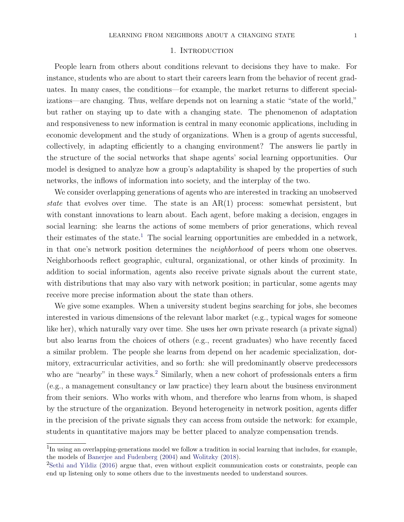## 1. INTRODUCTION

People learn from others about conditions relevant to decisions they have to make. For instance, students who are about to start their careers learn from the behavior of recent graduates. In many cases, the conditions—for example, the market returns to different specializations—are changing. Thus, welfare depends not on learning a static "state of the world," but rather on staying up to date with a changing state. The phenomenon of adaptation and responsiveness to new information is central in many economic applications, including in economic development and the study of organizations. When is a group of agents successful, collectively, in adapting efficiently to a changing environment? The answers lie partly in the structure of the social networks that shape agents' social learning opportunities. Our model is designed to analyze how a group's adaptability is shaped by the properties of such networks, the inflows of information into society, and the interplay of the two.

We consider overlapping generations of agents who are interested in tracking an unobserved state that evolves over time. The state is an AR(1) process: somewhat persistent, but with constant innovations to learn about. Each agent, before making a decision, engages in social learning: she learns the actions of some members of prior generations, which reveal their estimates of the state.<sup>[1](#page-1-0)</sup> The social learning opportunities are embedded in a network, in that one's network position determines the neighborhood of peers whom one observes. Neighborhoods reflect geographic, cultural, organizational, or other kinds of proximity. In addition to social information, agents also receive private signals about the current state, with distributions that may also vary with network position; in particular, some agents may receive more precise information about the state than others.

We give some examples. When a university student begins searching for jobs, she becomes interested in various dimensions of the relevant labor market (e.g., typical wages for someone like her), which naturally vary over time. She uses her own private research (a private signal) but also learns from the choices of others (e.g., recent graduates) who have recently faced a similar problem. The people she learns from depend on her academic specialization, dormitory, extracurricular activities, and so forth: she will predominantly observe predecessors who are "nearby" in these ways.<sup>[2](#page-1-1)</sup> Similarly, when a new cohort of professionals enters a firm (e.g., a management consultancy or law practice) they learn about the business environment from their seniors. Who works with whom, and therefore who learns from whom, is shaped by the structure of the organization. Beyond heterogeneity in network position, agents differ in the precision of the private signals they can access from outside the network: for example, students in quantitative majors may be better placed to analyze compensation trends.

<span id="page-1-0"></span> $1$ In using an overlapping-generations model we follow a tradition in social learning that includes, for example, the models of [Banerjee and Fudenberg](#page-35-0) [\(2004\)](#page-35-0) and [Wolitzky](#page-37-0) [\(2018\)](#page-37-0).

<span id="page-1-1"></span><sup>2</sup>[Sethi and Yildiz](#page-36-0) [\(2016\)](#page-36-0) argue that, even without explicit communication costs or constraints, people can end up listening only to some others due to the investments needed to understand sources.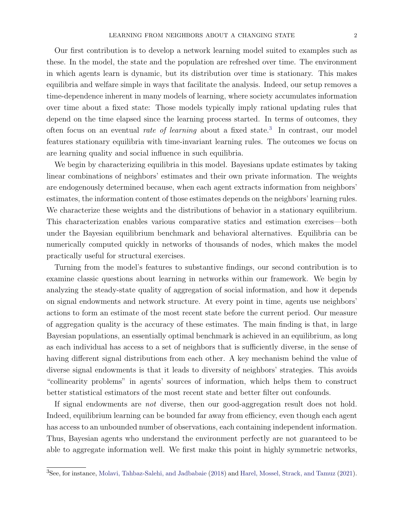Our first contribution is to develop a network learning model suited to examples such as these. In the model, the state and the population are refreshed over time. The environment in which agents learn is dynamic, but its distribution over time is stationary. This makes equilibria and welfare simple in ways that facilitate the analysis. Indeed, our setup removes a time-dependence inherent in many models of learning, where society accumulates information over time about a fixed state: Those models typically imply rational updating rules that depend on the time elapsed since the learning process started. In terms of outcomes, they often focus on an eventual *rate of learning* about a fixed state.<sup>[3](#page-2-0)</sup> In contrast, our model features stationary equilibria with time-invariant learning rules. The outcomes we focus on are learning quality and social influence in such equilibria.

We begin by characterizing equilibria in this model. Bayesians update estimates by taking linear combinations of neighbors' estimates and their own private information. The weights are endogenously determined because, when each agent extracts information from neighbors' estimates, the information content of those estimates depends on the neighbors' learning rules. We characterize these weights and the distributions of behavior in a stationary equilibrium. This characterization enables various comparative statics and estimation exercises—both under the Bayesian equilibrium benchmark and behavioral alternatives. Equilibria can be numerically computed quickly in networks of thousands of nodes, which makes the model practically useful for structural exercises.

Turning from the model's features to substantive findings, our second contribution is to examine classic questions about learning in networks within our framework. We begin by analyzing the steady-state quality of aggregation of social information, and how it depends on signal endowments and network structure. At every point in time, agents use neighbors' actions to form an estimate of the most recent state before the current period. Our measure of aggregation quality is the accuracy of these estimates. The main finding is that, in large Bayesian populations, an essentially optimal benchmark is achieved in an equilibrium, as long as each individual has access to a set of neighbors that is sufficiently diverse, in the sense of having different signal distributions from each other. A key mechanism behind the value of diverse signal endowments is that it leads to diversity of neighbors' strategies. This avoids "collinearity problems" in agents' sources of information, which helps them to construct better statistical estimators of the most recent state and better filter out confounds.

If signal endowments are not diverse, then our good-aggregation result does not hold. Indeed, equilibrium learning can be bounded far away from efficiency, even though each agent has access to an unbounded number of observations, each containing independent information. Thus, Bayesian agents who understand the environment perfectly are not guaranteed to be able to aggregate information well. We first make this point in highly symmetric networks,

<span id="page-2-0"></span><sup>3</sup>See, for instance, [Molavi, Tahbaz-Salehi, and Jadbabaie](#page-36-1) [\(2018\)](#page-36-1) and [Harel, Mossel, Strack, and Tamuz](#page-36-2) [\(2021\)](#page-36-2).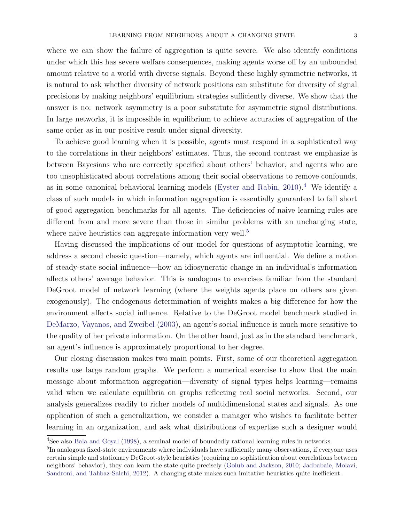where we can show the failure of aggregation is quite severe. We also identify conditions under which this has severe welfare consequences, making agents worse off by an unbounded amount relative to a world with diverse signals. Beyond these highly symmetric networks, it is natural to ask whether diversity of network positions can substitute for diversity of signal precisions by making neighbors' equilibrium strategies sufficiently diverse. We show that the answer is no: network asymmetry is a poor substitute for asymmetric signal distributions. In large networks, it is impossible in equilibrium to achieve accuracies of aggregation of the same order as in our positive result under signal diversity.

To achieve good learning when it is possible, agents must respond in a sophisticated way to the correlations in their neighbors' estimates. Thus, the second contrast we emphasize is between Bayesians who are correctly specified about others' behavior, and agents who are too unsophisticated about correlations among their social observations to remove confounds, as in some canonical behavioral learning models [\(Eyster and Rabin,](#page-35-1) [2010\)](#page-35-1).<sup>[4](#page-3-0)</sup> We identify a class of such models in which information aggregation is essentially guaranteed to fall short of good aggregation benchmarks for all agents. The deficiencies of naive learning rules are different from and more severe than those in similar problems with an unchanging state, where naive heuristics can aggregate information very well.<sup>[5](#page-3-1)</sup>

Having discussed the implications of our model for questions of asymptotic learning, we address a second classic question—namely, which agents are influential. We define a notion of steady-state social influence—how an idiosyncratic change in an individual's information affects others' average behavior. This is analogous to exercises familiar from the standard DeGroot model of network learning (where the weights agents place on others are given exogenously). The endogenous determination of weights makes a big difference for how the environment affects social influence. Relative to the DeGroot model benchmark studied in [DeMarzo, Vayanos, and Zweibel](#page-35-2) [\(2003\)](#page-35-2), an agent's social influence is much more sensitive to the quality of her private information. On the other hand, just as in the standard benchmark, an agent's influence is approximately proportional to her degree.

Our closing discussion makes two main points. First, some of our theoretical aggregation results use large random graphs. We perform a numerical exercise to show that the main message about information aggregation—diversity of signal types helps learning—remains valid when we calculate equilibria on graphs reflecting real social networks. Second, our analysis generalizes readily to richer models of multidimensional states and signals. As one application of such a generalization, we consider a manager who wishes to facilitate better learning in an organization, and ask what distributions of expertise such a designer would

<span id="page-3-0"></span><sup>&</sup>lt;sup>4</sup>See also [Bala and Goyal](#page-35-3) [\(1998\)](#page-35-3), a seminal model of boundedly rational learning rules in networks.

<span id="page-3-1"></span> $^{5}$ In analogous fixed-state environments where individuals have sufficiently many observations, if everyone uses certain simple and stationary DeGroot-style heuristics (requiring no sophistication about correlations between neighbors' behavior), they can learn the state quite precisely [\(Golub and Jackson,](#page-36-3) [2010;](#page-36-3) [Jadbabaie, Molavi,](#page-36-4) [Sandroni, and Tahbaz-Salehi,](#page-36-4) [2012\)](#page-36-4). A changing state makes such imitative heuristics quite inefficient.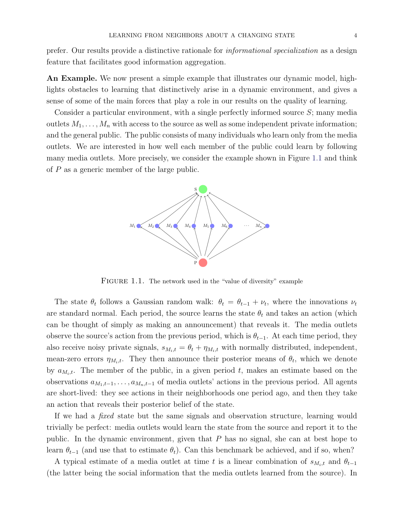prefer. Our results provide a distinctive rationale for informational specialization as a design feature that facilitates good information aggregation.

An Example. We now present a simple example that illustrates our dynamic model, highlights obstacles to learning that distinctively arise in a dynamic environment, and gives a sense of some of the main forces that play a role in our results on the quality of learning.

<span id="page-4-0"></span>Consider a particular environment, with a single perfectly informed source S; many media outlets  $M_1, \ldots, M_n$  with access to the source as well as some independent private information; and the general public. The public consists of many individuals who learn only from the media outlets. We are interested in how well each member of the public could learn by following many media outlets. More precisely, we consider the example shown in Figure [1.1](#page-4-0) and think of  $P$  as a generic member of the large public.



FIGURE 1.1. The network used in the "value of diversity" example

The state  $\theta_t$  follows a Gaussian random walk:  $\theta_t = \theta_{t-1} + \nu_t$ , where the innovations  $\nu_t$ are standard normal. Each period, the source learns the state  $\theta_t$  and takes an action (which can be thought of simply as making an announcement) that reveals it. The media outlets observe the source's action from the previous period, which is  $\theta_{t-1}$ . At each time period, they also receive noisy private signals,  $s_{M_i,t} = \theta_t + \eta_{M_i,t}$  with normally distributed, independent, mean-zero errors  $\eta_{M_i,t}$ . They then announce their posterior means of  $\theta_t$ , which we denote by  $a_{M_i,t}$ . The member of the public, in a given period t, makes an estimate based on the observations  $a_{M_1,t-1}, \ldots, a_{M_n,t-1}$  of media outlets' actions in the previous period. All agents are short-lived: they see actions in their neighborhoods one period ago, and then they take an action that reveals their posterior belief of the state.

If we had a fixed state but the same signals and observation structure, learning would trivially be perfect: media outlets would learn the state from the source and report it to the public. In the dynamic environment, given that P has no signal, she can at best hope to learn  $\theta_{t-1}$  (and use that to estimate  $\theta_t$ ). Can this benchmark be achieved, and if so, when?

A typical estimate of a media outlet at time t is a linear combination of  $s_{M_i,t}$  and  $\theta_{t-1}$ (the latter being the social information that the media outlets learned from the source). In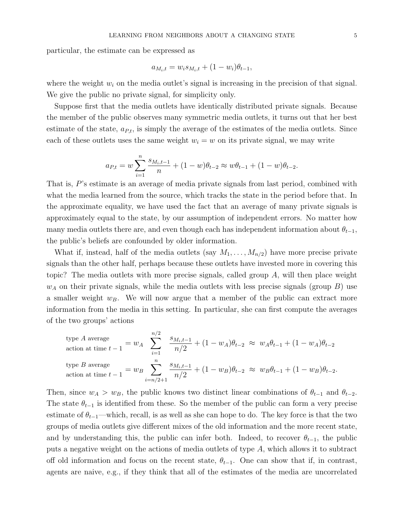particular, the estimate can be expressed as

$$
a_{M_i,t} = w_i s_{M_i,t} + (1 - w_i) \theta_{t-1},
$$

where the weight  $w_i$  on the media outlet's signal is increasing in the precision of that signal. We give the public no private signal, for simplicity only.

Suppose first that the media outlets have identically distributed private signals. Because the member of the public observes many symmetric media outlets, it turns out that her best estimate of the state,  $a_{P,t}$ , is simply the average of the estimates of the media outlets. Since each of these outlets uses the same weight  $w<sub>i</sub> = w$  on its private signal, we may write

$$
a_{P,t} = w \sum_{i=1}^{n} \frac{s_{M_i, t-1}}{n} + (1 - w)\theta_{t-2} \approx w\theta_{t-1} + (1 - w)\theta_{t-2}.
$$

That is, P's estimate is an average of media private signals from last period, combined with what the media learned from the source, which tracks the state in the period before that. In the approximate equality, we have used the fact that an average of many private signals is approximately equal to the state, by our assumption of independent errors. No matter how many media outlets there are, and even though each has independent information about  $\theta_{t-1}$ , the public's beliefs are confounded by older information.

What if, instead, half of the media outlets (say  $M_1, \ldots, M_{n/2}$ ) have more precise private signals than the other half, perhaps because these outlets have invested more in covering this topic? The media outlets with more precise signals, called group  $A$ , will then place weight  $w_A$  on their private signals, while the media outlets with less precise signals (group B) use a smaller weight  $w_B$ . We will now argue that a member of the public can extract more information from the media in this setting. In particular, she can first compute the averages of the two groups' actions

type A average  
\naction at time 
$$
t-1 = w_A
$$
  $\sum_{i=1}^{n/2} \frac{s_{M_i,t-1}}{n/2} + (1 - w_A)\theta_{t-2} \approx w_A\theta_{t-1} + (1 - w_A)\theta_{t-2}$   
\ntype B average  
\naction at time  $t-1 = w_B \sum_{i=n/2+1}^{n} \frac{s_{M_i,t-1}}{n/2} + (1 - w_B)\theta_{t-2} \approx w_B\theta_{t-1} + (1 - w_B)\theta_{t-2}$ .

Then, since  $w_A > w_B$ , the public knows two distinct linear combinations of  $\theta_{t-1}$  and  $\theta_{t-2}$ . The state  $\theta_{t-1}$  is identified from these. So the member of the public can form a very precise estimate of  $\theta_{t-1}$ —which, recall, is as well as she can hope to do. The key force is that the two groups of media outlets give different mixes of the old information and the more recent state, and by understanding this, the public can infer both. Indeed, to recover  $\theta_{t-1}$ , the public puts a negative weight on the actions of media outlets of type A, which allows it to subtract off old information and focus on the recent state,  $\theta_{t-1}$ . One can show that if, in contrast, agents are naive, e.g., if they think that all of the estimates of the media are uncorrelated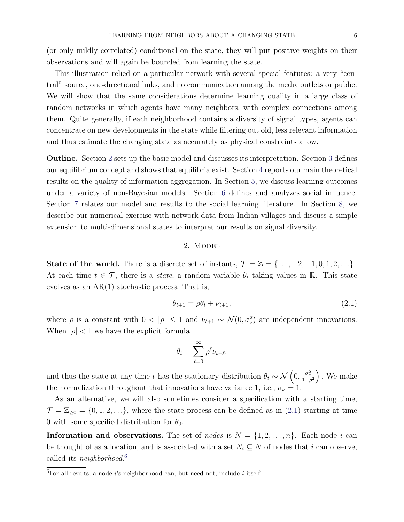(or only mildly correlated) conditional on the state, they will put positive weights on their observations and will again be bounded from learning the state.

This illustration relied on a particular network with several special features: a very "central" source, one-directional links, and no communication among the media outlets or public. We will show that the same considerations determine learning quality in a large class of random networks in which agents have many neighbors, with complex connections among them. Quite generally, if each neighborhood contains a diversity of signal types, agents can concentrate on new developments in the state while filtering out old, less relevant information and thus estimate the changing state as accurately as physical constraints allow.

Outline. Section [2](#page-6-0) sets up the basic model and discusses its interpretation. Section [3](#page-8-0) defines our equilibrium concept and shows that equilibria exist. Section [4](#page-12-0) reports our main theoretical results on the quality of information aggregation. In Section [5,](#page-23-0) we discuss learning outcomes under a variety of non-Bayesian models. Section [6](#page-26-0) defines and analyzes social influence. Section [7](#page-31-0) relates our model and results to the social learning literature. In Section [8,](#page-33-0) we describe our numerical exercise with network data from Indian villages and discuss a simple extension to multi-dimensional states to interpret our results on signal diversity.

## 2. MODEL

<span id="page-6-0"></span>State of the world. There is a discrete set of instants,  $\mathcal{T} = \mathbb{Z} = \{\ldots, -2, -1, 0, 1, 2, \ldots\}$ . At each time  $t \in \mathcal{T}$ , there is a *state*, a random variable  $\theta_t$  taking values in R. This state evolves as an  $AR(1)$  stochastic process. That is,

<span id="page-6-1"></span>
$$
\theta_{t+1} = \rho \theta_t + \nu_{t+1},\tag{2.1}
$$

where  $\rho$  is a constant with  $0 < |\rho| \leq 1$  and  $\nu_{t+1} \sim \mathcal{N}(0, \sigma_{\nu}^2)$  are independent innovations. When  $|\rho| < 1$  we have the explicit formula

$$
\theta_t = \sum_{\ell=0}^\infty \rho^\ell \nu_{t-\ell},
$$

and thus the state at any time t has the stationary distribution  $\theta_t \sim \mathcal{N}\left(0, \frac{\sigma_{\nu}^2}{1-\rho^2}\right)$ . We make the normalization throughout that innovations have variance 1, i.e.,  $\sigma_{\nu} = 1$ .

As an alternative, we will also sometimes consider a specification with a starting time,  $\mathcal{T} = \mathbb{Z}_{\geq 0} = \{0, 1, 2, \ldots\}$ , where the state process can be defined as in [\(2.1\)](#page-6-1) starting at time 0 with some specified distribution for  $\theta_0$ .

**Information and observations.** The set of nodes is  $N = \{1, 2, ..., n\}$ . Each node i can be thought of as a location, and is associated with a set  $N_i \subseteq N$  of nodes that i can observe, called its *neighborhood*.<sup>[6](#page-6-2)</sup>

<span id="page-6-2"></span> ${}^{6}$ For all results, a node *i*'s neighborhood can, but need not, include *i* itself.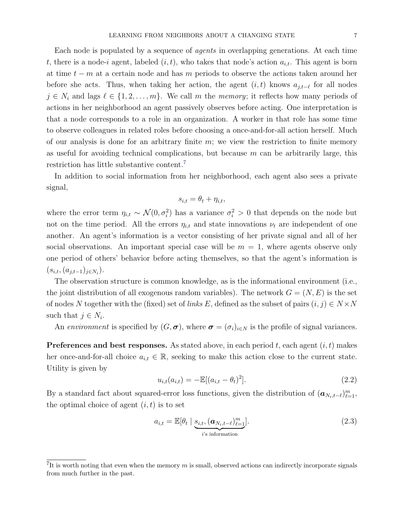Each node is populated by a sequence of agents in overlapping generations. At each time t, there is a node-i agent, labeled  $(i, t)$ , who takes that node's action  $a_{i,t}$ . This agent is born at time  $t - m$  at a certain node and has m periods to observe the actions taken around her before she acts. Thus, when taking her action, the agent  $(i, t)$  knows  $a_{j,t-\ell}$  for all nodes  $j \in N_i$  and lags  $\ell \in \{1, 2, \ldots, m\}$ . We call m the memory; it reflects how many periods of actions in her neighborhood an agent passively observes before acting. One interpretation is that a node corresponds to a role in an organization. A worker in that role has some time to observe colleagues in related roles before choosing a once-and-for-all action herself. Much of our analysis is done for an arbitrary finite m; we view the restriction to finite memory as useful for avoiding technical complications, but because  $m$  can be arbitrarily large, this restriction has little substantive content.[7](#page-7-0)

In addition to social information from her neighborhood, each agent also sees a private signal,

$$
s_{i,t} = \theta_t + \eta_{i,t},
$$

where the error term  $\eta_{i,t} \sim \mathcal{N}(0, \sigma_i^2)$  has a variance  $\sigma_i^2 > 0$  that depends on the node but not on the time period. All the errors  $\eta_{i,t}$  and state innovations  $\nu_t$  are independent of one another. An agent's information is a vector consisting of her private signal and all of her social observations. An important special case will be  $m = 1$ , where agents observe only one period of others' behavior before acting themselves, so that the agent's information is  $(s_{i,t}, (a_{j,t-1})_{j \in N_i}).$ 

The observation structure is common knowledge, as is the informational environment (i.e., the joint distribution of all exogenous random variables). The network  $G = (N, E)$  is the set of nodes N together with the (fixed) set of links E, defined as the subset of pairs  $(i, j) \in N \times N$ such that  $j \in N_i$ .

An environment is specified by  $(G, \sigma)$ , where  $\sigma = (\sigma_i)_{i \in N}$  is the profile of signal variances.

**Preferences and best responses.** As stated above, in each period  $t$ , each agent  $(i, t)$  makes her once-and-for-all choice  $a_{i,t} \in \mathbb{R}$ , seeking to make this action close to the current state. Utility is given by

<span id="page-7-2"></span>
$$
u_{i,t}(a_{i,t}) = -\mathbb{E}[(a_{i,t} - \theta_t)^2].
$$
\n(2.2)

By a standard fact about squared-error loss functions, given the distribution of  $(a_{N_i,t-\ell})_{\ell=1}^m$ , the optimal choice of agent  $(i, t)$  is to set

<span id="page-7-1"></span>
$$
a_{i,t} = \mathbb{E}[\theta_t \mid \underbrace{s_{i,t}, (\boldsymbol{a}_{N_i,t-\ell})_{\ell=1}^m}_{i \text{'s information}}].
$$
\n(2.3)

<span id="page-7-0"></span><sup>&</sup>lt;sup>7</sup>It is worth noting that even when the memory  $m$  is small, observed actions can indirectly incorporate signals from much further in the past.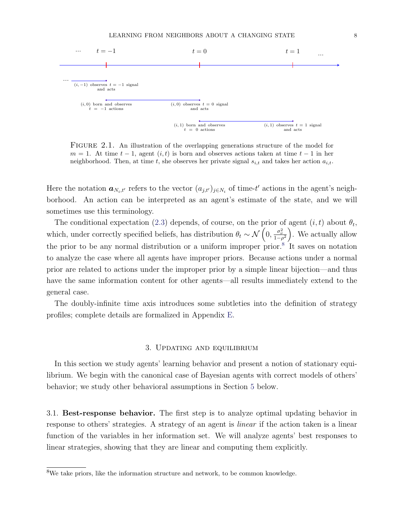

FIGURE 2.1. An illustration of the overlapping generations structure of the model for  $m = 1$ . At time  $t - 1$ , agent  $(i, t)$  is born and observes actions taken at time  $t - 1$  in her neighborhood. Then, at time t, she observes her private signal  $s_{i,t}$  and takes her action  $a_{i,t}$ .

Here the notation  $a_{N_i,t'}$  refers to the vector  $(a_{j,t'})_{j\in N_i}$  of time-t' actions in the agent's neighborhood. An action can be interpreted as an agent's estimate of the state, and we will sometimes use this terminology.

The conditional expectation [\(2.3\)](#page-7-1) depends, of course, on the prior of agent  $(i, t)$  about  $\theta_t$ , which, under correctly specified beliefs, has distribution  $\theta_t \sim \mathcal{N}\left(0, \frac{\sigma_{\nu}^2}{1-\rho^2}\right)$ . We actually allow the prior to be any normal distribution or a uniform improper prior.<sup>[8](#page-8-1)</sup> It saves on notation to analyze the case where all agents have improper priors. Because actions under a normal prior are related to actions under the improper prior by a simple linear bijection—and thus have the same information content for other agents—all results immediately extend to the general case.

The doubly-infinite time axis introduces some subtleties into the definition of strategy profiles; complete details are formalized in Appendix [E.](#page-55-0)

#### 3. Updating and equilibrium

<span id="page-8-0"></span>In this section we study agents' learning behavior and present a notion of stationary equilibrium. We begin with the canonical case of Bayesian agents with correct models of others' behavior; we study other behavioral assumptions in Section [5](#page-23-0) below.

<span id="page-8-2"></span>3.1. Best-response behavior. The first step is to analyze optimal updating behavior in response to others' strategies. A strategy of an agent is linear if the action taken is a linear function of the variables in her information set. We will analyze agents' best responses to linear strategies, showing that they are linear and computing them explicitly.

<span id="page-8-1"></span><sup>8</sup>We take priors, like the information structure and network, to be common knowledge.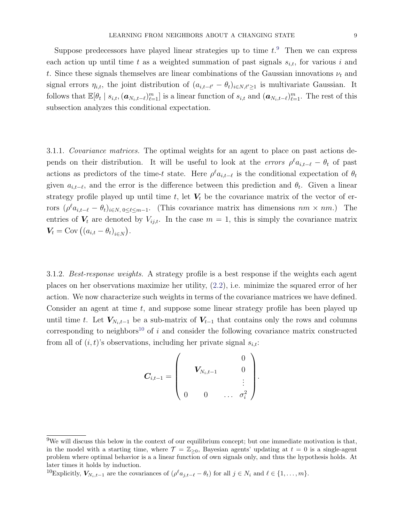Suppose predecessors have played linear strategies up to time  $t$ <sup>[9](#page-9-0)</sup>. Then we can express each action up until time t as a weighted summation of past signals  $s_{i,t}$ , for various i and t. Since these signals themselves are linear combinations of the Gaussian innovations  $\nu_t$  and signal errors  $\eta_{i,t}$ , the joint distribution of  $(a_{i,t-\ell'} - \theta_t)_{i \in N, \ell' \geq 1}$  is multivariate Gaussian. It follows that  $\mathbb{E}[\theta_t \mid s_{i,t},(\boldsymbol{a}_{N_i,t-\ell})_{\ell=1}^m]$  is a linear function of  $s_{i,t}$  and  $(\boldsymbol{a}_{N_i,t-\ell})_{\ell=1}^m$ . The rest of this subsection analyzes this conditional expectation.

3.1.1. Covariance matrices. The optimal weights for an agent to place on past actions depends on their distribution. It will be useful to look at the *errors*  $\rho^{\ell} a_{i,t-\ell} - \theta_t$  of past actions as predictors of the time-t state. Here  $\rho^{\ell} a_{i,t-\ell}$  is the conditional expectation of  $\theta_t$ given  $a_{i,t-\ell}$ , and the error is the difference between this prediction and  $\theta_t$ . Given a linear strategy profile played up until time t, let  $V_t$  be the covariance matrix of the vector of errors  $(\rho^{\ell}a_{i,t-\ell} - \theta_t)_{i \in N, 0 \leq \ell \leq m-1}$ . (This covariance matrix has dimensions  $nm \times nm$ .) The entries of  $V_t$  are denoted by  $V_{ij,t}$ . In the case  $m = 1$ , this is simply the covariance matrix  $V_t = \text{Cov} ((a_{i,t} - \theta_t)_{i \in N}).$ 

3.1.2. Best-response weights. A strategy profile is a best response if the weights each agent places on her observations maximize her utility, [\(2.2\)](#page-7-2), i.e. minimize the squared error of her action. We now characterize such weights in terms of the covariance matrices we have defined. Consider an agent at time  $t$ , and suppose some linear strategy profile has been played up until time t. Let  $V_{N_i,t-1}$  be a sub-matrix of  $V_{t-1}$  that contains only the rows and columns corresponding to neighbors<sup>[10](#page-9-1)</sup> of i and consider the following covariance matrix constructed from all of  $(i, t)$ 's observations, including her private signal  $s_{i,t}$ :

$$
\bm{C}_{i,t-1} = \begin{pmatrix} & & & 0 \\ & \bm{V}_{N_i,t-1} & & 0 \\ & & & \vdots \\ 0 & 0 & \ldots & \sigma_i^2 \end{pmatrix}.
$$

<span id="page-9-0"></span> $9W$ e will discuss this below in the context of our equilibrium concept; but one immediate motivation is that, in the model with a starting time, where  $\mathcal{T} = \mathbb{Z}_{\geq 0}$ , Bayesian agents' updating at  $t = 0$  is a single-agent problem where optimal behavior is a a linear function of own signals only, and thus the hypothesis holds. At later times it holds by induction.

<span id="page-9-1"></span><sup>&</sup>lt;sup>10</sup>Explicitly,  $V_{N_i,t-1}$  are the covariances of  $(\rho^{\ell} a_{j,t-\ell} - \theta_t)$  for all  $j \in N_i$  and  $\ell \in \{1, ..., m\}$ .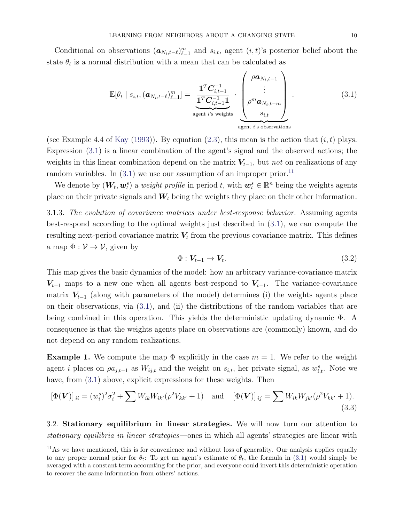Conditional on observations  $(a_{N_i,t-\ell})_{\ell=1}^m$  and  $s_{i,t}$ , agent  $(i, t)$ 's posterior belief about the state  $\theta_t$  is a normal distribution with a mean that can be calculated as

<span id="page-10-0"></span>
$$
\mathbb{E}[\theta_t \mid s_{i,t}, (\boldsymbol{a}_{N_i,t-\ell})_{\ell=1}^m] = \underbrace{\frac{\mathbf{1}^T \boldsymbol{C}_{i,t-1}^{-1}}{\mathbf{1}^T \boldsymbol{C}_{i,t-1}^{-1} \mathbf{1}}}_{\text{agent } i \text{'s weights}} \cdot \underbrace{\begin{pmatrix} \rho \boldsymbol{a}_{N_i,t-1} \\ \vdots \\ \rho^m \boldsymbol{a}_{N_i,t-m} \\ s_{i,t} \end{pmatrix}}_{\text{agent } i \text{'s observations}}.
$$
\n(3.1)

(see Example 4.4 of [Kay](#page-36-5) [\(1993\)](#page-36-5)). By equation [\(2.3\)](#page-7-1), this mean is the action that  $(i, t)$  plays. Expression [\(3.1\)](#page-10-0) is a linear combination of the agent's signal and the observed actions; the weights in this linear combination depend on the matrix  $V_{t-1}$ , but *not* on realizations of any random variables. In  $(3.1)$  we use our assumption of an improper prior.<sup>[11](#page-10-1)</sup>

We denote by  $(\bm{W}_t, \bm{w}_t^s)$  a *weight profile* in period t, with  $\bm{w}_t^s \in \mathbb{R}^n$  being the weights agents place on their private signals and  $W_t$  being the weights they place on their other information.

<span id="page-10-4"></span>3.1.3. The evolution of covariance matrices under best-response behavior. Assuming agents best-respond according to the optimal weights just described in [\(3.1\)](#page-10-0), we can compute the resulting next-period covariance matrix  $V_t$  from the previous covariance matrix. This defines a map  $\Phi : \mathcal{V} \to \mathcal{V}$ , given by

$$
\Phi: V_{t-1} \mapsto V_t. \tag{3.2}
$$

This map gives the basic dynamics of the model: how an arbitrary variance-covariance matrix  $V_{t-1}$  maps to a new one when all agents best-respond to  $V_{t-1}$ . The variance-covariance matrix  $V_{t-1}$  (along with parameters of the model) determines (i) the weights agents place on their observations, via [\(3.1\)](#page-10-0), and (ii) the distributions of the random variables that are being combined in this operation. This yields the deterministic updating dynamic Φ. A consequence is that the weights agents place on observations are (commonly) known, and do not depend on any random realizations.

<span id="page-10-2"></span>**Example 1.** We compute the map  $\Phi$  explicitly in the case  $m = 1$ . We refer to the weight agent *i* places on  $\varphi a_{j,t-1}$  as  $W_{ij,t}$  and the weight on  $s_{i,t}$ , her private signal, as  $w_{i,t}^s$ . Note we have, from  $(3.1)$  above, explicit expressions for these weights. Then

<span id="page-10-3"></span>
$$
[\Phi(\mathbf{V})]_{ii} = (w_i^s)^2 \sigma_i^2 + \sum W_{ik} W_{ik'} (\rho^2 V_{kk'} + 1) \text{ and } [\Phi(\mathbf{V})]_{ij} = \sum W_{ik} W_{jk'} (\rho^2 V_{kk'} + 1).
$$
\n(3.3)

3.2. Stationary equilibrium in linear strategies. We will now turn our attention to stationary equilibria in linear strategies—ones in which all agents' strategies are linear with

<span id="page-10-1"></span> $11\text{As}$  we have mentioned, this is for convenience and without loss of generality. Our analysis applies equally to any proper normal prior for  $\theta_t$ : To get an agent's estimate of  $\theta_t$ , the formula in [\(3.1\)](#page-10-0) would simply be averaged with a constant term accounting for the prior, and everyone could invert this deterministic operation to recover the same information from others' actions.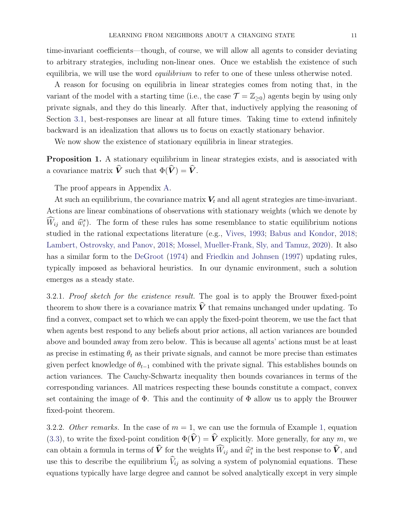time-invariant coefficients—though, of course, we will allow all agents to consider deviating to arbitrary strategies, including non-linear ones. Once we establish the existence of such equilibria, we will use the word *equilibrium* to refer to one of these unless otherwise noted.

A reason for focusing on equilibria in linear strategies comes from noting that, in the variant of the model with a starting time (i.e., the case  $\mathcal{T} = \mathbb{Z}_{\geq 0}$ ) agents begin by using only private signals, and they do this linearly. After that, inductively applying the reasoning of Section [3.1,](#page-8-2) best-responses are linear at all future times. Taking time to extend infinitely backward is an idealization that allows us to focus on exactly stationary behavior.

We now show the existence of stationary equilibria in linear strategies.

<span id="page-11-0"></span>Proposition 1. A stationary equilibrium in linear strategies exists, and is associated with a covariance matrix  $\hat{V}$  such that  $\Phi(\hat{V}) = \hat{V}$ .

The proof appears in Appendix [A.](#page-37-1)

At such an equilibrium, the covariance matrix  $V_t$  and all agent strategies are time-invariant. Actions are linear combinations of observations with stationary weights (which we denote by  $\widehat{W}_{ij}$  and  $\widehat{w}_i^s$ ). The form of these rules has some resemblance to static equilibrium notions studied in the rational expectations literature (e.g., [Vives,](#page-37-2) [1993;](#page-37-2) [Babus and Kondor,](#page-35-4) [2018;](#page-35-4) [Lambert, Ostrovsky, and Panov,](#page-36-6) [2018;](#page-36-6) [Mossel, Mueller-Frank, Sly, and Tamuz,](#page-36-7) [2020\)](#page-36-7). It also has a similar form to the [DeGroot](#page-35-5) [\(1974\)](#page-35-5) and [Friedkin and Johnsen](#page-35-6) [\(1997\)](#page-35-6) updating rules, typically imposed as behavioral heuristics. In our dynamic environment, such a solution emerges as a steady state.

3.2.1. Proof sketch for the existence result. The goal is to apply the Brouwer fixed-point theorem to show there is a covariance matrix  $\hat{V}$  that remains unchanged under updating. To find a convex, compact set to which we can apply the fixed-point theorem, we use the fact that when agents best respond to any beliefs about prior actions, all action variances are bounded above and bounded away from zero below. This is because all agents' actions must be at least as precise in estimating  $\theta_t$  as their private signals, and cannot be more precise than estimates given perfect knowledge of  $\theta_{t-1}$  combined with the private signal. This establishes bounds on action variances. The Cauchy-Schwartz inequality then bounds covariances in terms of the corresponding variances. All matrices respecting these bounds constitute a compact, convex set containing the image of  $\Phi$ . This and the continuity of  $\Phi$  allow us to apply the Brouwer fixed-point theorem.

3.2.2. Other remarks. In the case of  $m = 1$ , we can use the formula of Example [1,](#page-10-2) equation [\(3.3\)](#page-10-3), to write the fixed-point condition  $\Phi(\hat{\mathbf{V}}) = \hat{\mathbf{V}}$  explicitly. More generally, for any m, we can obtain a formula in terms of  $\hat{V}$  for the weights  $\hat{W}_{ij}$  and  $\hat{w}_i^s$  in the best response to  $\hat{V}$ , and use this to describe the equilibrium  $\hat{V}_{ij}$  as solving a system of polynomial equations. These equations typically have large degree and cannot be solved analytically except in very simple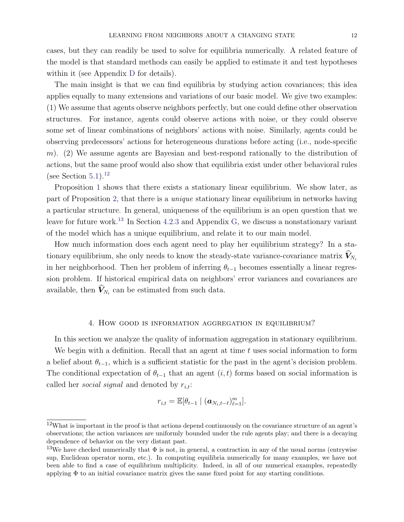cases, but they can readily be used to solve for equilibria numerically. A related feature of the model is that standard methods can easily be applied to estimate it and test hypotheses within it (see Appendix [D](#page-53-0) for details).

The main insight is that we can find equilibria by studying action covariances; this idea applies equally to many extensions and variations of our basic model. We give two examples: (1) We assume that agents observe neighbors perfectly, but one could define other observation structures. For instance, agents could observe actions with noise, or they could observe some set of linear combinations of neighbors' actions with noise. Similarly, agents could be observing predecessors' actions for heterogeneous durations before acting (i.e., node-specific m). (2) We assume agents are Bayesian and best-respond rationally to the distribution of actions, but the same proof would also show that equilibria exist under other behavioral rules (see Section  $5.1$ ).<sup>[12](#page-12-1)</sup>

Proposition [1](#page-11-0) shows that there exists a stationary linear equilibrium. We show later, as part of Proposition [2,](#page-19-0) that there is a unique stationary linear equilibrium in networks having a particular structure. In general, uniqueness of the equilibrium is an open question that we leave for future work.<sup>[13](#page-12-2)</sup> In Section [4.2.3](#page-18-0) and Appendix [G,](#page-69-0) we discuss a nonstationary variant of the model which has a unique equilibrium, and relate it to our main model.

How much information does each agent need to play her equilibrium strategy? In a stationary equilibrium, she only needs to know the steady-state variance-covariance matrix  $\hat{V}_{N_i}$ in her neighborhood. Then her problem of inferring  $\theta_{t-1}$  becomes essentially a linear regression problem. If historical empirical data on neighbors' error variances and covariances are available, then  $V_{N_i}$  can be estimated from such data.

# 4. How good is information aggregation in equilibrium?

<span id="page-12-0"></span>In this section we analyze the quality of information aggregation in stationary equilibrium.

We begin with a definition. Recall that an agent at time  $t$  uses social information to form a belief about  $\theta_{t-1}$ , which is a sufficient statistic for the past in the agent's decision problem. The conditional expectation of  $\theta_{t-1}$  that an agent  $(i, t)$  forms based on social information is called her *social signal* and denoted by  $r_{i,t}$ :

$$
r_{i,t} = \mathbb{E}[\theta_{t-1} \mid (\boldsymbol{a}_{N_i,t-\ell})_{\ell=1}^m].
$$

<span id="page-12-1"></span><sup>&</sup>lt;sup>12</sup>What is important in the proof is that actions depend continuously on the covariance structure of an agent's observations; the action variances are uniformly bounded under the rule agents play; and there is a decaying dependence of behavior on the very distant past.

<span id="page-12-2"></span><sup>&</sup>lt;sup>13</sup>We have checked numerically that  $\Phi$  is not, in general, a contraction in any of the usual norms (entrywise sup, Euclidean operator norm, etc.). In computing equilibria numerically for many examples, we have not been able to find a case of equilibrium multiplicity. Indeed, in all of our numerical examples, repeatedly applying  $\Phi$  to an initial covariance matrix gives the same fixed point for any starting conditions.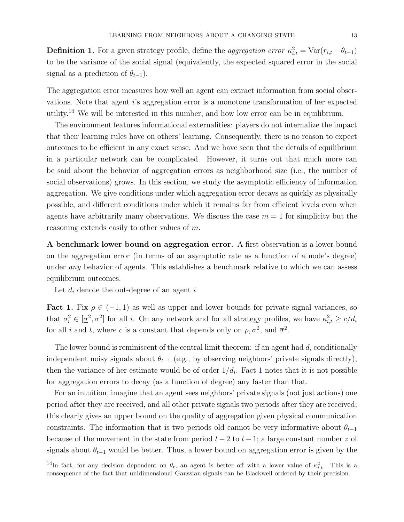**Definition 1.** For a given strategy profile, define the *aggregation error*  $\kappa_{i,t}^2 = \text{Var}(r_{i,t} - \theta_{t-1})$ to be the variance of the social signal (equivalently, the expected squared error in the social signal as a prediction of  $\theta_{t-1}$ ).

The aggregation error measures how well an agent can extract information from social observations. Note that agent i's aggregation error is a monotone transformation of her expected utility.[14](#page-13-0) We will be interested in this number, and how low error can be in equilibrium.

The environment features informational externalities: players do not internalize the impact that their learning rules have on others' learning. Consequently, there is no reason to expect outcomes to be efficient in any exact sense. And we have seen that the details of equilibrium in a particular network can be complicated. However, it turns out that much more can be said about the behavior of aggregation errors as neighborhood size (i.e., the number of social observations) grows. In this section, we study the asymptotic efficiency of information aggregation. We give conditions under which aggregation error decays as quickly as physically possible, and different conditions under which it remains far from efficient levels even when agents have arbitrarily many observations. We discuss the case  $m = 1$  for simplicity but the reasoning extends easily to other values of m.

A benchmark lower bound on aggregation error. A first observation is a lower bound on the aggregation error (in terms of an asymptotic rate as a function of a node's degree) under *any* behavior of agents. This establishes a benchmark relative to which we can assess equilibrium outcomes.

Let  $d_i$  denote the out-degree of an agent i.

<span id="page-13-1"></span>Fact 1. Fix  $\rho \in (-1, 1)$  as well as upper and lower bounds for private signal variances, so that  $\sigma_i^2 \in [\underline{\sigma}^2, \overline{\sigma}^2]$  for all *i*. On any network and for all strategy profiles, we have  $\kappa_{i,t}^2 \ge c/d_i$ for all i and t, where c is a constant that depends only on  $\rho, \underline{\sigma}^2$ , and  $\overline{\sigma}^2$ .

The lower bound is reminiscent of the central limit theorem: if an agent had  $d_i$  conditionally independent noisy signals about  $\theta_{t-1}$  (e.g., by observing neighbors' private signals directly), then the variance of her estimate would be of order  $1/d_i$  $1/d_i$ . Fact 1 notes that it is not possible for aggregation errors to decay (as a function of degree) any faster than that.

For an intuition, imagine that an agent sees neighbors' private signals (not just actions) one period after they are received, and all other private signals two periods after they are received; this clearly gives an upper bound on the quality of aggregation given physical communication constraints. The information that is two periods old cannot be very informative about  $\theta_{t-1}$ because of the movement in the state from period  $t-2$  to  $t-1$ ; a large constant number z of signals about  $\theta_{t-1}$  would be better. Thus, a lower bound on aggregation error is given by the

<span id="page-13-0"></span><sup>&</sup>lt;sup>14</sup>In fact, for any decision dependent on  $\theta_t$ , an agent is better off with a lower value of  $\kappa_{i,t}^2$ . This is a consequence of the fact that unidimensional Gaussian signals can be Blackwell ordered by their precision.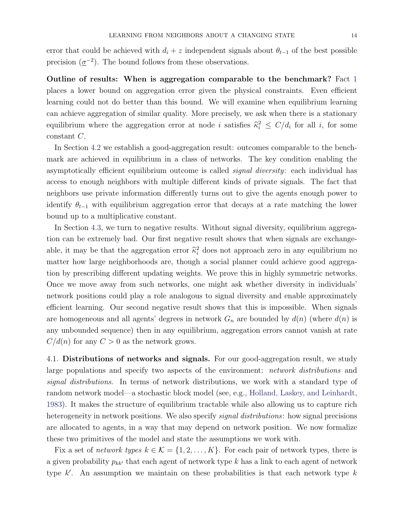error that could be achieved with  $d_i + z$  independent signals about  $\theta_{t-1}$  of the best possible precision  $(\underline{\sigma}^{-2})$ . The bound follows from these observations.

Outline of results: When is aggregation comparable to the benchmark? Fact [1](#page-13-1) places a lower bound on aggregation error given the physical constraints. Even efficient learning could not do better than this bound. We will examine when equilibrium learning can achieve aggregation of similar quality. More precisely, we ask when there is a stationary equilibrium where the aggregation error at node i satisfies  $\hat{\kappa}_i^2 \leq C/d_i$  for all i, for some constant C.

In Section [4.2](#page-15-0) we establish a good-aggregation result: outcomes comparable to the benchmark are achieved in equilibrium in a class of networks. The key condition enabling the asymptotically efficient equilibrium outcome is called *signal diversity*: each individual has access to enough neighbors with multiple different kinds of private signals. The fact that neighbors use private information differently turns out to give the agents enough power to identify  $\theta_{t-1}$  with equilibrium aggregation error that decays at a rate matching the lower bound up to a multiplicative constant.

In Section [4.3,](#page-19-1) we turn to negative results. Without signal diversity, equilibrium aggregation can be extremely bad. Our first negative result shows that when signals are exchangeable, it may be that the aggregation error  $\hat{\kappa}_i^2$  does not approach zero in any equilibrium no matter how large neighborhoods are, though a social planner could achieve good aggregation by prescribing different updating weights. We prove this in highly symmetric networks. Once we move away from such networks, one might ask whether diversity in individuals' network positions could play a role analogous to signal diversity and enable approximately efficient learning. Our second negative result shows that this is impossible. When signals are homogeneous and all agents' degrees in network  $G_n$  are bounded by  $d(n)$  (where  $d(n)$  is any unbounded sequence) then in any equilibrium, aggregation errors cannot vanish at rate  $C/d(n)$  for any  $C > 0$  as the network grows.

<span id="page-14-0"></span>4.1. Distributions of networks and signals. For our good-aggregation result, we study large populations and specify two aspects of the environment: *network distributions* and signal distributions. In terms of network distributions, we work with a standard type of random network model—a stochastic block model (see, e.g., [Holland, Laskey, and Leinhardt,](#page-36-8) [1983\)](#page-36-8). It makes the structure of equilibrium tractable while also allowing us to capture rich heterogeneity in network positions. We also specify *signal distributions*: how signal precisions are allocated to agents, in a way that may depend on network position. We now formalize these two primitives of the model and state the assumptions we work with.

Fix a set of network types  $k \in \mathcal{K} = \{1, 2, ..., K\}$ . For each pair of network types, there is a given probability  $p_{kk'}$  that each agent of network type k has a link to each agent of network type  $k'$ . An assumption we maintain on these probabilities is that each network type  $k$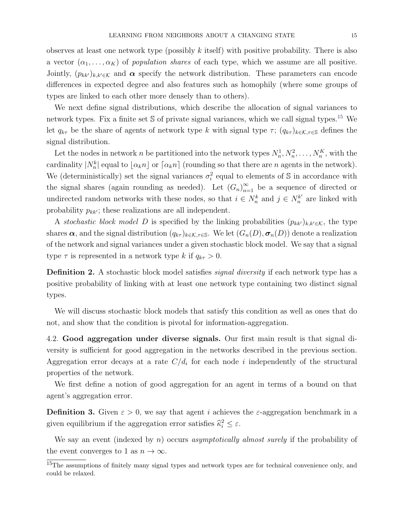observes at least one network type (possibly  $k$  itself) with positive probability. There is also a vector  $(\alpha_1, \ldots, \alpha_K)$  of population shares of each type, which we assume are all positive. Jointly,  $(p_{kk'})_{k,k'\in\mathcal{K}}$  and  $\alpha$  specify the network distribution. These parameters can encode differences in expected degree and also features such as homophily (where some groups of types are linked to each other more densely than to others).

We next define signal distributions, which describe the allocation of signal variances to network types. Fix a finite set S of private signal variances, which we call signal types.[15](#page-15-1) We let  $q_{k\tau}$  be the share of agents of network type k with signal type  $\tau$ ;  $(q_{k\tau})_{k\in\mathcal{K},\tau\in\mathcal{S}}$  defines the signal distribution.

Let the nodes in network n be partitioned into the network types  $N_n^1, N_n^2, \ldots, N_n^K$ , with the cardinality  $|N_n^k|$  equal to  $\lfloor \alpha_k n \rfloor$  or  $\lceil \alpha_k n \rceil$  (rounding so that there are n agents in the network). We (deterministically) set the signal variances  $\sigma_i^2$  equal to elements of S in accordance with the signal shares (again rounding as needed). Let  $(G_n)_{n=1}^{\infty}$  be a sequence of directed or undirected random networks with these nodes, so that  $i \in N_n^k$  and  $j \in N_n^{k'}$  $n^{k'}$  are linked with probability  $p_{kk'}$ ; these realizations are all independent.

A stochastic block model D is specified by the linking probabilities  $(p_{kk'})_{k,k'\in\mathcal{K}}$ , the type shares  $\alpha$ , and the signal distribution  $(q_{k\tau})_{k\in\mathcal{K},\tau\in\mathbb{S}}$ . We let  $(G_n(D), \sigma_n(D))$  denote a realization of the network and signal variances under a given stochastic block model. We say that a signal type  $\tau$  is represented in a network type k if  $q_{k\tau} > 0$ .

Definition 2. A stochastic block model satisfies *signal diversity* if each network type has a positive probability of linking with at least one network type containing two distinct signal types.

We will discuss stochastic block models that satisfy this condition as well as ones that do not, and show that the condition is pivotal for information-aggregation.

<span id="page-15-0"></span>4.2. Good aggregation under diverse signals. Our first main result is that signal diversity is sufficient for good aggregation in the networks described in the previous section. Aggregation error decays at a rate  $C/d_i$  for each node i independently of the structural properties of the network.

We first define a notion of good aggregation for an agent in terms of a bound on that agent's aggregation error.

**Definition 3.** Given  $\varepsilon > 0$ , we say that agent i achieves the  $\varepsilon$ -aggregation benchmark in a given equilibrium if the aggregation error satisfies  $\widehat{\kappa}_i^2 \leq \varepsilon$ .

We say an event (indexed by  $n$ ) occurs asymptotically almost surely if the probability of the event converges to 1 as  $n \to \infty$ .

<span id="page-15-1"></span><sup>&</sup>lt;sup>15</sup>The assumptions of finitely many signal types and network types are for technical convenience only, and could be relaxed.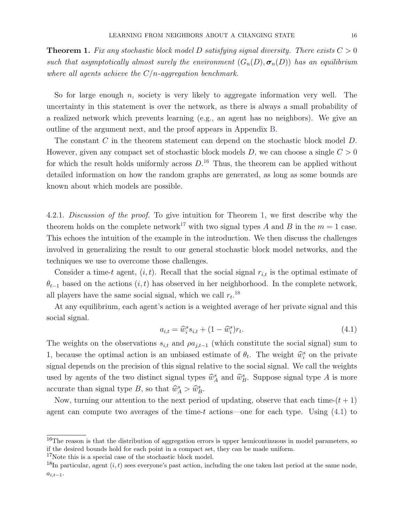<span id="page-16-1"></span>**Theorem 1.** Fix any stochastic block model D satisfying signal diversity. There exists  $C > 0$ such that asymptotically almost surely the environment  $(G_n(D), \sigma_n(D))$  has an equilibrium where all agents achieve the  $C/n$ -aggregation benchmark.

So for large enough  $n$ , society is very likely to aggregate information very well. The uncertainty in this statement is over the network, as there is always a small probability of a realized network which prevents learning (e.g., an agent has no neighbors). We give an outline of the argument next, and the proof appears in Appendix [B.](#page-38-0)

The constant C in the theorem statement can depend on the stochastic block model D. However, given any compact set of stochastic block models  $D$ , we can choose a single  $C > 0$ for which the result holds uniformly across  $D^{16}$  $D^{16}$  $D^{16}$ . Thus, the theorem can be applied without detailed information on how the random graphs are generated, as long as some bounds are known about which models are possible.

4.2.1. Discussion of the proof. To give intuition for Theorem [1,](#page-16-1) we first describe why the theorem holds on the complete network<sup>[17](#page-16-2)</sup> with two signal types A and B in the  $m = 1$  case. This echoes the intuition of the example in the introduction. We then discuss the challenges involved in generalizing the result to our general stochastic block model networks, and the techniques we use to overcome those challenges.

Consider a time-t agent,  $(i, t)$ . Recall that the social signal  $r_{i,t}$  is the optimal estimate of  $\theta_{t-1}$  based on the actions  $(i, t)$  has observed in her neighborhood. In the complete network, all players have the same social signal, which we call  $r_t$ <sup>[18](#page-16-3)</sup>

At any equilibrium, each agent's action is a weighted average of her private signal and this social signal.

<span id="page-16-4"></span>
$$
a_{i,t} = \hat{w}_i^s s_{i,t} + (1 - \hat{w}_i^s) r_t.
$$
\n(4.1)

The weights on the observations  $s_{i,t}$  and  $\rho a_{j,t-1}$  (which constitute the social signal) sum to 1, because the optimal action is an unbiased estimate of  $\theta_t$ . The weight  $\hat{w}_i^s$  on the private signal depends on the precision of this signal relative to the social signal. We call the weights used by agents of the two distinct signal types  $\hat{w}_A^s$  and  $\hat{w}_B^s$ . Suppose signal type A is more accurate than signal type B, so that  $\widehat{w}_A^s > \widehat{w}_B^s$ .

Now, turning our attention to the next period of updating, observe that each time- $(t + 1)$ agent can compute two averages of the time-t actions—one for each type. Using [\(4.1\)](#page-16-4) to

<span id="page-16-2"></span><sup>17</sup>Note this is a special case of the stochastic block model.

<span id="page-16-0"></span> $16$ The reason is that the distribution of aggregation errors is upper hemicontinuous in model parameters, so if the desired bounds hold for each point in a compact set, they can be made uniform.

<span id="page-16-3"></span><sup>&</sup>lt;sup>18</sup>In particular, agent  $(i, t)$  sees everyone's past action, including the one taken last period at the same node,  $a_{i,t-1}$ .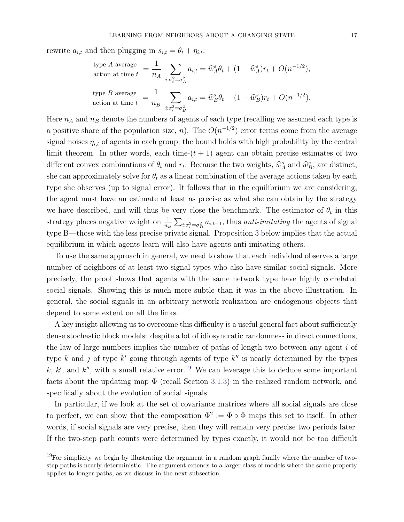rewrite  $a_{i,t}$  and then plugging in  $s_{i,t} = \theta_t + \eta_{i,t}$ :

type A average  
action at time 
$$
t = \frac{1}{n_A} \sum_{i:\sigma_i^2 = \sigma_A^2} a_{i,t} = \hat{w}_A^s \theta_t + (1 - \hat{w}_A^s) r_t + O(n^{-1/2}),
$$
  
type B average  
action at time  $t = \frac{1}{n_B} \sum_{i:\sigma_i^2 = \sigma_B^2} a_{i,t} = \hat{w}_B^s \theta_t + (1 - \hat{w}_B^s) r_t + O(n^{-1/2}).$ 

Here  $n_A$  and  $n_B$  denote the numbers of agents of each type (recalling we assumed each type is a positive share of the population size, n). The  $O(n^{-1/2})$  error terms come from the average signal noises  $\eta_{i,t}$  of agents in each group; the bound holds with high probability by the central limit theorem. In other words, each time- $(t + 1)$  agent can obtain precise estimates of two different convex combinations of  $\theta_t$  and  $r_t$ . Because the two weights,  $\hat{w}_A^s$  and  $\hat{w}_B^s$ , are distinct, she can approximately solve for  $\theta_t$  as a linear combination of the average actions taken by each type she observes (up to signal error). It follows that in the equilibrium we are considering, the agent must have an estimate at least as precise as what she can obtain by the strategy we have described, and will thus be very close the benchmark. The estimator of  $\theta_t$  in this strategy places negative weight on  $\frac{1}{n_B} \sum_{i:\sigma_i^2=\sigma_B^2} a_{i,t-1}$ , thus *anti-imitating* the agents of signal type B—those with the less precise private signal. Proposition [3](#page-25-0) below implies that the actual equilibrium in which agents learn will also have agents anti-imitating others.

To use the same approach in general, we need to show that each individual observes a large number of neighbors of at least two signal types who also have similar social signals. More precisely, the proof shows that agents with the same network type have highly correlated social signals. Showing this is much more subtle than it was in the above illustration. In general, the social signals in an arbitrary network realization are endogenous objects that depend to some extent on all the links.

A key insight allowing us to overcome this difficulty is a useful general fact about sufficiently dense stochastic block models: despite a lot of idiosyncratic randomness in direct connections, the law of large numbers implies the number of paths of length two between any agent i of type k and j of type  $k'$  going through agents of type  $k''$  is nearly determined by the types k, k', and k'', with a small relative error.<sup>[19](#page-17-0)</sup> We can leverage this to deduce some important facts about the updating map  $\Phi$  (recall Section [3.1.3\)](#page-10-4) in the realized random network, and specifically about the evolution of social signals.

In particular, if we look at the set of covariance matrices where all social signals are close to perfect, we can show that the composition  $\Phi^2 := \Phi \circ \Phi$  maps this set to itself. In other words, if social signals are very precise, then they will remain very precise two periods later. If the two-step path counts were determined by types exactly, it would not be too difficult

<span id="page-17-0"></span><sup>&</sup>lt;sup>19</sup>For simplicity we begin by illustrating the argument in a random graph family where the number of twostep paths is nearly deterministic. The argument extends to a larger class of models where the same property applies to longer paths, as we discuss in the next subsection.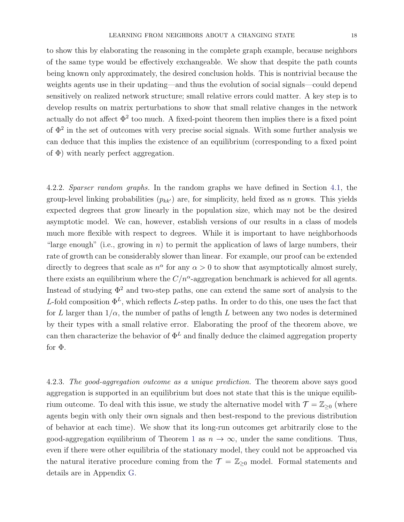to show this by elaborating the reasoning in the complete graph example, because neighbors of the same type would be effectively exchangeable. We show that despite the path counts being known only approximately, the desired conclusion holds. This is nontrivial because the weights agents use in their updating—and thus the evolution of social signals—could depend sensitively on realized network structure; small relative errors could matter. A key step is to develop results on matrix perturbations to show that small relative changes in the network actually do not affect  $\Phi^2$  too much. A fixed-point theorem then implies there is a fixed point of  $\Phi^2$  in the set of outcomes with very precise social signals. With some further analysis we can deduce that this implies the existence of an equilibrium (corresponding to a fixed point of  $\Phi$ ) with nearly perfect aggregation.

4.2.2. Sparser random graphs. In the random graphs we have defined in Section [4.1,](#page-14-0) the group-level linking probabilities  $(p_{kk'})$  are, for simplicity, held fixed as n grows. This yields expected degrees that grow linearly in the population size, which may not be the desired asymptotic model. We can, however, establish versions of our results in a class of models much more flexible with respect to degrees. While it is important to have neighborhoods "large enough" (i.e., growing in n) to permit the application of laws of large numbers, their rate of growth can be considerably slower than linear. For example, our proof can be extended directly to degrees that scale as  $n^{\alpha}$  for any  $\alpha > 0$  to show that asymptotically almost surely, there exists an equilibrium where the  $C/n^{\alpha}$ -aggregation benchmark is achieved for all agents. Instead of studying  $\Phi^2$  and two-step paths, one can extend the same sort of analysis to the L-fold composition  $\Phi^L$ , which reflects L-step paths. In order to do this, one uses the fact that for L larger than  $1/\alpha$ , the number of paths of length L between any two nodes is determined by their types with a small relative error. Elaborating the proof of the theorem above, we can then characterize the behavior of  $\Phi^L$  and finally deduce the claimed aggregation property for Φ.

<span id="page-18-0"></span>4.2.3. The good-aggregation outcome as a unique prediction. The theorem above says good aggregation is supported in an equilibrium but does not state that this is the unique equilibrium outcome. To deal with this issue, we study the alternative model with  $\mathcal{T} = \mathbb{Z}_{\geq 0}$  (where agents begin with only their own signals and then best-respond to the previous distribution of behavior at each time). We show that its long-run outcomes get arbitrarily close to the good-aggregation equilibrium of Theorem [1](#page-16-1) as  $n \to \infty$ , under the same conditions. Thus, even if there were other equilibria of the stationary model, they could not be approached via the natural iterative procedure coming from the  $\mathcal{T} = \mathbb{Z}_{\geq 0}$  model. Formal statements and details are in Appendix [G.](#page-69-0)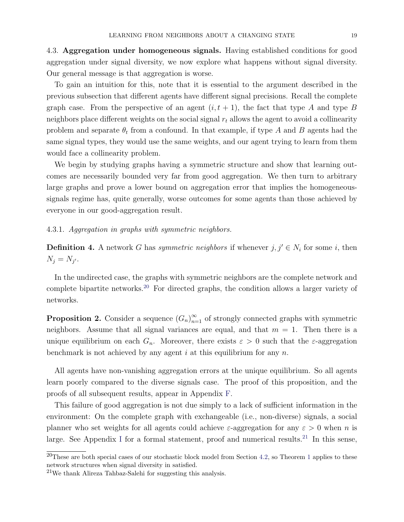<span id="page-19-1"></span>4.3. Aggregation under homogeneous signals. Having established conditions for good aggregation under signal diversity, we now explore what happens without signal diversity. Our general message is that aggregation is worse.

To gain an intuition for this, note that it is essential to the argument described in the previous subsection that different agents have different signal precisions. Recall the complete graph case. From the perspective of an agent  $(i, t + 1)$ , the fact that type A and type B neighbors place different weights on the social signal  $r_t$  allows the agent to avoid a collinearity problem and separate  $\theta_t$  from a confound. In that example, if type A and B agents had the same signal types, they would use the same weights, and our agent trying to learn from them would face a collinearity problem.

We begin by studying graphs having a symmetric structure and show that learning outcomes are necessarily bounded very far from good aggregation. We then turn to arbitrary large graphs and prove a lower bound on aggregation error that implies the homogeneoussignals regime has, quite generally, worse outcomes for some agents than those achieved by everyone in our good-aggregation result.

# <span id="page-19-4"></span>4.3.1. Aggregation in graphs with symmetric neighbors.

**Definition 4.** A network G has symmetric neighbors if whenever  $j, j' \in N_i$  for some i, then  $N_j = N_{j'}$ .

In the undirected case, the graphs with symmetric neighbors are the complete network and complete bipartite networks.<sup>[20](#page-19-2)</sup> For directed graphs, the condition allows a larger variety of networks.

<span id="page-19-0"></span>**Proposition 2.** Consider a sequence  $(G_n)_{n=1}^{\infty}$  of strongly connected graphs with symmetric neighbors. Assume that all signal variances are equal, and that  $m = 1$ . Then there is a unique equilibrium on each  $G_n$ . Moreover, there exists  $\varepsilon > 0$  such that the  $\varepsilon$ -aggregation benchmark is not achieved by any agent i at this equilibrium for any  $n$ .

All agents have non-vanishing aggregation errors at the unique equilibrium. So all agents learn poorly compared to the diverse signals case. The proof of this proposition, and the proofs of all subsequent results, appear in Appendix [F.](#page-56-0)

This failure of good aggregation is not due simply to a lack of sufficient information in the environment: On the complete graph with exchangeable (i.e., non-diverse) signals, a social planner who set weights for all agents could achieve  $\varepsilon$ -aggregation for any  $\varepsilon > 0$  when n is large. See Appendix [I](#page-73-0) for a formal statement, proof and numerical results.<sup>[21](#page-19-3)</sup> In this sense,

<span id="page-19-2"></span> $^{20}$ These are both special cases of our stochastic block model from Section [4.2,](#page-15-0) so Theorem [1](#page-16-1) applies to these network structures when signal diversity in satisfied.

<span id="page-19-3"></span><sup>21</sup>We thank Alireza Tahbaz-Salehi for suggesting this analysis.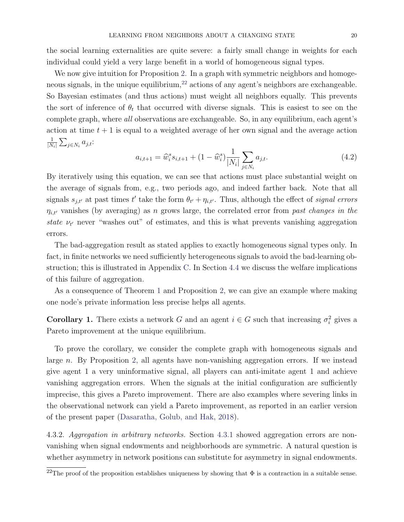the social learning externalities are quite severe: a fairly small change in weights for each individual could yield a very large benefit in a world of homogeneous signal types.

We now give intuition for Proposition [2.](#page-19-0) In a graph with symmetric neighbors and homoge-neous signals, in the unique equilibrium,<sup>[22](#page-20-0)</sup> actions of any agent's neighbors are exchangeable. So Bayesian estimates (and thus actions) must weight all neighbors equally. This prevents the sort of inference of  $\theta_t$  that occurred with diverse signals. This is easiest to see on the complete graph, where all observations are exchangeable. So, in any equilibrium, each agent's action at time  $t + 1$  is equal to a weighted average of her own signal and the average action 1  $\frac{1}{|N_i|}\sum_{j\in N_i}a_{j,t}$ :

$$
a_{i,t+1} = \widehat{w}_i^s s_{i,t+1} + (1 - \widehat{w}_i^s) \frac{1}{|N_i|} \sum_{j \in N_i} a_{j,t}.
$$
 (4.2)

By iteratively using this equation, we can see that actions must place substantial weight on the average of signals from, e.g., two periods ago, and indeed farther back. Note that all signals  $s_{j,t'}$  at past times t' take the form  $\theta_{t'} + \eta_{i,t'}$ . Thus, although the effect of signal errors  $\eta_{i,t'}$  vanishes (by averaging) as n grows large, the correlated error from past changes in the state  $\nu_{t'}$  never "washes out" of estimates, and this is what prevents vanishing aggregation errors.

The bad-aggregation result as stated applies to exactly homogeneous signal types only. In fact, in finite networks we need sufficiently heterogeneous signals to avoid the bad-learning obstruction; this is illustrated in Appendix [C.](#page-52-0) In Section [4.4](#page-22-0) we discuss the welfare implications of this failure of aggregation.

As a consequence of Theorem [1](#page-16-1) and Proposition [2,](#page-19-0) we can give an example where making one node's private information less precise helps all agents.

**Corollary 1.** There exists a network G and an agent  $i \in G$  such that increasing  $\sigma_i^2$  gives a Pareto improvement at the unique equilibrium.

To prove the corollary, we consider the complete graph with homogeneous signals and large n. By Proposition [2,](#page-19-0) all agents have non-vanishing aggregation errors. If we instead give agent 1 a very uninformative signal, all players can anti-imitate agent 1 and achieve vanishing aggregation errors. When the signals at the initial configuration are sufficiently imprecise, this gives a Pareto improvement. There are also examples where severing links in the observational network can yield a Pareto improvement, as reported in an earlier version of the present paper [\(Dasaratha, Golub, and Hak,](#page-35-7) [2018\)](#page-35-7).

4.3.2. Aggregation in arbitrary networks. Section [4.3.1](#page-19-4) showed aggregation errors are nonvanishing when signal endowments and neighborhoods are symmetric. A natural question is whether asymmetry in network positions can substitute for asymmetry in signal endowments.

<span id="page-20-0"></span> $\overline{^{22}$ The proof of the proposition establishes uniqueness by showing that  $\Phi$  is a contraction in a suitable sense.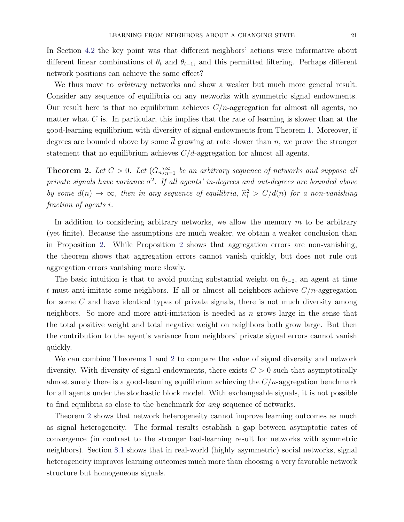In Section [4.2](#page-15-0) the key point was that different neighbors' actions were informative about different linear combinations of  $\theta_t$  and  $\theta_{t-1}$ , and this permitted filtering. Perhaps different network positions can achieve the same effect?

We thus move to *arbitrary* networks and show a weaker but much more general result. Consider any sequence of equilibria on any networks with symmetric signal endowments. Our result here is that no equilibrium achieves  $C/n$ -aggregation for almost all agents, no matter what  $C$  is. In particular, this implies that the rate of learning is slower than at the good-learning equilibrium with diversity of signal endowments from Theorem [1.](#page-16-1) Moreover, if degrees are bounded above by some  $\overline{d}$  growing at rate slower than n, we prove the stronger statement that no equilibrium achieves  $C/\overline{d}$ -aggregation for almost all agents.

<span id="page-21-0"></span>**Theorem 2.** Let  $C > 0$ . Let  $(G_n)_{n=1}^{\infty}$  be an arbitrary sequence of networks and suppose all private signals have variance  $\sigma^2$ . If all agents' in-degrees and out-degrees are bounded above by some  $\overline{d}(n) \to \infty$ , then in any sequence of equilibria,  $\widehat{\kappa}_i^2 > C/\overline{d}(n)$  for a non-vanishing fraction of agents i.

In addition to considering arbitrary networks, we allow the memory  $m$  to be arbitrary (yet finite). Because the assumptions are much weaker, we obtain a weaker conclusion than in Proposition [2.](#page-19-0) While Proposition [2](#page-19-0) shows that aggregation errors are non-vanishing, the theorem shows that aggregation errors cannot vanish quickly, but does not rule out aggregation errors vanishing more slowly.

The basic intuition is that to avoid putting substantial weight on  $\theta_{t-2}$ , an agent at time t must anti-imitate some neighbors. If all or almost all neighbors achieve  $C/n$ -aggregation for some C and have identical types of private signals, there is not much diversity among neighbors. So more and more anti-imitation is needed as  $n$  grows large in the sense that the total positive weight and total negative weight on neighbors both grow large. But then the contribution to the agent's variance from neighbors' private signal errors cannot vanish quickly.

We can combine Theorems [1](#page-16-1) and [2](#page-21-0) to compare the value of signal diversity and network diversity. With diversity of signal endowments, there exists  $C > 0$  such that asymptotically almost surely there is a good-learning equilibrium achieving the  $C/n$ -aggregation benchmark for all agents under the stochastic block model. With exchangeable signals, it is not possible to find equilibria so close to the benchmark for any sequence of networks.

Theorem [2](#page-21-0) shows that network heterogeneity cannot improve learning outcomes as much as signal heterogeneity. The formal results establish a gap between asymptotic rates of convergence (in contrast to the stronger bad-learning result for networks with symmetric neighbors). Section [8.1](#page-33-1) shows that in real-world (highly asymmetric) social networks, signal heterogeneity improves learning outcomes much more than choosing a very favorable network structure but homogeneous signals.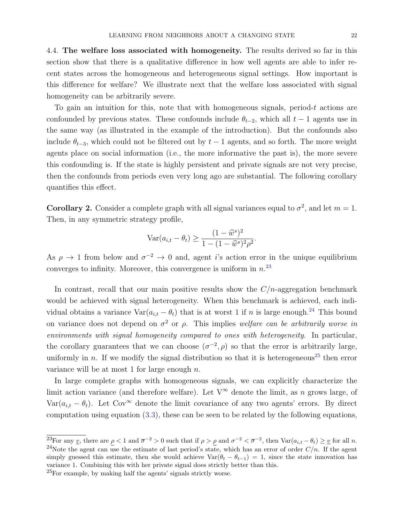<span id="page-22-0"></span>4.4. The welfare loss associated with homogeneity. The results derived so far in this section show that there is a qualitative difference in how well agents are able to infer recent states across the homogeneous and heterogeneous signal settings. How important is this difference for welfare? We illustrate next that the welfare loss associated with signal homogeneity can be arbitrarily severe.

To gain an intuition for this, note that with homogeneous signals, period-t actions are confounded by previous states. These confounds include  $\theta_{t-2}$ , which all  $t-1$  agents use in the same way (as illustrated in the example of the introduction). But the confounds also include  $\theta_{t-3}$ , which could not be filtered out by  $t-1$  agents, and so forth. The more weight agents place on social information (i.e., the more informative the past is), the more severe this confounding is. If the state is highly persistent and private signals are not very precise, then the confounds from periods even very long ago are substantial. The following corollary quantifies this effect.

<span id="page-22-4"></span>**Corollary 2.** Consider a complete graph with all signal variances equal to  $\sigma^2$ , and let  $m = 1$ . Then, in any symmetric strategy profile,

$$
Var(a_{i,t} - \theta_t) \ge \frac{(1 - \widehat{w}^s)^2}{1 - (1 - \widehat{w}^s)^2 \rho^2}.
$$

As  $\rho \to 1$  from below and  $\sigma^{-2} \to 0$  and, agent *i*'s action error in the unique equilibrium converges to infinity. Moreover, this convergence is uniform in  $n^{23}$  $n^{23}$  $n^{23}$ 

In contrast, recall that our main positive results show the  $C/n$ -aggregation benchmark would be achieved with signal heterogeneity. When this benchmark is achieved, each individual obtains a variance  $\text{Var}(a_{i,t} - \theta_t)$  that is at worst 1 if n is large enough.<sup>[24](#page-22-2)</sup> This bound on variance does not depend on  $\sigma^2$  or  $\rho$ . This implies welfare can be arbitrarily worse in environments with signal homogeneity compared to ones with heterogeneity. In particular, the corollary guarantees that we can choose  $(\sigma^{-2}, \rho)$  so that the error is arbitrarily large, uniformly in n. If we modify the signal distribution so that it is heterogeneous<sup>[25](#page-22-3)</sup> then error variance will be at most 1 for large enough  $n$ .

In large complete graphs with homogeneous signals, we can explicitly characterize the limit action variance (and therefore welfare). Let  $V^{\infty}$  denote the limit, as n grows large, of Var( $a_{i,t} - \theta_t$ ). Let Cov<sup>∞</sup> denote the limit covariance of any two agents' errors. By direct computation using equation [\(3.3\)](#page-10-3), these can be seen to be related by the following equations,

<span id="page-22-3"></span><sup>25</sup>For example, by making half the agents' signals strictly worse.

<span id="page-22-2"></span><span id="page-22-1"></span><sup>&</sup>lt;sup>23</sup>For any <u>v</u>, there are  $\rho < 1$  and  $\overline{\sigma}^{-2} > 0$  such that if  $\rho > \rho$  and  $\sigma^{-2} < \overline{\sigma}^{-2}$ , then  $\text{Var}(a_{i,t} - \theta_t) \geq \underline{v}$  for all n. <sup>24</sup>Note the agent can use the estimate of last period's state, which has an error of order  $C/n$ . If the agent simply guessed this estimate, then she would achieve  $\text{Var}(\theta_t - \theta_{t-1}) = 1$ , since the state innovation has variance 1. Combining this with her private signal does strictly better than this.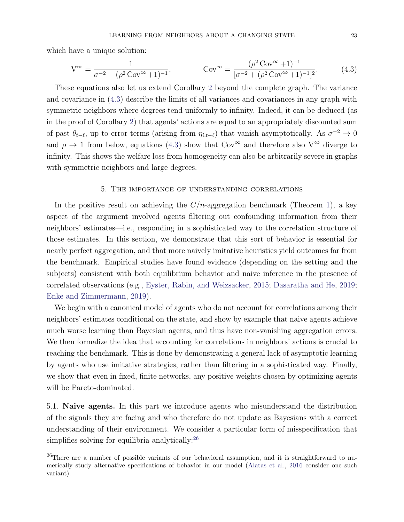which have a unique solution:

<span id="page-23-2"></span>
$$
V^{\infty} = \frac{1}{\sigma^{-2} + (\rho^2 \operatorname{Cov}^{\infty} + 1)^{-1}}, \qquad \operatorname{Cov}^{\infty} = \frac{(\rho^2 \operatorname{Cov}^{\infty} + 1)^{-1}}{[\sigma^{-2} + (\rho^2 \operatorname{Cov}^{\infty} + 1)^{-1}]^2}.
$$
(4.3)

These equations also let us extend Corollary [2](#page-22-4) beyond the complete graph. The variance and covariance in [\(4.3\)](#page-23-2) describe the limits of all variances and covariances in any graph with symmetric neighbors where degrees tend uniformly to infinity. Indeed, it can be deduced (as in the proof of Corollary [2\)](#page-22-4) that agents' actions are equal to an appropriately discounted sum of past  $\theta_{t-\ell}$ , up to error terms (arising from  $\eta_{i,t-\ell}$ ) that vanish asymptotically. As  $\sigma^{-2} \to 0$ and  $\rho \to 1$  from below, equations [\(4.3\)](#page-23-2) show that Cov<sup>∞</sup> and therefore also V<sup>∞</sup> diverge to infinity. This shows the welfare loss from homogeneity can also be arbitrarily severe in graphs with symmetric neighbors and large degrees.

#### 5. The importance of understanding correlations

<span id="page-23-0"></span>In the positive result on achieving the  $C/n$ -aggregation benchmark (Theorem [1\)](#page-16-1), a key aspect of the argument involved agents filtering out confounding information from their neighbors' estimates—i.e., responding in a sophisticated way to the correlation structure of those estimates. In this section, we demonstrate that this sort of behavior is essential for nearly perfect aggregation, and that more naively imitative heuristics yield outcomes far from the benchmark. Empirical studies have found evidence (depending on the setting and the subjects) consistent with both equilibrium behavior and naive inference in the presence of correlated observations (e.g., [Eyster, Rabin, and Weizsacker,](#page-35-8) [2015;](#page-35-8) [Dasaratha and He,](#page-35-9) [2019;](#page-35-9) [Enke and Zimmermann,](#page-35-10) [2019\)](#page-35-10).

We begin with a canonical model of agents who do not account for correlations among their neighbors' estimates conditional on the state, and show by example that naive agents achieve much worse learning than Bayesian agents, and thus have non-vanishing aggregation errors. We then formalize the idea that accounting for correlations in neighbors' actions is crucial to reaching the benchmark. This is done by demonstrating a general lack of asymptotic learning by agents who use imitative strategies, rather than filtering in a sophisticated way. Finally, we show that even in fixed, finite networks, any positive weights chosen by optimizing agents will be Pareto-dominated.

<span id="page-23-1"></span>5.1. Naive agents. In this part we introduce agents who misunderstand the distribution of the signals they are facing and who therefore do not update as Bayesians with a correct understanding of their environment. We consider a particular form of misspecification that simplifies solving for equilibria analytically:<sup>[26](#page-23-3)</sup>

<span id="page-23-3"></span> $^{26}$ There are a number of possible variants of our behavioral assumption, and it is straightforward to numerically study alternative specifications of behavior in our model [\(Alatas et al.,](#page-35-11) [2016](#page-35-11) consider one such variant).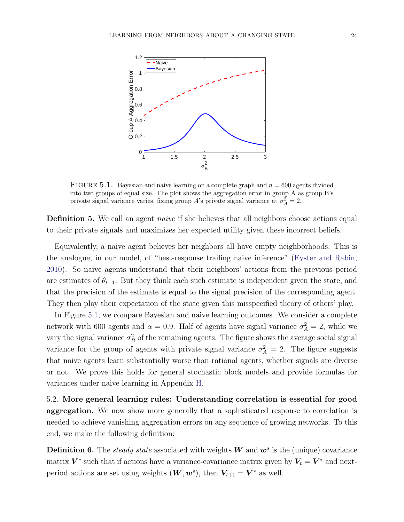<span id="page-24-0"></span>

FIGURE 5.1. Bayesian and naive learning on a complete graph and  $n = 600$  agents divided into two groups of equal size. The plot shows the aggregation error in group A as group B's private signal variance varies, fixing group A's private signal variance at  $\sigma_A^2 = 2$ .

Definition 5. We call an agent *naive* if she believes that all neighbors choose actions equal to their private signals and maximizes her expected utility given these incorrect beliefs.

Equivalently, a naive agent believes her neighbors all have empty neighborhoods. This is the analogue, in our model, of "best-response trailing naive inference" [\(Eyster and Rabin,](#page-35-1) [2010\)](#page-35-1). So naive agents understand that their neighbors' actions from the previous period are estimates of  $\theta_{t-1}$ . But they think each such estimate is independent given the state, and that the precision of the estimate is equal to the signal precision of the corresponding agent. They then play their expectation of the state given this misspecified theory of others' play.

In Figure [5.1,](#page-24-0) we compare Bayesian and naive learning outcomes. We consider a complete network with 600 agents and  $\alpha = 0.9$ . Half of agents have signal variance  $\sigma_A^2 = 2$ , while we vary the signal variance  $\sigma_B^2$  of the remaining agents. The figure shows the average social signal variance for the group of agents with private signal variance  $\sigma_A^2 = 2$ . The figure suggests that naive agents learn substantially worse than rational agents, whether signals are diverse or not. We prove this holds for general stochastic block models and provide formulas for variances under naive learning in Appendix [H.](#page-70-0)

5.2. More general learning rules: Understanding correlation is essential for good aggregation. We now show more generally that a sophisticated response to correlation is needed to achieve vanishing aggregation errors on any sequence of growing networks. To this end, we make the following definition:

**Definition 6.** The *steady state* associated with weights W and  $w^s$  is the (unique) covariance matrix  $V^*$  such that if actions have a variance-covariance matrix given by  $V_t = V^*$  and nextperiod actions are set using weights  $(W, w^s)$ , then  $V_{t+1} = V^*$  as well.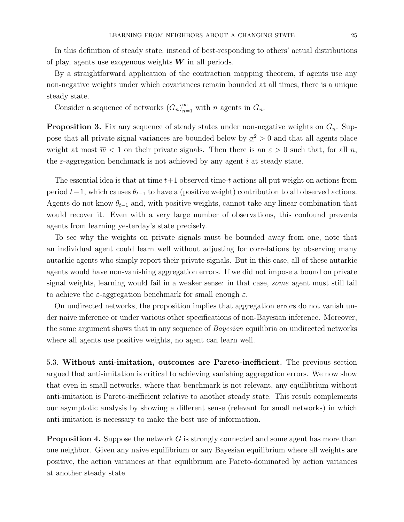In this definition of steady state, instead of best-responding to others' actual distributions of play, agents use exogenous weights  $W$  in all periods.

By a straightforward application of the contraction mapping theorem, if agents use any non-negative weights under which covariances remain bounded at all times, there is a unique steady state.

Consider a sequence of networks  $(G_n)_{n=1}^{\infty}$  with n agents in  $G_n$ .

<span id="page-25-0"></span>**Proposition 3.** Fix any sequence of steady states under non-negative weights on  $G_n$ . Suppose that all private signal variances are bounded below by  $\sigma^2 > 0$  and that all agents place weight at most  $\overline{w}$  < 1 on their private signals. Then there is an  $\varepsilon > 0$  such that, for all n, the  $\varepsilon$ -aggregation benchmark is not achieved by any agent i at steady state.

The essential idea is that at time  $t+1$  observed time-t actions all put weight on actions from period  $t-1$ , which causes  $\theta_{t-1}$  to have a (positive weight) contribution to all observed actions. Agents do not know  $\theta_{t-1}$  and, with positive weights, cannot take any linear combination that would recover it. Even with a very large number of observations, this confound prevents agents from learning yesterday's state precisely.

To see why the weights on private signals must be bounded away from one, note that an individual agent could learn well without adjusting for correlations by observing many autarkic agents who simply report their private signals. But in this case, all of these autarkic agents would have non-vanishing aggregation errors. If we did not impose a bound on private signal weights, learning would fail in a weaker sense: in that case, some agent must still fail to achieve the  $\varepsilon$ -aggregation benchmark for small enough  $\varepsilon$ .

On undirected networks, the proposition implies that aggregation errors do not vanish under naive inference or under various other specifications of non-Bayesian inference. Moreover, the same argument shows that in any sequence of Bayesian equilibria on undirected networks where all agents use positive weights, no agent can learn well.

5.3. Without anti-imitation, outcomes are Pareto-inefficient. The previous section argued that anti-imitation is critical to achieving vanishing aggregation errors. We now show that even in small networks, where that benchmark is not relevant, any equilibrium without anti-imitation is Pareto-inefficient relative to another steady state. This result complements our asymptotic analysis by showing a different sense (relevant for small networks) in which anti-imitation is necessary to make the best use of information.

<span id="page-25-1"></span>**Proposition 4.** Suppose the network G is strongly connected and some agent has more than one neighbor. Given any naive equilibrium or any Bayesian equilibrium where all weights are positive, the action variances at that equilibrium are Pareto-dominated by action variances at another steady state.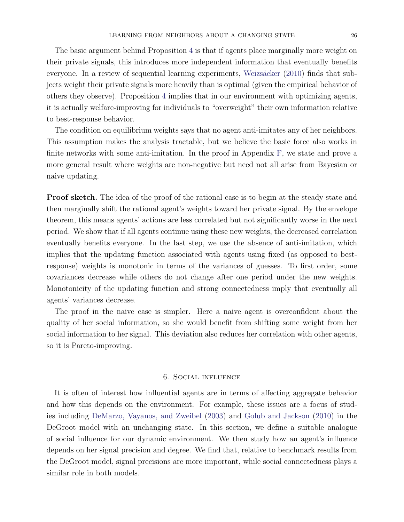The basic argument behind Proposition [4](#page-25-1) is that if agents place marginally more weight on their private signals, this introduces more independent information that eventually benefits everyone. In a review of sequential learning experiments, Weizsäcker [\(2010\)](#page-37-3) finds that subjects weight their private signals more heavily than is optimal (given the empirical behavior of others they observe). Proposition [4](#page-25-1) implies that in our environment with optimizing agents, it is actually welfare-improving for individuals to "overweight" their own information relative to best-response behavior.

The condition on equilibrium weights says that no agent anti-imitates any of her neighbors. This assumption makes the analysis tractable, but we believe the basic force also works in finite networks with some anti-imitation. In the proof in Appendix [F,](#page-56-0) we state and prove a more general result where weights are non-negative but need not all arise from Bayesian or naive updating.

**Proof sketch.** The idea of the proof of the rational case is to begin at the steady state and then marginally shift the rational agent's weights toward her private signal. By the envelope theorem, this means agents' actions are less correlated but not significantly worse in the next period. We show that if all agents continue using these new weights, the decreased correlation eventually benefits everyone. In the last step, we use the absence of anti-imitation, which implies that the updating function associated with agents using fixed (as opposed to bestresponse) weights is monotonic in terms of the variances of guesses. To first order, some covariances decrease while others do not change after one period under the new weights. Monotonicity of the updating function and strong connectedness imply that eventually all agents' variances decrease.

The proof in the naive case is simpler. Here a naive agent is overconfident about the quality of her social information, so she would benefit from shifting some weight from her social information to her signal. This deviation also reduces her correlation with other agents, so it is Pareto-improving.

## 6. Social influence

<span id="page-26-0"></span>It is often of interest how influential agents are in terms of affecting aggregate behavior and how this depends on the environment. For example, these issues are a focus of studies including [DeMarzo, Vayanos, and Zweibel](#page-35-2) [\(2003\)](#page-35-2) and [Golub and Jackson](#page-36-3) [\(2010\)](#page-36-3) in the DeGroot model with an unchanging state. In this section, we define a suitable analogue of social influence for our dynamic environment. We then study how an agent's influence depends on her signal precision and degree. We find that, relative to benchmark results from the DeGroot model, signal precisions are more important, while social connectedness plays a similar role in both models.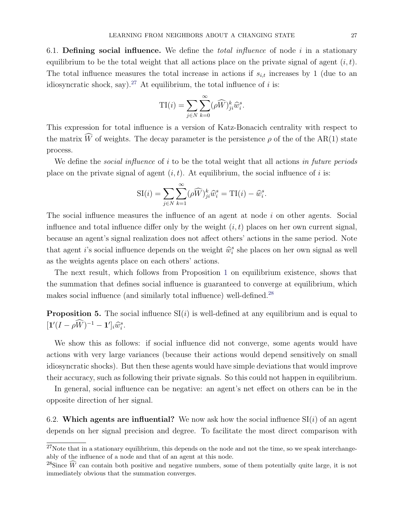6.1. Defining social influence. We define the *total influence* of node  $i$  in a stationary equilibrium to be the total weight that all actions place on the private signal of agent  $(i, t)$ . The total influence measures the total increase in actions if  $s_{i,t}$  increases by 1 (due to an idiosyncratic shock, say).<sup>[27](#page-27-0)</sup> At equilibrium, the total influence of i is:

$$
\mathrm{TI}(i) = \sum_{j \in N} \sum_{k=0}^{\infty} (\rho \widehat{W})_{ji}^{k} \widehat{w}_{i}^{s}.
$$

This expression for total influence is a version of Katz-Bonacich centrality with respect to the matrix  $\widehat{W}$  of weights. The decay parameter is the persistence  $\rho$  of the of the AR(1) state process.

We define the *social influence* of i to be the total weight that all actions in future periods place on the private signal of agent  $(i, t)$ . At equilibrium, the social influence of i is:

$$
\mathrm{SI}(i) = \sum_{j \in N} \sum_{k=1}^{\infty} (\rho \widehat{W})_{ji}^{k} \widehat{w}_{i}^{s} = \mathrm{TI}(i) - \widehat{w}_{i}^{s}.
$$

The social influence measures the influence of an agent at node i on other agents. Social influence and total influence differ only by the weight  $(i, t)$  places on her own current signal, because an agent's signal realization does not affect others' actions in the same period. Note that agent *i*'s social influence depends on the weight  $\hat{w}_i^s$  she places on her own signal as well as the weights agents place on each others' actions.

The next result, which follows from Proposition [1](#page-11-0) on equilibrium existence, shows that the summation that defines social influence is guaranteed to converge at equilibrium, which makes social influence (and similarly total influence) well-defined.[28](#page-27-1)

**Proposition 5.** The social influence  $SI(i)$  is well-defined at any equilibrium and is equal to  $[\mathbf{1}'(I - \rho \hat{W})^{-1} - \mathbf{1}']_i \widehat{w}_i^s.$ 

We show this as follows: if social influence did not converge, some agents would have actions with very large variances (because their actions would depend sensitively on small idiosyncratic shocks). But then these agents would have simple deviations that would improve their accuracy, such as following their private signals. So this could not happen in equilibrium.

In general, social influence can be negative: an agent's net effect on others can be in the opposite direction of her signal.

6.2. Which agents are influential? We now ask how the social influence  $SI(i)$  of an agent depends on her signal precision and degree. To facilitate the most direct comparison with

<span id="page-27-0"></span> $27$ Note that in a stationary equilibrium, this depends on the node and not the time, so we speak interchangeably of the influence of a node and that of an agent at this node.

<span id="page-27-1"></span><sup>&</sup>lt;sup>28</sup>Since  $\widehat{W}$  can contain both positive and negative numbers, some of them potentially quite large, it is not immediately obvious that the summation converges.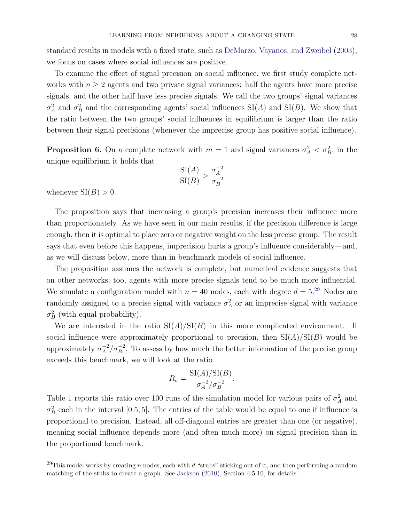standard results in models with a fixed state, such as [DeMarzo, Vayanos, and Zweibel](#page-35-2) [\(2003\)](#page-35-2), we focus on cases where social influences are positive.

To examine the effect of signal precision on social influence, we first study complete networks with  $n \geq 2$  agents and two private signal variances: half the agents have more precise signals, and the other half have less precise signals. We call the two groups' signal variances  $\sigma_A^2$  and  $\sigma_B^2$  and the corresponding agents' social influences SI(A) and SI(B). We show that the ratio between the two groups' social influences in equilibrium is larger than the ratio between their signal precisions (whenever the imprecise group has positive social influence).

**Proposition 6.** On a complete network with  $m = 1$  and signal variances  $\sigma_A^2 < \sigma_B^2$ , in the unique equilibrium it holds that

$$
\frac{\operatorname{SI}(A)}{\operatorname{SI}(B)} > \frac{\sigma_A^{-2}}{\sigma_B^{-2}}
$$

whenever  $SI(B) > 0$ .

The proposition says that increasing a group's precision increases their influence more than proportionately. As we have seen in our main results, if the precision difference is large enough, then it is optimal to place zero or negative weight on the less precise group. The result says that even before this happens, imprecision hurts a group's influence considerably—and, as we will discuss below, more than in benchmark models of social influence.

The proposition assumes the network is complete, but numerical evidence suggests that on other networks, too, agents with more precise signals tend to be much more influential. We simulate a configuration model with  $n = 40$  nodes, each with degree  $d = 5.^{29}$  $d = 5.^{29}$  $d = 5.^{29}$  Nodes are randomly assigned to a precise signal with variance  $\sigma_A^2$  or an imprecise signal with variance  $\sigma_B^2$  (with equal probability).

We are interested in the ratio  $\operatorname{SI}(A)/\operatorname{SI}(B)$  in this more complicated environment. If social influence were approximately proportional to precision, then  $SI(A)/SI(B)$  would be approximately  $\sigma_A^{-2}$  $\frac{-2}{A}/\sigma_B^{-2}$ . To assess by how much the better information of the precise group exceeds this benchmark, we will look at the ratio

$$
R_{\sigma} = \frac{\operatorname{SI}(A)/\operatorname{SI}(B)}{\sigma_A^{-2}/\sigma_B^{-2}}.
$$

Table [1](#page-29-0) reports this ratio over 100 runs of the simulation model for various pairs of  $\sigma_A^2$  and  $\sigma_B^2$  each in the interval [0.5, 5]. The entries of the table would be equal to one if influence is proportional to precision. Instead, all off-diagonal entries are greater than one (or negative), meaning social influence depends more (and often much more) on signal precision than in the proportional benchmark.

<span id="page-28-0"></span><sup>&</sup>lt;sup>29</sup>This model works by creating n nodes, each with d "stubs" sticking out of it, and then performing a random matching of the stubs to create a graph. See [Jackson](#page-36-9) [\(2010\)](#page-36-9), Section 4.5.10, for details.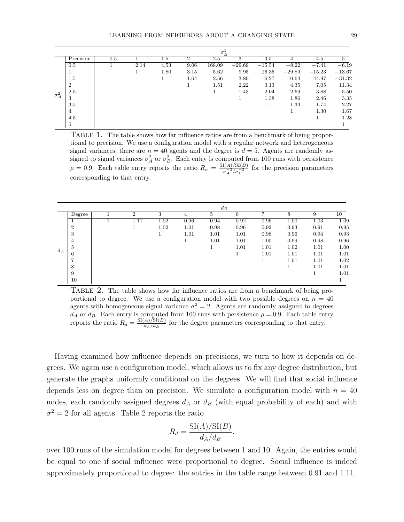<span id="page-29-0"></span>

|              |                |     |      |         |                | $\sigma_B^2$ |          |          |          |          |          |
|--------------|----------------|-----|------|---------|----------------|--------------|----------|----------|----------|----------|----------|
|              | Precision      | 0.5 |      | $1.5\,$ | $\mathfrak{D}$ | 2.5          | 3        | 3.5      |          | 4.5      | 5        |
| $\sigma_A^2$ | 0.5            |     | 2.14 | 4.53    | 9.06           | 168.09       | $-29.69$ | $-15.54$ | $-8.22$  | $-7.41$  | $-6.19$  |
|              | п              |     |      | 1.80    | 3.15           | 5.62         | 9.95     | 26.35    | $-29.89$ | $-15.23$ | $-13.67$ |
|              | 1.5            |     |      |         | 1.64           | 2.56         | 3.80     | 6.27     | 10.64    | 44.97    | $-31.32$ |
|              | $\overline{2}$ |     |      |         |                | 1.51         | 2.22     | 3.13     | 4.35     | 7.05     | 11.34    |
|              | 2.5            |     |      |         |                |              | 1.43     | 2.04     | 2.69     | 3.88     | 5.50     |
|              | 3              |     |      |         |                |              |          | 1.38     | 1.86     | 2.46     | 3.35     |
|              | 3.5            |     |      |         |                |              |          |          | 1.34     | 1.74     | 2.27     |
|              | 4              |     |      |         |                |              |          |          |          | 1.30     | 1.67     |
|              | 4.5            |     |      |         |                |              |          |          |          |          | 1.28     |
|              | 5              |     |      |         |                |              |          |          |          |          |          |

TABLE 1. The table shows how far influence ratios are from a benchmark of being proportional to precision. We use a configuration model with a regular network and heterogeneous signal variances; there are  $n = 40$  agents and the degree is  $d = 5$ . Agents are randomly assigned to signal variances  $\sigma_A^2$  or  $\sigma_B^2$ . Each entry is computed from 100 runs with persistence  $\rho = 0.9$ . Each table entry reports the ratio  $R_{\sigma} = \frac{SI(A)/SI(B)}{\sigma^{-2}/\sigma^{-2}}$  $\frac{\sigma_A^{-2}}{\sigma_A^{-2}/\sigma_B^{-2}}$  for the precision parameters corresponding to that entry.

<span id="page-29-1"></span>

|       |                |                |      |      | $d_B$ |      |      |      |      |      |
|-------|----------------|----------------|------|------|-------|------|------|------|------|------|
|       | Degree         | $\overline{2}$ | 3    | 4    | 5     | 6    |      | 8    | 9    | 10   |
| $d_A$ |                | 1.11           | 1.02 | 0.96 | 0.94  | 0.92 | 0.96 | 1.00 | 1.03 | 1.09 |
|       | $\overline{2}$ |                | 1.02 | 1.01 | 0.98  | 0.96 | 0.92 | 0.93 | 0.91 | 0.95 |
|       | 3              |                |      | 1.01 | 1.01  | 1.01 | 0.98 | 0.96 | 0.94 | 0.93 |
|       | 4              |                |      |      | 1.01  | 1.01 | 1.00 | 0.99 | 0.98 | 0.96 |
|       | 5              |                |      |      |       | 1.01 | 1.01 | 1.02 | 1.01 | 1.00 |
|       | 6              |                |      |      |       | Ŧ.   | 1.01 | 1.01 | 1.01 | 1.01 |
|       | ⇁              |                |      |      |       |      |      | 1.01 | 1.01 | 1.02 |
|       | 8              |                |      |      |       |      |      | 1    | 1.01 | 1.01 |
|       | 9              |                |      |      |       |      |      |      | л.   | 1.01 |
|       | 10             |                |      |      |       |      |      |      |      |      |

TABLE 2. The table shows how far influence ratios are from a benchmark of being proportional to degree. We use a configuration model with two possible degrees on  $n = 40$ agents with homogeneous signal variance  $\sigma^2 = 2$ . Agents are randomly assigned to degrees  $d_A$  or  $d_B$ . Each entry is computed from 100 runs with persistence  $\rho = 0.9$ . Each table entry reports the ratio  $R_d = \frac{SI(A)/SI(B)}{d_A/d_B}$  $\frac{A}{d_A/d_B}$  for the degree parameters corresponding to that entry.

Having examined how influence depends on precisions, we turn to how it depends on degrees. We again use a configuration model, which allows us to fix any degree distribution, but generate the graphs uniformly conditional on the degrees. We will find that social influence depends less on degree than on precision. We simulate a configuration model with  $n = 40$ nodes, each randomly assigned degrees  $d_A$  or  $d_B$  (with equal probability of each) and with  $\sigma^2 = 2$  $\sigma^2 = 2$  $\sigma^2 = 2$  for all agents. Table 2 reports the ratio

$$
R_d = \frac{\operatorname{SI}(A)/\operatorname{SI}(B)}{d_A/d_B}.
$$

over 100 runs of the simulation model for degrees between 1 and 10. Again, the entries would be equal to one if social influence were proportional to degree. Social influence is indeed approximately proportional to degree: the entries in the table range between 0.91 and 1.11.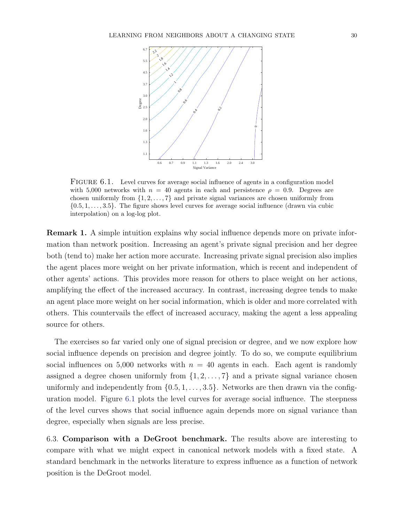<span id="page-30-0"></span>

FIGURE 6.1. Level curves for average social influence of agents in a configuration model with 5,000 networks with  $n = 40$  agents in each and persistence  $\rho = 0.9$ . Degrees are chosen uniformly from  $\{1, 2, \ldots, 7\}$  and private signal variances are chosen uniformly from  $\{0.5, 1, \ldots, 3.5\}$ . The figure shows level curves for average social influence (drawn via cubic interpolation) on a log-log plot.

<span id="page-30-1"></span>Remark 1. A simple intuition explains why social influence depends more on private information than network position. Increasing an agent's private signal precision and her degree both (tend to) make her action more accurate. Increasing private signal precision also implies the agent places more weight on her private information, which is recent and independent of other agents' actions. This provides more reason for others to place weight on her actions, amplifying the effect of the increased accuracy. In contrast, increasing degree tends to make an agent place more weight on her social information, which is older and more correlated with others. This countervails the effect of increased accuracy, making the agent a less appealing source for others.

The exercises so far varied only one of signal precision or degree, and we now explore how social influence depends on precision and degree jointly. To do so, we compute equilibrium social influences on 5,000 networks with  $n = 40$  agents in each. Each agent is randomly assigned a degree chosen uniformly from  $\{1, 2, \ldots, 7\}$  and a private signal variance chosen uniformly and independently from  $\{0.5, 1, \ldots, 3.5\}$ . Networks are then drawn via the configuration model. Figure [6.1](#page-30-0) plots the level curves for average social influence. The steepness of the level curves shows that social influence again depends more on signal variance than degree, especially when signals are less precise.

6.3. Comparison with a DeGroot benchmark. The results above are interesting to compare with what we might expect in canonical network models with a fixed state. A standard benchmark in the networks literature to express influence as a function of network position is the DeGroot model.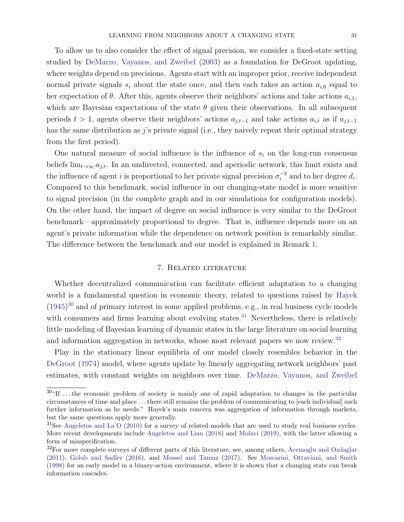To allow us to also consider the effect of signal precision, we consider a fixed-state setting studied by [DeMarzo, Vayanos, and Zweibel](#page-35-2) [\(2003\)](#page-35-2) as a foundation for DeGroot updating, where weights depend on precisions. Agents start with an improper prior, receive independent normal private signals  $s_i$  about the state once, and then each takes an action  $a_{i,0}$  equal to her expectation of  $\theta$ . After this, agents observe their neighbors' actions and take actions  $a_{i,1}$ , which are Bayesian expectations of the state  $\theta$  given their observations. In all subsequent periods  $t > 1$ , agents observe their neighbors' actions  $a_{j,t-1}$  and take actions  $a_{i,t}$  as if  $a_{j,t-1}$ has the same distribution as  $j$ 's private signal (i.e., they naively repeat their optimal strategy from the first period).

One natural measure of social influence is the influence of  $s_i$  on the long-run consensus beliefs  $\lim_{t\to\infty} a_{j,t}$ . In an undirected, connected, and aperiodic network, this limit exists and the influence of agent i is proportional to her private signal precision  $\sigma_i^{-2}$  $i^{-2}$  and to her degree  $d_i$ . Compared to this benchmark, social influence in our changing-state model is more sensitive to signal precision (in the complete graph and in our simulations for configuration models). On the other hand, the impact of degree on social influence is very similar to the DeGroot benchmark—approximately proportional to degree. That is, influence depends more on an agent's private information while the dependence on network position is remarkably similar. The difference between the benchmark and our model is explained in Remark [1.](#page-30-1)

# 7. Related literature

<span id="page-31-0"></span>Whether decentralized communication can facilitate efficient adaptation to a changing world is a fundamental question in economic theory, related to questions raised by [Hayek](#page-36-10)  $(1945)^{30}$  $(1945)^{30}$  $(1945)^{30}$  $(1945)^{30}$  and of primary interest in some applied problems, e.g., in real business cycle models with consumers and firms learning about evolving states. $31$  Nevertheless, there is relatively little modeling of Bayesian learning of dynamic states in the large literature on social learning and information aggregation in networks, whose most relevant papers we now review.<sup>[32](#page-31-3)</sup>

Play in the stationary linear equilibria of our model closely resembles behavior in the [DeGroot](#page-35-5) [\(1974\)](#page-35-5) model, where agents update by linearly aggregating network neighbors' past estimates, with constant weights on neighbors over time. [DeMarzo, Vayanos, and Zweibel](#page-35-2)

<span id="page-31-1"></span><sup>&</sup>lt;sup>30</sup>"If ... the economic problem of society is mainly one of rapid adaptation to changes in the particular circumstances of time and place . . . there still remains the problem of communicating to [each individual] such further information as he needs." Hayek's main concern was aggregation of information through markets, but the same questions apply more generally.

<span id="page-31-2"></span><sup>&</sup>lt;sup>31</sup>See [Angeletos and La'O](#page-35-12) [\(2010\)](#page-35-12) for a survey of related models that are used to study real business cycles. More recent developments include [Angeletos and Lian](#page-35-13) [\(2018\)](#page-35-13) and [Molavi](#page-36-11) [\(2019\)](#page-36-11), with the latter allowing a form of misspecification.

<span id="page-31-3"></span> $32$ For more complete surveys of different parts of this literature, see, among others, [Acemoglu and Ozdaglar](#page-35-14) [\(2011\)](#page-35-14), [Golub and Sadler](#page-36-12) [\(2016\)](#page-36-12), and [Mossel and Tamuz](#page-36-13) [\(2017\)](#page-36-13). See [Moscarini, Ottaviani, and Smith](#page-36-14) [\(1998\)](#page-36-14) for an early model in a binary-action environment, where it is shown that a changing state can break information cascades.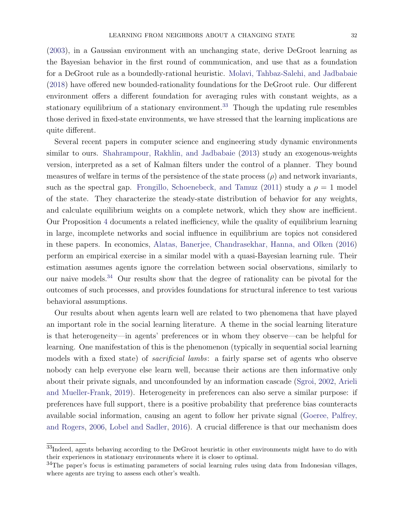[\(2003\)](#page-35-2), in a Gaussian environment with an unchanging state, derive DeGroot learning as the Bayesian behavior in the first round of communication, and use that as a foundation for a DeGroot rule as a boundedly-rational heuristic. [Molavi, Tahbaz-Salehi, and Jadbabaie](#page-36-1) [\(2018\)](#page-36-1) have offered new bounded-rationality foundations for the DeGroot rule. Our different environment offers a different foundation for averaging rules with constant weights, as a stationary equilibrium of a stationary environment.<sup>[33](#page-32-0)</sup> Though the updating rule resembles those derived in fixed-state environments, we have stressed that the learning implications are quite different.

Several recent papers in computer science and engineering study dynamic environments similar to ours. [Shahrampour, Rakhlin, and Jadbabaie](#page-37-4) [\(2013\)](#page-37-4) study an exogenous-weights version, interpreted as a set of Kalman filters under the control of a planner. They bound measures of welfare in terms of the persistence of the state process  $(\rho)$  and network invariants, such as the spectral gap. [Frongillo, Schoenebeck, and Tamuz](#page-36-15) [\(2011\)](#page-36-15) study a  $\rho = 1$  model of the state. They characterize the steady-state distribution of behavior for any weights, and calculate equilibrium weights on a complete network, which they show are inefficient. Our Proposition [4](#page-25-1) documents a related inefficiency, while the quality of equilibrium learning in large, incomplete networks and social influence in equilibrium are topics not considered in these papers. In economics, [Alatas, Banerjee, Chandrasekhar, Hanna, and Olken](#page-35-11) [\(2016\)](#page-35-11) perform an empirical exercise in a similar model with a quasi-Bayesian learning rule. Their estimation assumes agents ignore the correlation between social observations, similarly to our naive models.[34](#page-32-1) Our results show that the degree of rationality can be pivotal for the outcomes of such processes, and provides foundations for structural inference to test various behavioral assumptions.

Our results about when agents learn well are related to two phenomena that have played an important role in the social learning literature. A theme in the social learning literature is that heterogeneity—in agents' preferences or in whom they observe—can be helpful for learning. One manifestation of this is the phenomenon (typically in sequential social learning models with a fixed state) of *sacrificial lambs*: a fairly sparse set of agents who observe nobody can help everyone else learn well, because their actions are then informative only about their private signals, and unconfounded by an information cascade [\(Sgroi,](#page-36-16) [2002,](#page-36-16) [Arieli](#page-35-15) [and Mueller-Frank,](#page-35-15) [2019\)](#page-35-15). Heterogeneity in preferences can also serve a similar purpose: if preferences have full support, there is a positive probability that preference bias counteracts available social information, causing an agent to follow her private signal [\(Goeree, Palfrey,](#page-36-17) [and Rogers,](#page-36-17) [2006,](#page-36-17) [Lobel and Sadler,](#page-36-18) [2016\)](#page-36-18). A crucial difference is that our mechanism does

<span id="page-32-0"></span><sup>&</sup>lt;sup>33</sup>Indeed, agents behaving according to the DeGroot heuristic in other environments might have to do with their experiences in stationary environments where it is closer to optimal.

<span id="page-32-1"></span> $34$ The paper's focus is estimating parameters of social learning rules using data from Indonesian villages, where agents are trying to assess each other's wealth.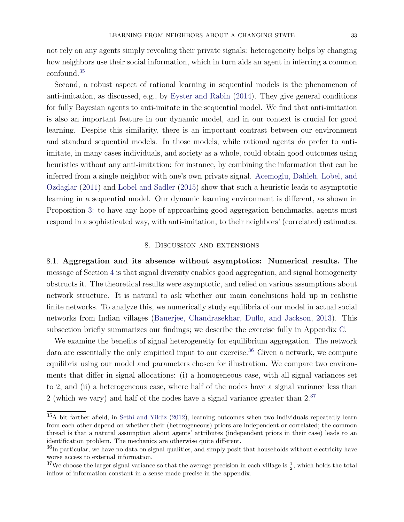not rely on any agents simply revealing their private signals: heterogeneity helps by changing how neighbors use their social information, which in turn aids an agent in inferring a common confound.[35](#page-33-2)

Second, a robust aspect of rational learning in sequential models is the phenomenon of anti-imitation, as discussed, e.g., by [Eyster and Rabin](#page-35-16) [\(2014\)](#page-35-16). They give general conditions for fully Bayesian agents to anti-imitate in the sequential model. We find that anti-imitation is also an important feature in our dynamic model, and in our context is crucial for good learning. Despite this similarity, there is an important contrast between our environment and standard sequential models. In those models, while rational agents do prefer to antiimitate, in many cases individuals, and society as a whole, could obtain good outcomes using heuristics without any anti-imitation: for instance, by combining the information that can be inferred from a single neighbor with one's own private signal. [Acemoglu, Dahleh, Lobel, and](#page-35-17) [Ozdaglar](#page-35-17) [\(2011\)](#page-35-17) and [Lobel and Sadler](#page-36-19) [\(2015\)](#page-36-19) show that such a heuristic leads to asymptotic learning in a sequential model. Our dynamic learning environment is different, as shown in Proposition [3:](#page-25-0) to have any hope of approaching good aggregation benchmarks, agents must respond in a sophisticated way, with anti-imitation, to their neighbors' (correlated) estimates.

#### 8. Discussion and extensions

<span id="page-33-1"></span><span id="page-33-0"></span>8.1. Aggregation and its absence without asymptotics: Numerical results. The message of Section [4](#page-12-0) is that signal diversity enables good aggregation, and signal homogeneity obstructs it. The theoretical results were asymptotic, and relied on various assumptions about network structure. It is natural to ask whether our main conclusions hold up in realistic finite networks. To analyze this, we numerically study equilibria of our model in actual social networks from Indian villages [\(Banerjee, Chandrasekhar, Duflo, and Jackson,](#page-35-18) [2013\)](#page-35-18). This subsection briefly summarizes our findings; we describe the exercise fully in Appendix [C.](#page-52-0)

We examine the benefits of signal heterogeneity for equilibrium aggregation. The network data are essentially the only empirical input to our exercise.<sup>[36](#page-33-3)</sup> Given a network, we compute equilibria using our model and parameters chosen for illustration. We compare two environments that differ in signal allocations: (i) a homogeneous case, with all signal variances set to 2, and (ii) a heterogeneous case, where half of the nodes have a signal variance less than 2 (which we vary) and half of the nodes have a signal variance greater than  $2^{37}$  $2^{37}$  $2^{37}$ 

<span id="page-33-2"></span><sup>35</sup>A bit farther afield, in [Sethi and Yildiz](#page-36-20) [\(2012\)](#page-36-20), learning outcomes when two individuals repeatedly learn from each other depend on whether their (heterogeneous) priors are independent or correlated; the common thread is that a natural assumption about agents' attributes (independent priors in their case) leads to an identification problem. The mechanics are otherwise quite different.

<span id="page-33-3"></span> $36$ In particular, we have no data on signal qualities, and simply posit that households without electricity have worse access to external information.

<span id="page-33-4"></span><sup>&</sup>lt;sup>37</sup>We choose the larger signal variance so that the average precision in each village is  $\frac{1}{2}$ , which holds the total inflow of information constant in a sense made precise in the appendix.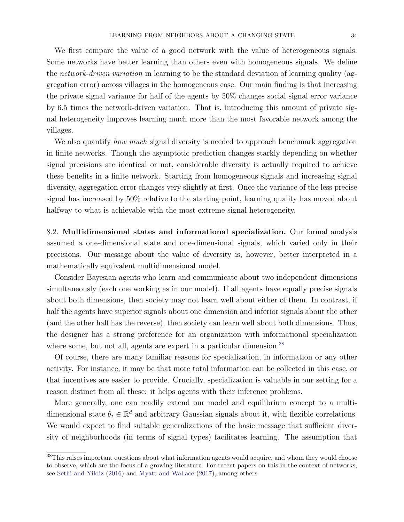We first compare the value of a good network with the value of heterogeneous signals. Some networks have better learning than others even with homogeneous signals. We define the network-driven variation in learning to be the standard deviation of learning quality (aggregation error) across villages in the homogeneous case. Our main finding is that increasing the private signal variance for half of the agents by 50% changes social signal error variance by 6.5 times the network-driven variation. That is, introducing this amount of private signal heterogeneity improves learning much more than the most favorable network among the villages.

We also quantify *how much* signal diversity is needed to approach benchmark aggregation in finite networks. Though the asymptotic prediction changes starkly depending on whether signal precisions are identical or not, considerable diversity is actually required to achieve these benefits in a finite network. Starting from homogeneous signals and increasing signal diversity, aggregation error changes very slightly at first. Once the variance of the less precise signal has increased by 50% relative to the starting point, learning quality has moved about halfway to what is achievable with the most extreme signal heterogeneity.

8.2. Multidimensional states and informational specialization. Our formal analysis assumed a one-dimensional state and one-dimensional signals, which varied only in their precisions. Our message about the value of diversity is, however, better interpreted in a mathematically equivalent multidimensional model.

Consider Bayesian agents who learn and communicate about two independent dimensions simultaneously (each one working as in our model). If all agents have equally precise signals about both dimensions, then society may not learn well about either of them. In contrast, if half the agents have superior signals about one dimension and inferior signals about the other (and the other half has the reverse), then society can learn well about both dimensions. Thus, the designer has a strong preference for an organization with informational specialization where some, but not all, agents are expert in a particular dimension.<sup>[38](#page-34-0)</sup>

Of course, there are many familiar reasons for specialization, in information or any other activity. For instance, it may be that more total information can be collected in this case, or that incentives are easier to provide. Crucially, specialization is valuable in our setting for a reason distinct from all these: it helps agents with their inference problems.

More generally, one can readily extend our model and equilibrium concept to a multidimensional state  $\theta_t \in \mathbb{R}^d$  and arbitrary Gaussian signals about it, with flexible correlations. We would expect to find suitable generalizations of the basic message that sufficient diversity of neighborhoods (in terms of signal types) facilitates learning. The assumption that

<span id="page-34-0"></span><sup>&</sup>lt;sup>38</sup>This raises important questions about what information agents would acquire, and whom they would choose to observe, which are the focus of a growing literature. For recent papers on this in the context of networks, see [Sethi and Yildiz](#page-36-0) [\(2016\)](#page-36-0) and [Myatt and Wallace](#page-36-21) [\(2017\)](#page-36-21), among others.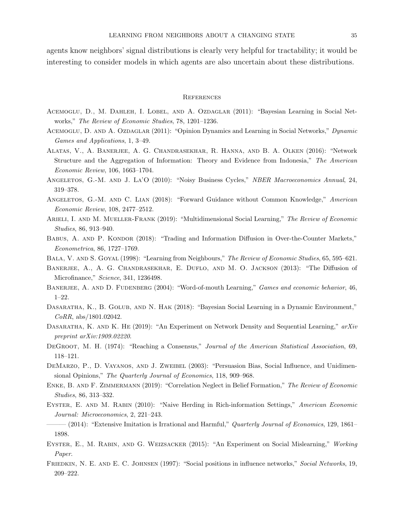agents know neighbors' signal distributions is clearly very helpful for tractability; it would be interesting to consider models in which agents are also uncertain about these distributions.

#### **REFERENCES**

- <span id="page-35-17"></span>Acemoglu, D., M. Dahleh, I. Lobel, and A. Ozdaglar (2011): "Bayesian Learning in Social Networks," The Review of Economic Studies, 78, 1201–1236.
- <span id="page-35-14"></span>ACEMOGLU, D. AND A. OZDAGLAR (2011): "Opinion Dynamics and Learning in Social Networks," Dynamic Games and Applications, 1, 3–49.
- <span id="page-35-11"></span>Alatas, V., A. Banerjee, A. G. Chandrasekhar, R. Hanna, and B. A. Olken (2016): "Network Structure and the Aggregation of Information: Theory and Evidence from Indonesia," The American Economic Review, 106, 1663–1704.
- <span id="page-35-12"></span>ANGELETOS, G.-M. AND J. LA'O (2010): "Noisy Business Cycles," NBER Macroeconomics Annual, 24, 319–378.
- <span id="page-35-13"></span>ANGELETOS, G.-M. AND C. LIAN (2018): "Forward Guidance without Common Knowledge," American Economic Review, 108, 2477–2512.
- <span id="page-35-15"></span>ARIELI, I. AND M. MUELLER-FRANK (2019): "Multidimensional Social Learning," The Review of Economic Studies, 86, 913–940.
- <span id="page-35-4"></span>BABUS, A. AND P. KONDOR (2018): "Trading and Information Diffusion in Over-the-Counter Markets," Econometrica, 86, 1727–1769.
- <span id="page-35-18"></span><span id="page-35-3"></span>BALA, V. AND S. GOYAL (1998): "Learning from Neighbours," The Review of Economic Studies, 65, 595–621.
- BANERJEE, A., A. G. CHANDRASEKHAR, E. DUFLO, AND M. O. JACKSON (2013): "The Diffusion of Microfinance," Science, 341, 1236498.
- <span id="page-35-0"></span>BANERJEE, A. AND D. FUDENBERG (2004): "Word-of-mouth Learning," Games and economic behavior, 46, 1–22.
- <span id="page-35-7"></span>Dasaratha, K., B. Golub, and N. Hak (2018): "Bayesian Social Learning in a Dynamic Environment," CoRR, abs/1801.02042.
- <span id="page-35-9"></span>DASARATHA, K. AND K. HE (2019): "An Experiment on Network Density and Sequential Learning,"  $arXiv$ preprint arXiv:1909.02220.
- <span id="page-35-5"></span>DEGROOT, M. H. (1974): "Reaching a Consensus," Journal of the American Statistical Association, 69, 118–121.
- <span id="page-35-2"></span>DEMARZO, P., D. VAYANOS, AND J. ZWEIBEL (2003): "Persuasion Bias, Social Influence, and Unidimensional Opinions," The Quarterly Journal of Economics, 118, 909–968.
- <span id="page-35-10"></span>ENKE, B. AND F. ZIMMERMANN (2019): "Correlation Neglect in Belief Formation," The Review of Economic Studies, 86, 313–332.
- <span id="page-35-1"></span>EYSTER, E. AND M. RABIN (2010): "Naive Herding in Rich-information Settings," American Economic Journal: Microeconomics, 2, 221–243.
- <span id="page-35-16"></span> $-(2014)$ : "Extensive Imitation is Irrational and Harmful," Quarterly Journal of Economics, 129, 1861– 1898.
- <span id="page-35-8"></span>Eyster, E., M. Rabin, and G. Weizsacker (2015): "An Experiment on Social Mislearning," Working Paper.
- <span id="page-35-6"></span>Friedkin, N. E. and E. C. Johnsen (1997): "Social positions in influence networks," Social Networks, 19, 209–222.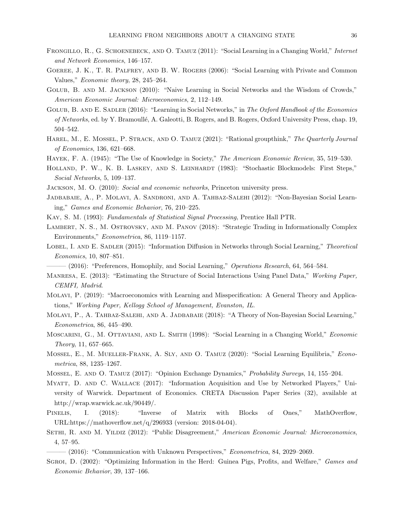- FRONGILLO, R., G. SCHOENEBECK, AND O. TAMUZ (2011): "Social Learning in a Changing World," Internet and Network Economics, 146–157.
- Goeree, J. K., T. R. Palfrey, and B. W. Rogers (2006): "Social Learning with Private and Common Values," Economic theory, 28, 245–264.
- Golub, B. and M. Jackson (2010): "Naive Learning in Social Networks and the Wisdom of Crowds," American Economic Journal: Microeconomics, 2, 112–149.
- GOLUB, B. AND E. SADLER (2016): "Learning in Social Networks," in The Oxford Handbook of the Economics of Networks, ed. by Y. Bramoull´e, A. Galeotti, B. Rogers, and B. Rogers, Oxford University Press, chap. 19, 504–542.
- HAREL, M., E. MOSSEL, P. STRACK, AND O. TAMUZ (2021): "Rational groupthink," The Quarterly Journal of Economics, 136, 621–668.
- HAYEK, F. A. (1945): "The Use of Knowledge in Society," The American Economic Review, 35, 519–530.
- HOLLAND, P. W., K. B. LASKEY, AND S. LEINHARDT (1983): "Stochastic Blockmodels: First Steps," Social Networks, 5, 109–137.
- Jackson, M. O. (2010): Social and economic networks, Princeton university press.
- Jadbabaie, A., P. Molavi, A. Sandroni, and A. Tahbaz-Salehi (2012): "Non-Bayesian Social Learning," Games and Economic Behavior, 76, 210–225.
- Kay, S. M. (1993): Fundamentals of Statistical Signal Processing, Prentice Hall PTR.
- LAMBERT, N. S., M. OSTROVSKY, AND M. PANOV (2018): "Strategic Trading in Informationally Complex Environments," Econometrica, 86, 1119–1157.
- LOBEL, I. AND E. SADLER (2015): "Information Diffusion in Networks through Social Learning," Theoretical Economics, 10, 807–851.
	- $-(2016)$ : "Preferences, Homophily, and Social Learning," Operations Research, 64, 564–584.
- <span id="page-36-1"></span>Manresa, E. (2013): "Estimating the Structure of Social Interactions Using Panel Data," Working Paper, CEMFI, Madrid.
- Molavi, P. (2019): "Macroeconomics with Learning and Misspecification: A General Theory and Applications," Working Paper, Kellogg School of Management, Evanston, IL.
- Molavi, P., A. Tahbaz-Salehi, and A. Jadbabaie (2018): "A Theory of Non-Bayesian Social Learning," Econometrica, 86, 445–490.
- Moscarini, G., M. Ottaviani, and L. Smith (1998): "Social Learning in a Changing World," Economic Theory, 11, 657–665.
- Mossel, E., M. Mueller-Frank, A. Sly, and O. Tamuz (2020): "Social Learning Equilibria," Econometrica, 88, 1235–1267.
- Mossel, E. and O. Tamuz (2017): "Opinion Exchange Dynamics," Probability Surveys, 14, 155–204.
- Myatt, D. and C. Wallace (2017): "Information Acquisition and Use by Networked Players," University of Warwick. Department of Economics. CRETA Discussion Paper Series (32), available at http://wrap.warwick.ac.uk/90449/.
- <span id="page-36-0"></span>PINELIS, I. (2018): "Inverse of Matrix with Blocks of Ones," MathOverflow, URL:https://mathoverflow.net/q/296933 (version: 2018-04-04).
- SETHI, R. AND M. YILDIZ (2012): "Public Disagreement," American Economic Journal: Microeconomics, 4, 57–95.

 $-(2016)$ : "Communication with Unknown Perspectives," *Econometrica*, 84, 2029–2069.

SGROI, D. (2002): "Optimizing Information in the Herd: Guinea Pigs, Profits, and Welfare," Games and Economic Behavior, 39, 137–166.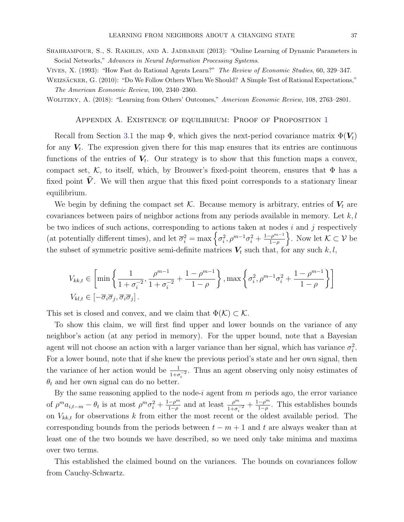Shahrampour, S., S. Rakhlin, and A. Jadbabaie (2013): "Online Learning of Dynamic Parameters in Social Networks," Advances in Neural Information Processing Systems.

Vives, X. (1993): "How Fast do Rational Agents Learn?" The Review of Economic Studies, 60, 329–347.

WEIZSÄCKER, G. (2010): "Do We Follow Others When We Should? A Simple Test of Rational Expectations," The American Economic Review, 100, 2340–2360.

Wolitzky, A. (2018): "Learning from Others' Outcomes," American Economic Review, 108, 2763–2801.

Appendix A. Existence of equilibrium: Proof of Proposition [1](#page-11-0)

Recall from Section [3.1](#page-8-0) the map  $\Phi$ , which gives the next-period covariance matrix  $\Phi(V_t)$ for any  $V_t$ . The expression given there for this map ensures that its entries are continuous functions of the entries of  $V_t$ . Our strategy is to show that this function maps a convex, compact set,  $K$ , to itself, which, by Brouwer's fixed-point theorem, ensures that  $\Phi$  has a fixed point  $\hat{V}$ . We will then argue that this fixed point corresponds to a stationary linear equilibrium.

We begin by defining the compact set K. Because memory is arbitrary, entries of  $V_t$  are covariances between pairs of neighbor actions from any periods available in memory. Let  $k, l$ be two indices of such actions, corresponding to actions taken at nodes  $i$  and  $j$  respectively (at potentially different times), and let  $\overline{\sigma}_i^2 = \max \left\{ \sigma_i^2, \rho^{m-1} \sigma_i^2 + \frac{1-\rho^{m-1}}{1-\rho} \right\}$  $\left\{\frac{\rho^{m-1}}{1-\rho}\right\}$ . Now let  $\mathcal{K} \subset \mathcal{V}$  be the subset of symmetric positive semi-definite matrices  $V_t$  such that, for any such k, l,

$$
V_{kk,t} \in \left[\min\left\{\frac{1}{1+\sigma_i^{-2}}, \frac{\rho^{m-1}}{1+\sigma_i^{-2}} + \frac{1-\rho^{m-1}}{1-\rho}\right\}, \max\left\{\sigma_i^2, \rho^{m-1}\sigma_i^2 + \frac{1-\rho^{m-1}}{1-\rho}\right\}\right]
$$
  

$$
V_{kl,t} \in \left[-\overline{\sigma}_i \overline{\sigma}_j, \overline{\sigma}_i \overline{\sigma}_j\right].
$$

This set is closed and convex, and we claim that  $\Phi(\mathcal{K}) \subset \mathcal{K}$ .

To show this claim, we will first find upper and lower bounds on the variance of any neighbor's action (at any period in memory). For the upper bound, note that a Bayesian agent will not choose an action with a larger variance than her signal, which has variance  $\sigma_i^2$ . For a lower bound, note that if she knew the previous period's state and her own signal, then the variance of her action would be  $\frac{1}{1+\sigma_i^{-2}}$ . Thus an agent observing only noisy estimates of  $\theta_t$  and her own signal can do no better.

By the same reasoning applied to the node-i agent from  $m$  periods ago, the error variance of  $\rho^m a_{i,t-m} - \theta_t$  is at most  $\rho^m \sigma_i^2 + \frac{1-\rho^m}{1-\rho}$  $\frac{-\rho^m}{1-\rho}$  and at least  $\frac{\rho^m}{1+\sigma_i^{-2}} + \frac{1-\rho^m}{1-\rho}$  $\frac{-\rho^m}{1-\rho}$ . This establishes bounds on  $V_{kk,t}$  for observations k from either the most recent or the oldest available period. The corresponding bounds from the periods between  $t - m + 1$  and t are always weaker than at least one of the two bounds we have described, so we need only take minima and maxima over two terms.

This established the claimed bound on the variances. The bounds on covariances follow from Cauchy-Schwartz.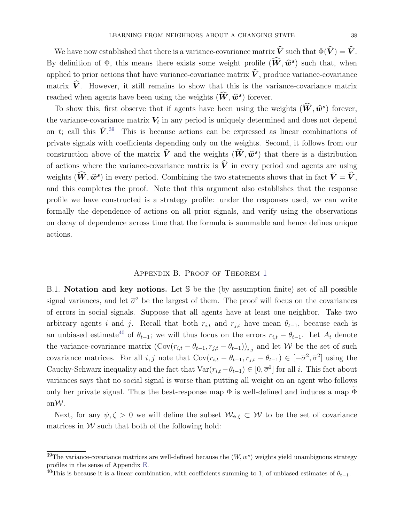We have now established that there is a variance-covariance matrix  $\hat{V}$  such that  $\Phi(\hat{V}) = \hat{V}$ . By definition of  $\Phi$ , this means there exists some weight profile  $(\tilde{\mathbf{W}}, \hat{\mathbf{w}}^s)$  such that, when applied to prior actions that have variance-covariance matrix  $\hat{V}$ , produce variance-covariance matrix  $\hat{V}$ . However, it still remains to show that this is the variance-covariance matrix reached when agents have been using the weights  $(\hat{W}, \hat{w}^s)$  forever.

To show this, first observe that if agents have been using the weights  $(\hat{W}, \hat{w}^s)$  forever, the variance-covariance matrix  $V_t$  in any period is uniquely determined and does not depend on t; call this  $\check{V}$ <sup>[39](#page-38-0)</sup>. This is because actions can be expressed as linear combinations of private signals with coefficients depending only on the weights. Second, it follows from our construction above of the matrix  $\hat{V}$  and the weights  $(\hat{W}, \hat{w}^s)$  that there is a distribution of actions where the variance-covariance matrix is  $\hat{V}$  in every period and agents are using weights  $(\widehat{W}, \widehat{w}^s)$  in every period. Combining the two statements shows that in fact  $\check{V} = \widehat{V}$ , and this completes the proof. Note that this argument also establishes that the response profile we have constructed is a strategy profile: under the responses used, we can write formally the dependence of actions on all prior signals, and verify using the observations on decay of dependence across time that the formula is summable and hence defines unique actions.

#### Appendix B. Proof of Theorem [1](#page-16-0)

<span id="page-38-3"></span><span id="page-38-2"></span>B.1. Notation and key notions. Let S be the (by assumption finite) set of all possible signal variances, and let  $\bar{\sigma}^2$  be the largest of them. The proof will focus on the covariances of errors in social signals. Suppose that all agents have at least one neighbor. Take two arbitrary agents i and j. Recall that both  $r_{i,t}$  and  $r_{j,t}$  have mean  $\theta_{t-1}$ , because each is an unbiased estimate<sup>[40](#page-38-1)</sup> of  $\theta_{t-1}$ ; we will thus focus on the errors  $r_{i,t} - \theta_{t-1}$ . Let  $A_t$  denote the variance-covariance matrix  $(\text{Cov}(r_{i,t} - \theta_{t-1}, r_{j,t} - \theta_{t-1}))_{i,j}$  and let W be the set of such covariance matrices. For all *i*, *j* note that  $Cov(r_{i,t} - \theta_{t-1}, r_{j,t} - \theta_{t-1}) \in [-\overline{\sigma}^2, \overline{\sigma}^2]$  using the Cauchy-Schwarz inequality and the fact that  $\text{Var}(r_{i,t} - \theta_{t-1}) \in [0, \overline{\sigma}^2]$  for all i. This fact about variances says that no social signal is worse than putting all weight on an agent who follows only her private signal. Thus the best-response map  $\Phi$  is well-defined and induces a map  $\Phi$ onW.

Next, for any  $\psi, \zeta > 0$  we will define the subset  $\mathcal{W}_{\psi, \zeta} \subset \mathcal{W}$  to be the set of covariance matrices in  $W$  such that both of the following hold:

<span id="page-38-0"></span><sup>&</sup>lt;sup>39</sup>The variance-covariance matrices are well-defined because the  $(W, w^s)$  weights yield unambiguous strategy profiles in the sense of Appendix [E.](#page-55-0)

<span id="page-38-1"></span> $40$ This is because it is a linear combination, with coefficients summing to 1, of unbiased estimates of  $\theta_{t-1}$ .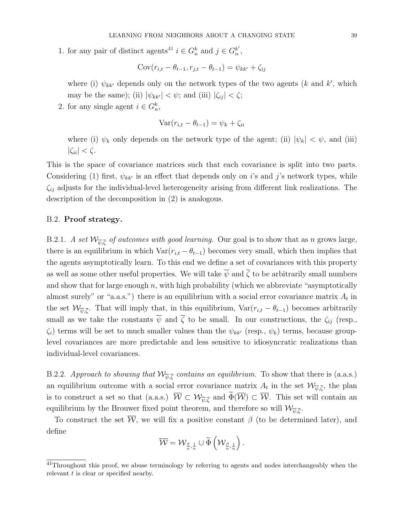1. for any pair of distinct agents<sup>[41](#page-39-0)</sup>  $i \in G_n^k$  and  $j \in G_n^{k'}$  $_{n}^{\prime}$  ,

$$
Cov(r_{i,t} - \theta_{t-1}, r_{j,t} - \theta_{t-1}) = \psi_{kk'} + \zeta_{ij}
$$

where (i)  $\psi_{kk'}$  depends only on the network types of the two agents (k and k', which may be the same); (ii)  $|\psi_{kk'}| < \psi$ ; and (iii)  $|\zeta_{ij}| < \zeta$ ;

2. for any single agent  $i \in G_n^k$ ,

$$
Var(r_{i,t} - \theta_{t-1}) = \psi_k + \zeta_{ii}
$$

where (i)  $\psi_k$  only depends on the network type of the agent; (ii)  $|\psi_k| < \psi$ , and (iii)  $|\zeta_{ii}| < \zeta$ .

This is the space of covariance matrices such that each covariance is split into two parts. Considering (1) first,  $\psi_{kk'}$  is an effect that depends only on i's and j's network types, while  $\zeta_{ij}$  adjusts for the individual-level heterogeneity arising from different link realizations. The description of the decomposition in (2) is analogous.

# B.2. Proof strategy.

B.2.1. A set  $\mathcal{W}_{\overline{\psi},\overline{\zeta}}$  of outcomes with good learning. Our goal is to show that as n grows large, there is an equilibrium in which  $\text{Var}(r_{i,t} - \theta_{t-1})$  becomes very small, which then implies that the agents asymptotically learn. To this end we define a set of covariances with this property as well as some other useful properties. We will take  $\overline{\psi}$  and  $\overline{\zeta}$  to be arbitrarily small numbers and show that for large enough  $n$ , with high probability (which we abbreviate "asymptotically almost surely" or "a.a.s.") there is an equilibrium with a social error covariance matrix  $A_t$  in the set  $\mathcal{W}_{\overline{\psi},\overline{\zeta}}$ . That will imply that, in this equilibrium,  $Var(r_{i,t} - \theta_{t-1})$  becomes arbitrarily small as we take the constants  $\overline{\psi}$  and  $\overline{\zeta}$  to be small. In our constructions, the  $\zeta_{ij}$  (resp.,  $\zeta_i$ ) terms will be set to much smaller values than the  $\psi_{kk'}$  (resp.,  $\psi_k$ ) terms, because grouplevel covariances are more predictable and less sensitive to idiosyncratic realizations than individual-level covariances.

<span id="page-39-1"></span>B.2.2. Approach to showing that  $\mathcal{W}_{\overline{\psi},\overline{\zeta}}$  contains an equilibrium. To show that there is (a.a.s.) an equilibrium outcome with a social error covariance matrix  $A_t$  in the set  $\mathcal{W}_{\overline{\psi},\overline{\zeta}}$ , the plan is to construct a set so that (a.a.s.)  $W \subset \mathcal{W}_{\overline{\psi}, \overline{\zeta}}$  and  $\Phi(\mathcal{W}) \subset \mathcal{W}$ . This set will contain an equilibrium by the Brouwer fixed point theorem, and therefore so will  $\mathcal{W}_{\overline{\psi},\overline{\zeta}}$ .

To construct the set  $\overline{W}$ , we will fix a positive constant  $\beta$  (to be determined later), and define

$$
\overline{\mathcal{W}} = \mathcal{W}_{\frac{\beta}{n},\frac{1}{n}} \cup \widetilde{\Phi}\left(\mathcal{W}_{\frac{\beta}{n},\frac{1}{n}}\right).
$$

<span id="page-39-0"></span><sup>&</sup>lt;sup>41</sup>Throughout this proof, we abuse terminology by referring to agents and nodes interchangeably when the relevant t is clear or specified nearby.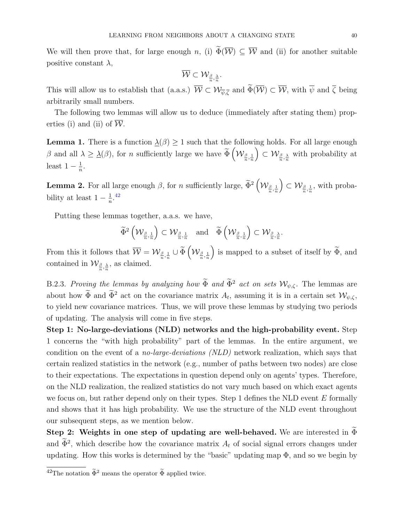We will then prove that, for large enough n, (i)  $\widetilde{\Phi}(\overline{\mathcal{W}}) \subseteq \overline{\mathcal{W}}$  and (ii) for another suitable positive constant  $\lambda$ ,

$$
\overline{\mathcal{W}} \subset \mathcal{W}_{\frac{\beta}{n}, \frac{\lambda}{n}}.
$$

This will allow us to establish that (a.a.s.)  $W \subset \mathcal{W}_{\overline{\psi},\overline{\zeta}}$  and  $\Phi(\mathcal{W}) \subset \mathcal{W}$ , with  $\psi$  and  $\zeta$  being arbitrarily small numbers.

The following two lemmas will allow us to deduce (immediately after stating them) properties (i) and (ii) of  $\overline{W}$ .

<span id="page-40-1"></span>**Lemma 1.** There is a function  $\Delta(\beta) \geq 1$  such that the following holds. For all large enough β and all  $\lambda \geq \underline{\lambda}(\beta)$ , for *n* sufficiently large we have  $\widetilde{\Phi}\left(\mathcal{W}_{\frac{\beta}{n}, \frac{1}{n}}\right)$  $\left( \sum_{\alpha} \mathcal{W}_{\frac{\beta}{n},\frac{\lambda}{n}} \right)$  with probability at least  $1-\frac{1}{n}$  $\frac{1}{n}$ .

<span id="page-40-2"></span>**Lemma 2.** For all large enough  $\beta$ , for *n* sufficiently large,  $\widetilde{\Phi}^2 \left( \mathcal{W}_{\frac{\beta}{n}, \frac{1}{n}} \right)$  $\left( \sum_{n=1}^{\infty} \mathcal{W}_{\frac{\beta}{n},\frac{1}{n}}$ , with probability at least  $1-\frac{1}{n}$  $\frac{1}{n}$ .<sup>[42](#page-40-0)</sup>

Putting these lemmas together, a.a.s. we have,

$$
\widetilde{\Phi}^{2}\left(\mathcal{W}_{\frac{\beta}{n},\frac{1}{n}}\right)\subset \mathcal{W}_{\frac{\beta}{n},\frac{1}{n}}\quad \text{and}\quad \widetilde{\Phi}\left(\mathcal{W}_{\frac{\beta}{n},\frac{1}{n}}\right)\subset \mathcal{W}_{\frac{\beta}{n},\frac{\lambda}{n}}.
$$

From this it follows that  $\overline{\mathcal{W}} = \mathcal{W}_{\frac{\beta}{n},\frac{1}{n}} \cup \widetilde{\Phi}\left(\mathcal{W}_{\frac{\beta}{n},\frac{1}{n}}\right)$ ) is mapped to a subset of itself by  $\widetilde{\Phi}$ , and contained in  $\mathcal{W}_{\frac{\beta}{n},\frac{\lambda}{n}}$ , as claimed.

B.2.3. Proving the lemmas by analyzing how  $\widetilde{\Phi}$  and  $\widetilde{\Phi}^2$  act on sets  $\mathcal{W}_{\psi,\zeta}$ . The lemmas are about how  $\Phi$  and  $\bar{\Phi}^2$  act on the covariance matrix  $A_t$ , assuming it is in a certain set  $\mathcal{W}_{\psi,\zeta}$ , to yield new covariance matrices. Thus, we will prove these lemmas by studying two periods of updating. The analysis will come in five steps.

Step 1: No-large-deviations (NLD) networks and the high-probability event. Step 1 concerns the "with high probability" part of the lemmas. In the entire argument, we condition on the event of a no-large-deviations (NLD) network realization, which says that certain realized statistics in the network (e.g., number of paths between two nodes) are close to their expectations. The expectations in question depend only on agents' types. Therefore, on the NLD realization, the realized statistics do not vary much based on which exact agents we focus on, but rather depend only on their types. Step 1 defines the NLD event  $E$  formally and shows that it has high probability. We use the structure of the NLD event throughout our subsequent steps, as we mention below.

Step 2: Weights in one step of updating are well-behaved. We are interested in  $\Phi$ and  $\Phi^2$ , which describe how the covariance matrix  $A_t$  of social signal errors changes under updating. How this works is determined by the "basic" updating map  $\Phi$ , and so we begin by

<span id="page-40-0"></span> $\frac{42}{42}$ The notation  $\widetilde{\Phi}^2$  means the operator  $\widetilde{\Phi}$  applied twice.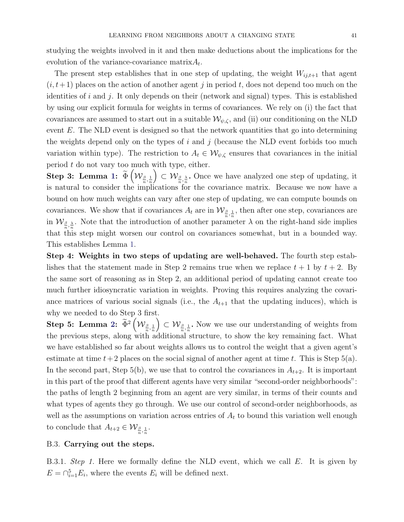studying the weights involved in it and then make deductions about the implications for the evolution of the variance-covariance matrix $A_t$ .

The present step establishes that in one step of updating, the weight  $W_{ij,t+1}$  that agent  $(i, t+1)$  places on the action of another agent j in period t, does not depend too much on the identities of i and j. It only depends on their (network and signal) types. This is established by using our explicit formula for weights in terms of covariances. We rely on (i) the fact that covariances are assumed to start out in a suitable  $\mathcal{W}_{\psi,\zeta}$ , and (ii) our conditioning on the NLD event  $E$ . The NLD event is designed so that the network quantities that go into determining the weights depend only on the types of  $i$  and  $j$  (because the NLD event forbids too much variation within type). The restriction to  $A_t \in \mathcal{W}_{\psi,\zeta}$  ensures that covariances in the initial period  $t$  do not vary too much with type, either.

 $\mathrm{Step\ 3:~Lemma~1:}~~\widetilde{\Phi}\left(\mathcal{W}_{\frac{\beta}{n}, \frac{1}{n}}\right)$  $\mathrm{Step\ 3:~Lemma~1:}~~\widetilde{\Phi}\left(\mathcal{W}_{\frac{\beta}{n}, \frac{1}{n}}\right)$  $\mathrm{Step\ 3:~Lemma~1:}~~\widetilde{\Phi}\left(\mathcal{W}_{\frac{\beta}{n}, \frac{1}{n}}\right)$  $\left( \sum_{n} \mathcal{W}_{\frac{\beta}{n},\frac{\lambda}{n}}$ . Once we have analyzed one step of updating, it is natural to consider the implications for the covariance matrix. Because we now have a bound on how much weights can vary after one step of updating, we can compute bounds on covariances. We show that if covariances  $A_t$  are in  $\mathcal{W}_{\frac{\beta}{n},\frac{1}{n}}$ , then after one step, covariances are in  $\mathcal{W}_{\frac{\beta}{n},\frac{\lambda}{n}}$ . Note that the introduction of another parameter  $\lambda$  on the right-hand side implies that this step might worsen our control on covariances somewhat, but in a bounded way. This establishes Lemma [1.](#page-40-1)

Step 4: Weights in two steps of updating are well-behaved. The fourth step establishes that the statement made in Step 2 remains true when we replace  $t + 1$  by  $t + 2$ . By the same sort of reasoning as in Step 2, an additional period of updating cannot create too much further idiosyncratic variation in weights. Proving this requires analyzing the covariance matrices of various social signals (i.e., the  $A_{t+1}$  that the updating induces), which is why we needed to do Step 3 first.

 $\mathrm{Step\ 5:~Lemma~2:}~~\widetilde{\Phi}^2\left(\mathcal{W}_{\frac{\beta}{n}, \frac{1}{n}}\right)$  $\mathrm{Step\ 5:~Lemma~2:}~~\widetilde{\Phi}^2\left(\mathcal{W}_{\frac{\beta}{n}, \frac{1}{n}}\right)$  $\mathrm{Step\ 5:~Lemma~2:}~~\widetilde{\Phi}^2\left(\mathcal{W}_{\frac{\beta}{n}, \frac{1}{n}}\right)$  $\left( \sum_{n} \mathcal{W}_{\frac{\beta}{n},\frac{1}{n}}$ . Now we use our understanding of weights from the previous steps, along with additional structure, to show the key remaining fact. What we have established so far about weights allows us to control the weight that a given agent's estimate at time  $t+2$  places on the social signal of another agent at time t. This is Step 5(a). In the second part, Step 5(b), we use that to control the covariances in  $A_{t+2}$ . It is important in this part of the proof that different agents have very similar "second-order neighborhoods": the paths of length 2 beginning from an agent are very similar, in terms of their counts and what types of agents they go through. We use our control of second-order neighborhoods, as well as the assumptions on variation across entries of  $A_t$  to bound this variation well enough to conclude that  $A_{t+2} \in \mathcal{W}_{\frac{\beta}{n},\frac{1}{n}}$ .

# B.3. Carrying out the steps.

B.3.1. Step 1. Here we formally define the NLD event, which we call E. It is given by  $E = \bigcap_{i=1}^{5} E_i$ , where the events  $E_i$  will be defined next.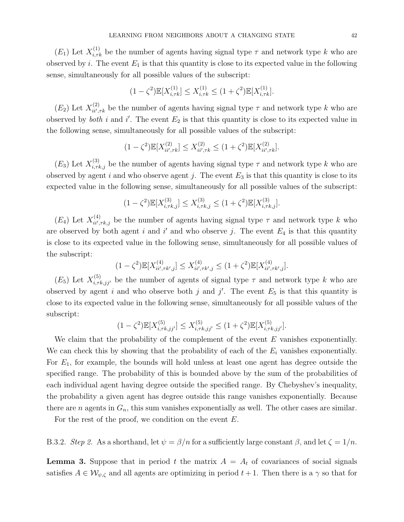$(E_1)$  Let  $X_{i,\tau k}^{(1)}$  be the number of agents having signal type  $\tau$  and network type k who are observed by i. The event  $E_1$  is that this quantity is close to its expected value in the following sense, simultaneously for all possible values of the subscript:

$$
(1 - \zeta^2) \mathbb{E}[X_{i,\tau k}^{(1)}] \le X_{i,\tau k}^{(1)} \le (1 + \zeta^2) \mathbb{E}[X_{i,\tau k}^{(1)}].
$$

 $(E_2)$  Let  $X_{ii',i'}^{(2)}$  $\sum_{ii',\tau k}^{(2)}$  be the number of agents having signal type  $\tau$  and network type k who are observed by *both* i and i'. The event  $E_2$  is that this quantity is close to its expected value in the following sense, simultaneously for all possible values of the subscript:

$$
(1 - \zeta^2) \mathbb{E}[X_{ii',\tau k}^{(2)}] \le X_{ii',\tau k}^{(2)} \le (1 + \zeta^2) \mathbb{E}[X_{ii',\tau k}^{(2)}].
$$

 $(E_3)$  Let  $X_{i,\tau k,j}^{(3)}$  be the number of agents having signal type  $\tau$  and network type k who are observed by agent i and who observe agent j. The event  $E_3$  is that this quantity is close to its expected value in the following sense, simultaneously for all possible values of the subscript:

$$
(1 - \zeta^2) \mathbb{E}[X_{i,\tau k,j}^{(3)}] \le X_{i,\tau k,j}^{(3)} \le (1 + \zeta^2) \mathbb{E}[X_{i,\tau k,j}^{(3)}].
$$

 $(E_4)$  Let  $X_{ii',i}^{(4)}$  $\lambda_{ii',\tau k,j}^{(4)}$  be the number of agents having signal type  $\tau$  and network type k who are observed by both agent i and i' and who observe j. The event  $E_4$  is that this quantity is close to its expected value in the following sense, simultaneously for all possible values of the subscript:

$$
(1 - \zeta^2) \mathbb{E}[X_{ii',\tau k',j}^{(4)}] \le X_{ii',\tau k',j}^{(4)} \le (1 + \zeta^2) \mathbb{E}[X_{ii',\tau k',j}^{(4)}].
$$

 $(E_5)$  Let  $X_{i,\tau k,jj'}^{(5)}$  be the number of agents of signal type  $\tau$  and network type k who are observed by agent i and who observe both j and j'. The event  $E_5$  is that this quantity is close to its expected value in the following sense, simultaneously for all possible values of the subscript:

$$
(1 - \zeta^2) \mathbb{E}[X_{i, \tau k, j j'}^{(5)}] \le X_{i, \tau k, j j'}^{(5)} \le (1 + \zeta^2) \mathbb{E}[X_{i, \tau k, j j'}^{(5)}].
$$

We claim that the probability of the complement of the event  $E$  vanishes exponentially. We can check this by showing that the probability of each of the  $E_i$  vanishes exponentially. For  $E_1$ , for example, the bounds will hold unless at least one agent has degree outside the specified range. The probability of this is bounded above by the sum of the probabilities of each individual agent having degree outside the specified range. By Chebyshev's inequality, the probability a given agent has degree outside this range vanishes exponentially. Because there are n agents in  $G_n$ , this sum vanishes exponentially as well. The other cases are similar.

For the rest of the proof, we condition on the event  $E$ .

B.3.2. Step 2. As a shorthand, let  $\psi = \beta/n$  for a sufficiently large constant  $\beta$ , and let  $\zeta = 1/n$ .

<span id="page-42-0"></span>**Lemma 3.** Suppose that in period t the matrix  $A = A_t$  of covariances of social signals satisfies  $A \in \mathcal{W}_{\psi,\zeta}$  and all agents are optimizing in period  $t+1$ . Then there is a  $\gamma$  so that for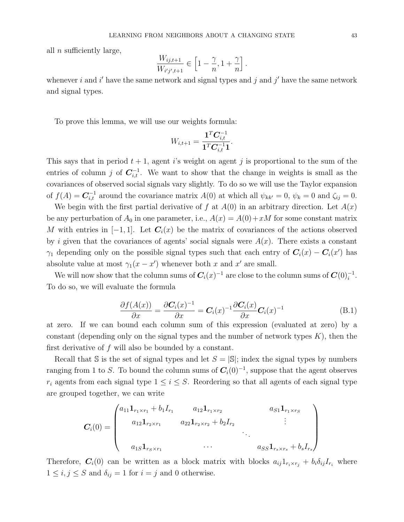all  $n$  sufficiently large,

$$
\frac{W_{ij,t+1}}{W_{i'j',t+1}} \in \left[1-\frac{\gamma}{n},1+\frac{\gamma}{n}\right].
$$

whenever i and i' have the same network and signal types and j and j' have the same network and signal types.

To prove this lemma, we will use our weights formula:

$$
W_{i,t+1} = \frac{\mathbf{1}^T \mathbf{C}_{i,t}^{-1}}{\mathbf{1}^T \mathbf{C}_{i,t}^{-1} \mathbf{1}}.
$$

This says that in period  $t + 1$ , agent is weight on agent j is proportional to the sum of the entries of column j of  $C_{i,t}^{-1}$ . We want to show that the change in weights is small as the covariances of observed social signals vary slightly. To do so we will use the Taylor expansion of  $f(A) = \mathbf{C}_{i,t}^{-1}$  around the covariance matrix  $A(0)$  at which all  $\psi_{kk'} = 0$ ,  $\psi_k = 0$  and  $\zeta_{ij} = 0$ .

We begin with the first partial derivative of f at  $A(0)$  in an arbitrary direction. Let  $A(x)$ be any perturbation of  $A_0$  in one parameter, i.e.,  $A(x) = A(0) + xM$  for some constant matrix M with entries in  $[-1, 1]$ . Let  $C_i(x)$  be the matrix of covariances of the actions observed by i given that the covariances of agents' social signals were  $A(x)$ . There exists a constant  $\gamma_1$  depending only on the possible signal types such that each entry of  $C_i(x) - C_i(x')$  has absolute value at most  $\gamma_1(x - x')$  whenever both x and x' are small.

We will now show that the column sums of  $C_i(x)^{-1}$  are close to the column sums of  $C(0)_i^{-1}$ . To do so, we will evaluate the formula

<span id="page-43-0"></span>
$$
\frac{\partial f(A(x))}{\partial x} = \frac{\partial \mathbf{C}_i(x)^{-1}}{\partial x} = \mathbf{C}_i(x)^{-1} \frac{\partial \mathbf{C}_i(x)}{\partial x} \mathbf{C}_i(x)^{-1}
$$
(B.1)

at zero. If we can bound each column sum of this expression (evaluated at zero) by a constant (depending only on the signal types and the number of network types  $K$ ), then the first derivative of  $f$  will also be bounded by a constant.

Recall that S is the set of signal types and let  $S = |S|$ ; index the signal types by numbers ranging from 1 to S. To bound the column sums of  $\mathbf{C}_i(0)^{-1}$ , suppose that the agent observes  $r_i$  agents from each signal type  $1 \leq i \leq S$ . Reordering so that all agents of each signal type are grouped together, we can write

$$
C_i(0) = \begin{pmatrix} a_{11} \mathbf{1}_{r_1 \times r_1} + b_1 I_{r_1} & a_{12} \mathbf{1}_{r_1 \times r_2} & a_{S1} \mathbf{1}_{r_1 \times r_S} \\ a_{12} \mathbf{1}_{r_2 \times r_1} & a_{22} \mathbf{1}_{r_2 \times r_2} + b_2 I_{r_2} & \vdots \\ a_{1S} \mathbf{1}_{r_S \times r_1} & \cdots & a_{SS} \mathbf{1}_{r_s \times r_s} + b_s I_{r_s} \end{pmatrix}
$$

Therefore,  $C_i(0)$  can be written as a block matrix with blocks  $a_{ij}1_{r_i \times r_j} + b_i\delta_{ij}I_{r_i}$  where  $1 \leq i, j \leq S$  and  $\delta_{ij} = 1$  for  $i = j$  and 0 otherwise.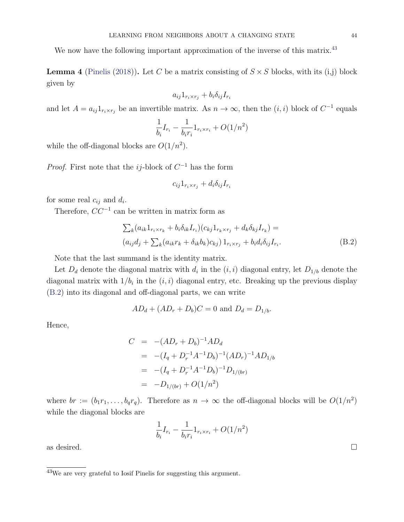We now have the following important approximation of the inverse of this matrix.<sup>[43](#page-44-0)</sup>

<span id="page-44-2"></span>**Lemma 4** [\(Pinelis](#page-36-0) [\(2018\)](#page-36-0)). Let C be a matrix consisting of  $S \times S$  blocks, with its (i,j) block given by

$$
a_{ij}1_{r_i \times r_j} + b_i \delta_{ij} I_{r_i}
$$

and let  $A = a_{ij} 1_{r_i \times r_j}$  be an invertible matrix. As  $n \to \infty$ , then the  $(i, i)$  block of  $C^{-1}$  equals

$$
\frac{1}{b_i}I_{r_i} - \frac{1}{b_i r_i} 1_{r_i \times r_i} + O(1/n^2)
$$

while the off-diagonal blocks are  $O(1/n^2)$ .

*Proof.* First note that the *ij*-block of  $C^{-1}$  has the form

$$
c_{ij}1_{r_i \times r_j} + d_i\delta_{ij}I_{r_i}
$$

for some real  $c_{ij}$  and  $d_i$ .

Therefore,  $CC^{-1}$  can be written in matrix form as

<span id="page-44-1"></span>
$$
\sum_{k} (a_{ik} 1_{r_i \times r_k} + b_i \delta_{ik} I_{r_i}) (c_{kj} 1_{r_k \times r_j} + d_k \delta_{kj} I_{r_k}) =
$$
  

$$
(a_{ij} d_j + \sum_{k} (a_{ik} r_k + \delta_{ik} b_k) c_{kj}) 1_{r_i \times r_j} + b_i d_i \delta_{ij} I_{r_i}.
$$
 (B.2)

Note that the last summand is the identity matrix.

Let  $D_d$  denote the diagonal matrix with  $d_i$  in the  $(i, i)$  diagonal entry, let  $D_{1/b}$  denote the diagonal matrix with  $1/b_i$  in the  $(i, i)$  diagonal entry, etc. Breaking up the previous display [\(B.2\)](#page-44-1) into its diagonal and off-diagonal parts, we can write

$$
AD_d + (AD_r + D_b)C = 0
$$
 and  $D_d = D_{1/b}$ .

Hence,

$$
C = -(AD_r + D_b)^{-1}AD_d
$$
  
= -(I<sub>q</sub> + D<sub>r</sub><sup>-1</sup>A<sup>-1</sup>D<sub>b</sub>)<sup>-1</sup>(AD<sub>r</sub>)<sup>-1</sup>AD<sub>1/b</sub>  
= -(I<sub>q</sub> + D<sub>r</sub><sup>-1</sup>A<sup>-1</sup>D<sub>b</sub>)<sup>-1</sup>D<sub>1/(br)</sub>  
= -D<sub>1/(br)</sub> + O(1/n<sup>2</sup>)

where  $br := (b_1r_1, \ldots, b_qr_q)$ . Therefore as  $n \to \infty$  the off-diagonal blocks will be  $O(1/n^2)$ while the diagonal blocks are

$$
\frac{1}{b_i}I_{r_i}-\frac{1}{b_ir_i}1_{r_i\times r_i}+O(1/n^2)
$$

as desired.  $\square$ 

<span id="page-44-0"></span> $\overline{\text{^{43}We}}$  are very grateful to Iosif Pinelis for suggesting this argument.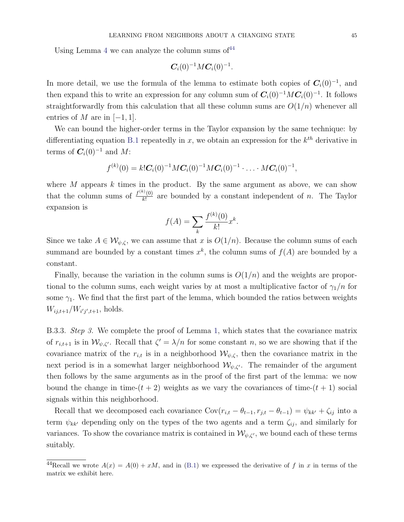Using Lemma [4](#page-44-2) we can analyze the column sums of  $44$ 

$$
\bm{C}_i(0)^{-1} M \bm{C}_i(0)^{-1}.
$$

In more detail, we use the formula of the lemma to estimate both copies of  $C_i(0)^{-1}$ , and then expand this to write an expression for any column sum of  $C_i(0)^{-1}MC_i(0)^{-1}$ . It follows straightforwardly from this calculation that all these column sums are  $O(1/n)$  whenever all entries of  $M$  are in  $[-1, 1]$ .

We can bound the higher-order terms in the Taylor expansion by the same technique: by differentiating equation [B.1](#page-43-0) repeatedly in x, we obtain an expression for the  $k^{th}$  derivative in terms of  $C_i(0)^{-1}$  and M:

$$
f^{(k)}(0) = k! \mathbf{C}_i(0)^{-1} M \mathbf{C}_i(0)^{-1} M \mathbf{C}_i(0)^{-1} \cdot \ldots \cdot M \mathbf{C}_i(0)^{-1},
$$

where  $M$  appears  $k$  times in the product. By the same argument as above, we can show that the column sums of  $\frac{f^{(k)}(0)}{k!}$  $\frac{\partial f(0)}{\partial k!}$  are bounded by a constant independent of *n*. The Taylor expansion is

$$
f(A) = \sum_{k} \frac{f^{(k)}(0)}{k!} x^{k}.
$$

Since we take  $A \in \mathcal{W}_{\psi,\zeta}$ , we can assume that x is  $O(1/n)$ . Because the column sums of each summand are bounded by a constant times  $x^k$ , the column sums of  $f(A)$  are bounded by a constant.

Finally, because the variation in the column sums is  $O(1/n)$  and the weights are proportional to the column sums, each weight varies by at most a multiplicative factor of  $\gamma_1/n$  for some  $\gamma_1$ . We find that the first part of the lemma, which bounded the ratios between weights  $W_{ij,t+1}/W_{i'j',t+1}$ , holds.

B.3.3. Step 3. We complete the proof of Lemma [1,](#page-40-1) which states that the covariance matrix of  $r_{i,t+1}$  is in  $\mathcal{W}_{\psi,\zeta}$ . Recall that  $\zeta' = \lambda/n$  for some constant n, so we are showing that if the covariance matrix of the  $r_{i,t}$  is in a neighborhood  $\mathcal{W}_{\psi,\zeta}$ , then the covariance matrix in the next period is in a somewhat larger neighborhood  $\mathcal{W}_{\psi,\zeta}$ . The remainder of the argument then follows by the same arguments as in the proof of the first part of the lemma: we now bound the change in time- $(t + 2)$  weights as we vary the covariances of time- $(t + 1)$  social signals within this neighborhood.

Recall that we decomposed each covariance  $Cov(r_{i,t} - \theta_{t-1}, r_{j,t} - \theta_{t-1}) = \psi_{kk'} + \zeta_{ij}$  into a term  $\psi_{kk'}$  depending only on the types of the two agents and a term  $\zeta_{ij}$ , and similarly for variances. To show the covariance matrix is contained in  $\mathcal{W}_{\psi,\zeta}$ , we bound each of these terms suitably.

<span id="page-45-0"></span><sup>&</sup>lt;sup>44</sup>Recall we wrote  $A(x) = A(0) + xM$ , and in [\(B.1\)](#page-43-0) we expressed the derivative of f in x in terms of the matrix we exhibit here.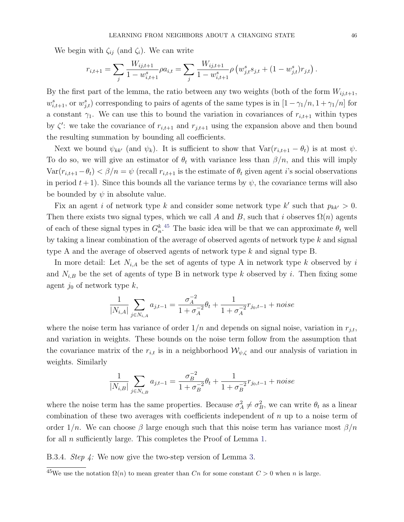We begin with  $\zeta_{ij}$  (and  $\zeta_i$ ). We can write

$$
r_{i,t+1} = \sum_j \frac{W_{ij,t+1}}{1 - w_{i,t+1}^s} \rho a_{i,t} = \sum_j \frac{W_{ij,t+1}}{1 - w_{i,t+1}^s} \rho \left(w_{j,t}^s s_{j,t} + (1 - w_{j,t}^s) r_{j,t}\right).
$$

By the first part of the lemma, the ratio between any two weights (both of the form  $W_{ij,t+1}$ ,  $w_{i,t+1}^s$ , or  $w_{j,t}^s$  corresponding to pairs of agents of the same types is in  $[1 - \gamma_1/n, 1 + \gamma_1/n]$  for a constant  $\gamma_1$ . We can use this to bound the variation in covariances of  $r_{i,t+1}$  within types by  $\zeta'$ : we take the covariance of  $r_{i,t+1}$  and  $r_{j,t+1}$  using the expansion above and then bound the resulting summation by bounding all coefficients.

Next we bound  $\psi_{kk'}$  (and  $\psi_k$ ). It is sufficient to show that  $Var(r_{i,t+1} - \theta_t)$  is at most  $\psi$ . To do so, we will give an estimator of  $\theta_t$  with variance less than  $\beta/n$ , and this will imply  $Var(r_{i,t+1}-\theta_t) < \beta/n = \psi$  (recall  $r_{i,t+1}$  is the estimate of  $\theta_t$  given agent *i*'s social observations in period  $t + 1$ ). Since this bounds all the variance terms by  $\psi$ , the covariance terms will also be bounded by  $\psi$  in absolute value.

Fix an agent i of network type k and consider some network type  $k'$  such that  $p_{kk'} > 0$ . Then there exists two signal types, which we call A and B, such that i observes  $\Omega(n)$  agents of each of these signal types in  $G_n^k$ .<sup>[45](#page-46-0)</sup> The basic idea will be that we can approximate  $\theta_t$  well by taking a linear combination of the average of observed agents of network type  $k$  and signal type A and the average of observed agents of network type k and signal type B.

In more detail: Let  $N_{i,A}$  be the set of agents of type A in network type k observed by i and  $N_{i,B}$  be the set of agents of type B in network type k observed by i. Then fixing some agent  $j_0$  of network type  $k$ ,

$$
\frac{1}{|N_{i,A}|} \sum_{j \in N_{i,A}} a_{j,t-1} = \frac{\sigma_A^{-2}}{1 + \sigma_A^{-2}} \theta_t + \frac{1}{1 + \sigma_A^{-2}} r_{j_0,t-1} + noise
$$

where the noise term has variance of order  $1/n$  and depends on signal noise, variation in  $r_{i,t}$ , and variation in weights. These bounds on the noise term follow from the assumption that the covariance matrix of the  $r_{i,t}$  is in a neighborhood  $\mathcal{W}_{\psi,\zeta}$  and our analysis of variation in weights. Similarly

$$
\frac{1}{|N_{i,B}|} \sum_{j \in N_{i,B}} a_{j,t-1} = \frac{\sigma_B^{-2}}{1 + \sigma_B^{-2}} \theta_t + \frac{1}{1 + \sigma_B^{-2}} r_{j_0,t-1} + noise
$$

where the noise term has the same properties. Because  $\sigma_A^2 \neq \sigma_B^2$ , we can write  $\theta_t$  as a linear combination of these two averages with coefficients independent of  $n$  up to a noise term of order  $1/n$ . We can choose  $\beta$  large enough such that this noise term has variance most  $\beta/n$ for all n sufficiently large. This completes the Proof of Lemma [1.](#page-40-1)

B.3.4. Step 4: We now give the two-step version of Lemma [3.](#page-42-0)

<span id="page-46-0"></span> $\frac{45}{10}$ We use the notation  $\Omega(n)$  to mean greater than Cn for some constant  $C > 0$  when n is large.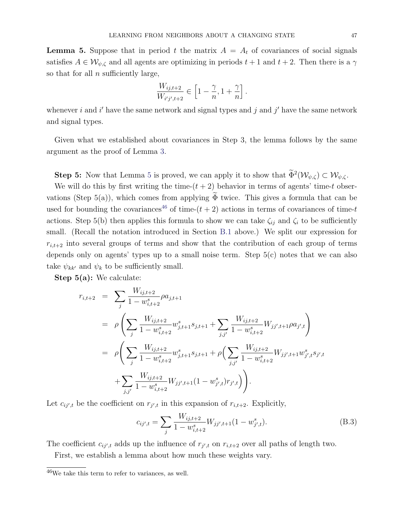<span id="page-47-0"></span>**Lemma 5.** Suppose that in period t the matrix  $A = A_t$  of covariances of social signals satisfies  $A \in \mathcal{W}_{\psi,\zeta}$  and all agents are optimizing in periods  $t+1$  and  $t+2$ . Then there is a  $\gamma$ so that for all  $n$  sufficiently large,

$$
\frac{W_{ij,t+2}}{W_{i'j',t+2}}\in\left[1-\frac{\gamma}{n},1+\frac{\gamma}{n}\right].
$$

whenever i and i' have the same network and signal types and j and j' have the same network and signal types.

Given what we established about covariances in Step 3, the lemma follows by the same argument as the proof of Lemma [3.](#page-42-0)

**Step [5](#page-47-0):** Now that Lemma 5 is proved, we can apply it to show that  $\Phi^2(\mathcal{W}_{\psi,\zeta}) \subset \mathcal{W}_{\psi,\zeta}$ .

We will do this by first writing the time- $(t + 2)$  behavior in terms of agents' time-t observations (Step 5(a)), which comes from applying  $\widetilde{\Phi}$  twice. This gives a formula that can be used for bounding the covariances<sup>[46](#page-47-1)</sup> of time- $(t + 2)$  actions in terms of covariances of time-t actions. Step 5(b) then applies this formula to show we can take  $\zeta_{ij}$  and  $\zeta_i$  to be sufficiently small. (Recall the notation introduced in Section [B.1](#page-38-2) above.) We split our expression for  $r_{i,t+2}$  into several groups of terms and show that the contribution of each group of terms depends only on agents' types up to a small noise term. Step 5(c) notes that we can also take  $\psi_{kk'}$  and  $\psi_k$  to be sufficiently small.

Step 5(a): We calculate:

$$
r_{i,t+2} = \sum_{j} \frac{W_{ij,t+2}}{1 - w_{i,t+2}^s} \rho a_{j,t+1}
$$
  
\n
$$
= \rho \left( \sum_{j} \frac{W_{ij,t+2}}{1 - w_{i,t+2}^s} w_{j,t+1}^s s_{j,t+1} + \sum_{j,j'} \frac{W_{ij,t+2}}{1 - w_{i,t+2}^s} W_{jj',t+1} \rho a_{j',t} \right)
$$
  
\n
$$
= \rho \left( \sum_{j} \frac{W_{ij,t+2}}{1 - w_{i,t+2}^s} w_{j,t+1}^s s_{j,t+1} + \rho \left( \sum_{j,j'} \frac{W_{ij,t+2}}{1 - w_{i,t+2}^s} W_{jj',t+1} w_{j',t}^s s_{j',t} + \sum_{j,j'} \frac{W_{ij,t+2}}{1 - w_{i,t+2}^s} W_{jj',t+1} (1 - w_{j',t}^s) r_{j',t} \right) \right).
$$

Let  $c_{ij',t}$  be the coefficient on  $r_{j',t}$  in this expansion of  $r_{i,t+2}$ . Explicitly,

<span id="page-47-2"></span>
$$
c_{ij',t} = \sum_{j} \frac{W_{ij,t+2}}{1 - w_{i,t+2}^s} W_{jj',t+1} (1 - w_{j',t}^s). \tag{B.3}
$$

The coefficient  $c_{ij',t}$  adds up the influence of  $r_{j',t}$  on  $r_{i,t+2}$  over all paths of length two.

First, we establish a lemma about how much these weights vary.

<span id="page-47-1"></span> $46$ We take this term to refer to variances, as well.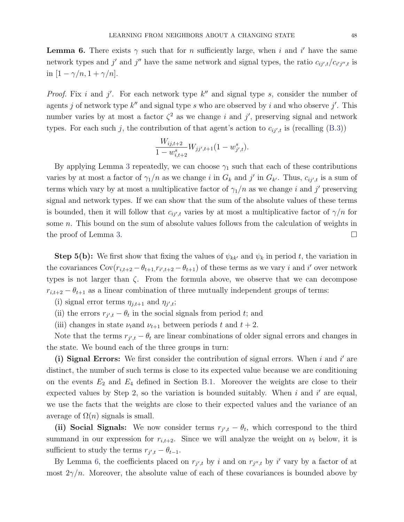<span id="page-48-0"></span>**Lemma 6.** There exists  $\gamma$  such that for n sufficiently large, when i and i' have the same network types and j' and j'' have the same network and signal types, the ratio  $c_{ij',t}/c_{i'j'',t}$  is in  $[1 - \gamma/n, 1 + \gamma/n].$ 

*Proof.* Fix i and j'. For each network type  $k''$  and signal type s, consider the number of agents j of network type  $k''$  and signal type s who are observed by i and who observe j'. This number varies by at most a factor  $\zeta^2$  as we change i and j', preserving signal and network types. For each such j, the contribution of that agent's action to  $c_{ij',t}$  is (recalling [\(B.3\)](#page-47-2))

$$
\frac{W_{ij,t+2}}{1 - w_{i,t+2}^s} W_{jj',t+1} (1 - w_{j',t}^s).
$$

By applying Lemma [3](#page-42-0) repeatedly, we can choose  $\gamma_1$  such that each of these contributions varies by at most a factor of  $\gamma_1/n$  as we change i in  $G_k$  and j' in  $G_{k'}$ . Thus,  $c_{ij',t}$  is a sum of terms which vary by at most a multiplicative factor of  $\gamma_1/n$  as we change i and j' preserving signal and network types. If we can show that the sum of the absolute values of these terms is bounded, then it will follow that  $c_{ij',t}$  varies by at most a multiplicative factor of  $\gamma/n$  for some n. This bound on the sum of absolute values follows from the calculation of weights in the proof of Lemma [3.](#page-42-0)  $\Box$ 

**Step 5(b):** We first show that fixing the values of  $\psi_{kk'}$  and  $\psi_k$  in period t, the variation in the covariances  $Cov(r_{i,t+2} - \theta_{t+1}, r_{i',t+2} - \theta_{t+1})$  of these terms as we vary i and i' over network types is not larger than  $\zeta$ . From the formula above, we observe that we can decompose  $r_{i,t+2} - \theta_{t+1}$  as a linear combination of three mutually independent groups of terms:

- (i) signal error terms  $\eta_{j,t+1}$  and  $\eta_{j',t}$ ;
- (ii) the errors  $r_{j',t} \theta_t$  in the social signals from period t; and
- (iii) changes in state  $\nu_t$  and  $\nu_{t+1}$  between periods t and  $t+2$ .

Note that the terms  $r_{j',t} - \theta_t$  are linear combinations of older signal errors and changes in the state. We bound each of the three groups in turn:

(i) Signal Errors: We first consider the contribution of signal errors. When  $i$  and  $i'$  are distinct, the number of such terms is close to its expected value because we are conditioning on the events  $E_2$  and  $E_4$  defined in Section [B.1.](#page-38-2) Moreover the weights are close to their expected values by Step 2, so the variation is bounded suitably. When  $i$  and  $i'$  are equal, we use the facts that the weights are close to their expected values and the variance of an average of  $\Omega(n)$  signals is small.

(ii) Social Signals: We now consider terms  $r_{j',t} - \theta_t$ , which correspond to the third summand in our expression for  $r_{i,t+2}$ . Since we will analyze the weight on  $\nu_t$  below, it is sufficient to study the terms  $r_{j',t} - \theta_{t-1}$ .

By Lemma [6,](#page-48-0) the coefficients placed on  $r_{j',t}$  by i and on  $r_{j'',t}$  by i' vary by a factor of at most  $2\gamma/n$ . Moreover, the absolute value of each of these covariances is bounded above by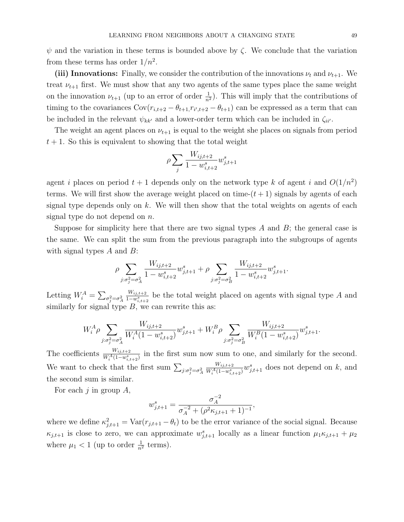(iii) Innovations: Finally, we consider the contribution of the innovations  $\nu_t$  and  $\nu_{t+1}$ . We treat  $\nu_{t+1}$  first. We must show that any two agents of the same types place the same weight on the innovation  $\nu_{t+1}$  (up to an error of order  $\frac{1}{n^2}$ ). This will imply that the contributions of timing to the covariances  $Cov(r_{i,t+2} - \theta_{t+1}, r_{i',t+2} - \theta_{t+1})$  can be expressed as a term that can be included in the relevant  $\psi_{kk'}$  and a lower-order term which can be included in  $\zeta_{ii'}$ .

The weight an agent places on  $\nu_{t+1}$  is equal to the weight she places on signals from period  $t + 1$ . So this is equivalent to showing that the total weight

$$
\rho \sum_j \frac{W_{ij,t+2}}{1 - w_{i,t+2}^s} w_{j,t+1}^s
$$

agent i places on period  $t + 1$  depends only on the network type k of agent i and  $O(1/n^2)$ terms. We will first show the average weight placed on time- $(t + 1)$  signals by agents of each signal type depends only on  $k$ . We will then show that the total weights on agents of each signal type do not depend on  $n$ .

Suppose for simplicity here that there are two signal types  $A$  and  $B$ ; the general case is the same. We can split the sum from the previous paragraph into the subgroups of agents with signal types  $A$  and  $B$ :

$$
\rho \sum_{j:\sigma_j^2 = \sigma_A^2} \frac{W_{ij,t+2}}{1 - w_{i,t+2}^s} w_{j,t+1}^s + \rho \sum_{j:\sigma_j^2 = \sigma_B^2} \frac{W_{ij,t+2}}{1 - w_{i,t+2}^s} w_{j,t+1}^s.
$$

Letting  $W_i^A = \sum_{\sigma_j^2 = \sigma_A^2}$  $W_{ij,t+2}$  $\frac{W_{ij,t+2}}{1-w_{i,t+2}^s}$  be the total weight placed on agents with signal type A and similarly for signal type  $B$ , we can rewrite this as:

$$
W_i^A \rho \sum_{j:\sigma_j^2 = \sigma_A^2} \frac{W_{ij,t+2}}{W_i^A (1 - w_{i,t+2}^s)} w_{j,t+1}^s + W_i^B \rho \sum_{j:\sigma_j^2 = \sigma_B^2} \frac{W_{ij,t+2}}{W_i^B (1 - w_{i,t+2}^s)} w_{j,t+1}^s.
$$

The coefficients  $\frac{W_{ij,t+2}}{W_i^A(1-w_{i,t+2}^s)}$  in the first sum now sum to one, and similarly for the second. We want to check that the first sum  $\sum_{j:\sigma_j^2=\sigma_A^2}$  $W_{ij,t+2}$  $\frac{W_{ij,t+2}}{W_i^A(1-w_{i,t+2}^s)}w_{j,t+1}^s$  does not depend on k, and the second sum is similar.

For each  $j$  in group  $A$ ,

$$
w_{j,t+1}^s = \frac{\sigma_A^{-2}}{\sigma_A^{-2} + (\rho^2 \kappa_{j,t+1} + 1)^{-1}},
$$

where we define  $\kappa_{j,t+1}^2 = \text{Var}(r_{j,t+1} - \theta_t)$  to be the error variance of the social signal. Because  $\kappa_{j,t+1}$  is close to zero, we can approximate  $w_{j,t+1}^s$  locally as a linear function  $\mu_1 \kappa_{j,t+1} + \mu_2$ where  $\mu_1 < 1$  (up to order  $\frac{1}{n^2}$  terms).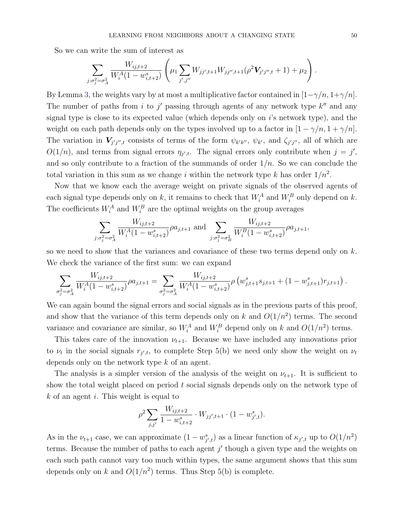So we can write the sum of interest as

$$
\sum_{j:\sigma_j^2=\sigma_A^2} \frac{W_{ij,t+2}}{W_i^A(1-w_{i,t+2}^s)} \left(\mu_1 \sum_{j',j''} W_{jj',t+1} W_{jj'',t+1}(\rho^2 V_{j'j'',t}+1) + \mu_2\right).
$$

By Lemma [3,](#page-42-0) the weights vary by at most a multiplicative factor contained in  $[1-\gamma/n, 1+\gamma/n]$ . The number of paths from i to j' passing through agents of any network type  $k''$  and any signal type is close to its expected value (which depends only on  $i$ 's network type), and the weight on each path depends only on the types involved up to a factor in  $[1 - \gamma/n, 1 + \gamma/n]$ . The variation in  $V_{j'j'',t}$  consists of terms of the form  $\psi_{k'k''}, \psi_{k'}$ , and  $\zeta_{j'j''}$ , all of which are  $O(1/n)$ , and terms from signal errors  $\eta_{j',t}$ . The signal errors only contribute when  $j = j'$ , and so only contribute to a fraction of the summands of order  $1/n$ . So we can conclude the total variation in this sum as we change i within the network type k has order  $1/n^2$ .

Now that we know each the average weight on private signals of the observed agents of each signal type depends only on k, it remains to check that  $W_i^A$  and  $W_i^B$  only depend on k. The coefficients  $W_i^A$  and  $W_i^B$  are the optimal weights on the group averages

$$
\sum_{j:\sigma_j^2=\sigma_A^2} \frac{W_{ij,t+2}}{W_i^A (1-w_{i,t+2}^s)} \rho a_{j,t+1} \text{ and } \sum_{j:\sigma_j^2=\sigma_B^2} \frac{W_{ij,t+2}}{W_i^B (1-w_{i,t+2}^s)} \rho a_{j,t+1},
$$

so we need to show that the variances and covariance of these two terms depend only on  $k$ . We check the variance of the first sum: we can expand

$$
\sum_{\sigma_j^2 = \sigma_A^2} \frac{W_{ij,t+2}}{W_i^A (1 - w_{i,t+2}^s)} \rho a_{j,t+1} = \sum_{\sigma_j^2 = \sigma_A^2} \frac{W_{ij,t+2}}{W_i^A (1 - w_{i,t+2}^s)} \rho \left( w_{j,t+1}^s s_{j,t+1} + (1 - w_{j,t+1}^s) r_{j,t+1} \right).
$$

We can again bound the signal errors and social signals as in the previous parts of this proof, and show that the variance of this term depends only on k and  $O(1/n^2)$  terms. The second variance and covariance are similar, so  $W_i^A$  and  $W_i^B$  depend only on k and  $O(1/n^2)$  terms.

This takes care of the innovation  $\nu_{t+1}$ . Because we have included any innovations prior to  $\nu_t$  in the social signals  $r_{j',t}$ , to complete Step 5(b) we need only show the weight on  $\nu_t$ depends only on the network type k of an agent.

The analysis is a simpler version of the analysis of the weight on  $\nu_{t+1}$ . It is sufficient to show the total weight placed on period  $t$  social signals depends only on the network type of  $k$  of an agent i. This weight is equal to

$$
\rho^2 \sum_{j,j'} \frac{W_{ij,t+2}}{1 - w_{i,t+2}^s} \cdot W_{jj',t+1} \cdot (1 - w_{j',t}^s).
$$

As in the  $\nu_{t+1}$  case, we can approximate  $(1 - w_{j',t}^s)$  as a linear function of  $\kappa_{j',t}$  up to  $O(1/n^2)$ terms. Because the number of paths to each agent  $j'$  though a given type and the weights on each such path cannot vary too much within types, the same argument shows that this sum depends only on k and  $O(1/n^2)$  terms. Thus Step 5(b) is complete.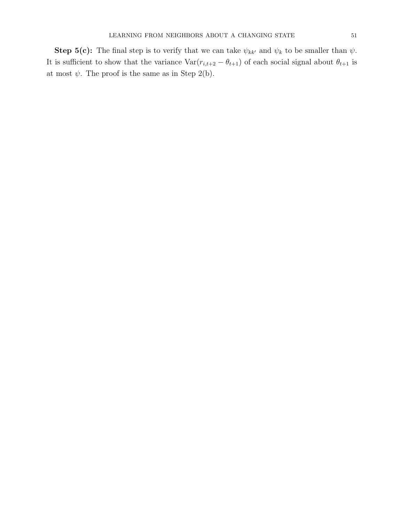Step 5(c): The final step is to verify that we can take  $\psi_{kk'}$  and  $\psi_k$  to be smaller than  $\psi$ . It is sufficient to show that the variance  $\text{Var}(r_{i,t+2} - \theta_{t+1})$  of each social signal about  $\theta_{t+1}$  is at most  $\psi$ . The proof is the same as in Step 2(b).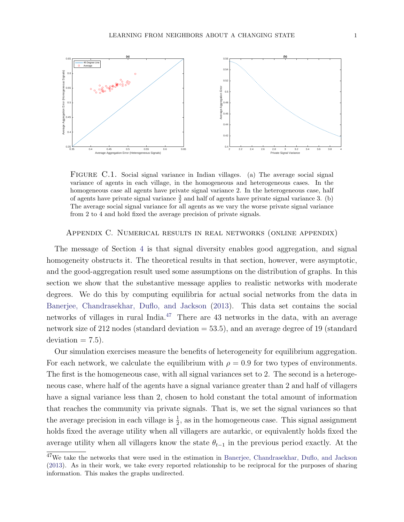<span id="page-52-1"></span>

FIGURE C.1. Social signal variance in Indian villages. (a) The average social signal variance of agents in each village, in the homogeneous and heterogeneous cases. In the homogeneous case all agents have private signal variance 2. In the heterogeneous case, half of agents have private signal variance  $\frac{3}{2}$  and half of agents have private signal variance 3. (b) The average social signal variance for all agents as we vary the worse private signal variance from 2 to 4 and hold fixed the average precision of private signals.

#### Appendix C. Numerical results in real networks (online appendix)

The message of Section [4](#page-12-0) is that signal diversity enables good aggregation, and signal homogeneity obstructs it. The theoretical results in that section, however, were asymptotic, and the good-aggregation result used some assumptions on the distribution of graphs. In this section we show that the substantive message applies to realistic networks with moderate degrees. We do this by computing equilibria for actual social networks from the data in [Banerjee, Chandrasekhar, Duflo, and Jackson](#page-35-0) [\(2013\)](#page-35-0). This data set contains the social networks of villages in rural India. $47$  There are 43 networks in the data, with an average network size of 212 nodes (standard deviation = 53.5), and an average degree of 19 (standard  $deviation = 7.5$ .

Our simulation exercises measure the benefits of heterogeneity for equilibrium aggregation. For each network, we calculate the equilibrium with  $\rho = 0.9$  for two types of environments. The first is the homogeneous case, with all signal variances set to 2. The second is a heterogeneous case, where half of the agents have a signal variance greater than 2 and half of villagers have a signal variance less than 2, chosen to hold constant the total amount of information that reaches the community via private signals. That is, we set the signal variances so that the average precision in each village is  $\frac{1}{2}$ , as in the homogeneous case. This signal assignment holds fixed the average utility when all villagers are autarkic, or equivalently holds fixed the average utility when all villagers know the state  $\theta_{t-1}$  in the previous period exactly. At the

<span id="page-52-0"></span><sup>&</sup>lt;sup>47</sup>We take the networks that were used in the estimation in [Banerjee, Chandrasekhar, Duflo, and Jackson](#page-35-0) [\(2013\)](#page-35-0). As in their work, we take every reported relationship to be reciprocal for the purposes of sharing information. This makes the graphs undirected.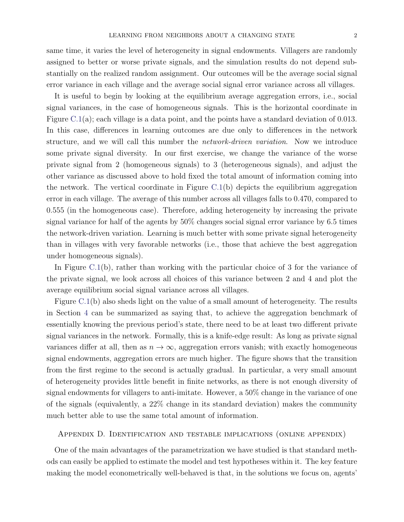same time, it varies the level of heterogeneity in signal endowments. Villagers are randomly assigned to better or worse private signals, and the simulation results do not depend substantially on the realized random assignment. Our outcomes will be the average social signal error variance in each village and the average social signal error variance across all villages.

It is useful to begin by looking at the equilibrium average aggregation errors, i.e., social signal variances, in the case of homogeneous signals. This is the horizontal coordinate in Figure [C.1\(](#page-52-1)a); each village is a data point, and the points have a standard deviation of 0.013. In this case, differences in learning outcomes are due only to differences in the network structure, and we will call this number the network-driven variation. Now we introduce some private signal diversity. In our first exercise, we change the variance of the worse private signal from 2 (homogeneous signals) to 3 (heterogeneous signals), and adjust the other variance as discussed above to hold fixed the total amount of information coming into the network. The vertical coordinate in Figure  $C(1(b))$  depicts the equilibrium aggregation error in each village. The average of this number across all villages falls to 0.470, compared to 0.555 (in the homogeneous case). Therefore, adding heterogeneity by increasing the private signal variance for half of the agents by 50% changes social signal error variance by 6.5 times the network-driven variation. Learning is much better with some private signal heterogeneity than in villages with very favorable networks (i.e., those that achieve the best aggregation under homogeneous signals).

In Figure [C.1\(](#page-52-1)b), rather than working with the particular choice of 3 for the variance of the private signal, we look across all choices of this variance between 2 and 4 and plot the average equilibrium social signal variance across all villages.

Figure [C.1\(](#page-52-1)b) also sheds light on the value of a small amount of heterogeneity. The results in Section [4](#page-12-0) can be summarized as saying that, to achieve the aggregation benchmark of essentially knowing the previous period's state, there need to be at least two different private signal variances in the network. Formally, this is a knife-edge result: As long as private signal variances differ at all, then as  $n \to \infty$ , aggregation errors vanish; with exactly homogeneous signal endowments, aggregation errors are much higher. The figure shows that the transition from the first regime to the second is actually gradual. In particular, a very small amount of heterogeneity provides little benefit in finite networks, as there is not enough diversity of signal endowments for villagers to anti-imitate. However, a 50% change in the variance of one of the signals (equivalently, a 22% change in its standard deviation) makes the community much better able to use the same total amount of information.

# Appendix D. Identification and testable implications (online appendix)

One of the main advantages of the parametrization we have studied is that standard methods can easily be applied to estimate the model and test hypotheses within it. The key feature making the model econometrically well-behaved is that, in the solutions we focus on, agents'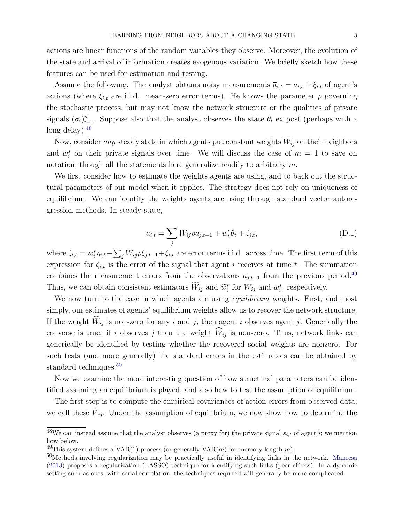actions are linear functions of the random variables they observe. Moreover, the evolution of the state and arrival of information creates exogenous variation. We briefly sketch how these features can be used for estimation and testing.

Assume the following. The analyst obtains noisy measurements  $\bar{a}_{i,t} = a_{i,t} + \xi_{i,t}$  of agent's actions (where  $\xi_{i,t}$  are i.i.d., mean-zero error terms). He knows the parameter  $\rho$  governing the stochastic process, but may not know the network structure or the qualities of private signals  $(\sigma_i)_{i=1}^n$ . Suppose also that the analyst observes the state  $\theta_t$  ex post (perhaps with a long delay).  $48$ 

Now, consider any steady state in which agents put constant weights  $W_{ij}$  on their neighbors and  $w_i^s$  on their private signals over time. We will discuss the case of  $m = 1$  to save on notation, though all the statements here generalize readily to arbitrary  $m$ .

We first consider how to estimate the weights agents are using, and to back out the structural parameters of our model when it applies. The strategy does not rely on uniqueness of equilibrium. We can identify the weights agents are using through standard vector autoregression methods. In steady state,

$$
\overline{a}_{i,t} = \sum_{j} W_{ij} \rho \overline{a}_{j,t-1} + w_i^s \theta_t + \zeta_{i,t}, \tag{D.1}
$$

where  $\zeta_{i,t} = w_i^s \eta_{i,t} - \sum_j W_{ij} \rho \xi_{j,t-1} + \xi_{i,t}$  are error terms i.i.d. across time. The first term of this expression for  $\zeta_{i,t}$  is the error of the signal that agent i receives at time t. The summation combines the measurement errors from the observations  $\bar{a}_{j,t-1}$  from the previous period.<sup>[49](#page-54-1)</sup> Thus, we can obtain consistent estimators  $W_{ij}$  and  $\tilde{w}_i^s$  for  $W_{ij}$  and  $w_i^s$ , respectively.

We now turn to the case in which agents are using *equilibrium* weights. First, and most simply, our estimates of agents' equilibrium weights allow us to recover the network structure. If the weight  $\widehat{W}_{ij}$  is non-zero for any i and j, then agent i observes agent j. Generically the converse is true: if i observes j then the weight  $\widehat{W}_{ij}$  is non-zero. Thus, network links can generically be identified by testing whether the recovered social weights are nonzero. For such tests (and more generally) the standard errors in the estimators can be obtained by standard techniques.<sup>[50](#page-54-2)</sup>

Now we examine the more interesting question of how structural parameters can be identified assuming an equilibrium is played, and also how to test the assumption of equilibrium.

The first step is to compute the empirical covariances of action errors from observed data; we call these  $\tilde{V}_{ij}$ . Under the assumption of equilibrium, we now show how to determine the

<span id="page-54-0"></span> $48$ We can instead assume that the analyst observes (a proxy for) the private signal  $s_{i,t}$  of agent i; we mention how below.

<span id="page-54-1"></span><sup>&</sup>lt;sup>49</sup>This system defines a VAR(1) process (or generally VAR(*m*) for memory length m).

<span id="page-54-2"></span><sup>&</sup>lt;sup>50</sup>Methods involving regularization may be practically useful in identifying links in the network. [Manresa](#page-36-1) [\(2013\)](#page-36-1) proposes a regularization (LASSO) technique for identifying such links (peer effects). In a dynamic setting such as ours, with serial correlation, the techniques required will generally be more complicated.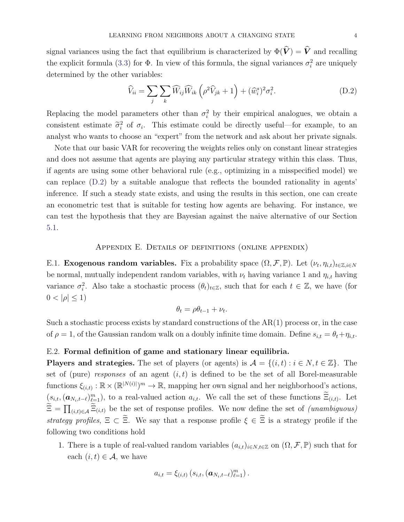signal variances using the fact that equilibrium is characterized by  $\Phi(\hat{V}) = \hat{V}$  and recalling the explicit formula [\(3.3\)](#page-10-0) for  $\Phi$ . In view of this formula, the signal variances  $\sigma_i^2$  are uniquely determined by the other variables:

<span id="page-55-1"></span>
$$
\widehat{V}_{ii} = \sum_{j} \sum_{k} \widehat{W}_{ij} \widehat{W}_{ik} \left( \rho^2 \widehat{V}_{jk} + 1 \right) + (\widehat{w}_{i}^{s})^2 \sigma_i^2.
$$
\n(D.2)

Replacing the model parameters other than  $\sigma_i^2$  by their empirical analogues, we obtain a consistent estimate  $\tilde{\sigma}_i^2$  of  $\sigma_i$ . This estimate could be directly useful—for example, to an analyst who wants to choose an "expert" from the network and ask about her private signals.

Note that our basic VAR for recovering the weights relies only on constant linear strategies and does not assume that agents are playing any particular strategy within this class. Thus, if agents are using some other behavioral rule (e.g., optimizing in a misspecified model) we can replace [\(D.2\)](#page-55-1) by a suitable analogue that reflects the bounded rationality in agents' inference. If such a steady state exists, and using the results in this section, one can create an econometric test that is suitable for testing how agents are behaving. For instance, we can test the hypothesis that they are Bayesian against the naive alternative of our Section [5.1.](#page-23-0)

### Appendix E. Details of definitions (online appendix)

<span id="page-55-0"></span>E.1. Exogenous random variables. Fix a probability space  $(\Omega, \mathcal{F}, \mathbb{P})$ . Let  $(\nu_t, \eta_{i,t})_{t \in \mathbb{Z}, i \in \mathbb{N}}$ be normal, mutually independent random variables, with  $\nu_t$  having variance 1 and  $\eta_{i,t}$  having variance  $\sigma_i^2$ . Also take a stochastic process  $(\theta_t)_{t\in\mathbb{Z}}$ , such that for each  $t \in \mathbb{Z}$ , we have (for  $0 < |\rho| \leq 1$ 

$$
\theta_t = \rho \theta_{t-1} + \nu_t.
$$

Such a stochastic process exists by standard constructions of the  $AR(1)$  process or, in the case of  $\rho = 1$ , of the Gaussian random walk on a doubly infinite time domain. Define  $s_{i,t} = \theta_t + \eta_{i,t}$ .

# E.2. Formal definition of game and stationary linear equilibria.

**Players and strategies.** The set of players (or agents) is  $\mathcal{A} = \{(i, t) : i \in \mathbb{N}, t \in \mathbb{Z}\}$ . The set of (pure) responses of an agent  $(i, t)$  is defined to be the set of all Borel-measurable functions  $\xi_{(i,t)} : \mathbb{R} \times (\mathbb{R}^{|N(i)|})^m \to \mathbb{R}$ , mapping her own signal and her neighborhood's actions,  $(s_{i,t},(\boldsymbol{a}_{N_i,t-\ell})_{\ell=1}^m)$ , to a real-valued action  $a_{i,t}$ . We call the set of these functions  $\Xi_{(i,t)}$ . Let  $\Xi = \prod_{(i,t)\in\mathcal{A}} \Xi_{(i,t)}$  be the set of response profiles. We now define the set of *(unambiguous)* strategy profiles,  $\Xi \subset \tilde{\Xi}$ . We say that a response profile  $\xi \in \tilde{\Xi}$  is a strategy profile if the following two conditions hold

1. There is a tuple of real-valued random variables  $(a_{i,t})_{i\in N,t\in\mathbb{Z}}$  on  $(\Omega,\mathcal{F},\mathbb{P})$  such that for each  $(i, t) \in \mathcal{A}$ , we have

$$
a_{i,t} = \xi_{(i,t)} (s_{i,t}, (\boldsymbol{a}_{N_i,t-\ell})_{\ell=1}^m).
$$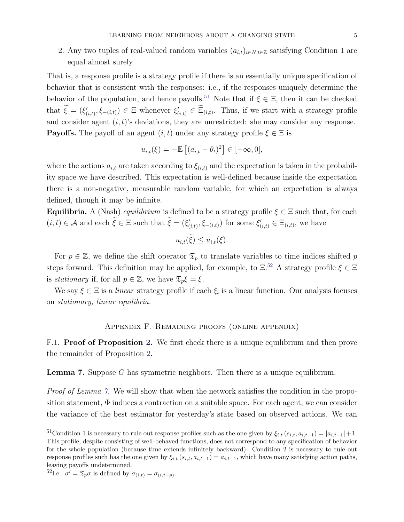2. Any two tuples of real-valued random variables  $(a_{i,t})_{i \in N, t \in \mathbb{Z}}$  satisfying Condition 1 are equal almost surely.

That is, a response profile is a strategy profile if there is an essentially unique specification of behavior that is consistent with the responses: i.e., if the responses uniquely determine the behavior of the population, and hence payoffs.<sup>[51](#page-56-0)</sup> Note that if  $\xi \in \Xi$ , then it can be checked that  $\hat{\xi} = (\xi'_{(i,t)}, \xi_{-(i,t)}) \in \Xi$  whenever  $\xi'_{(i,t)} \in \Xi_{(i,t)}$ . Thus, if we start with a strategy profile and consider agent  $(i, t)$ 's deviations, they are unrestricted: she may consider any response. **Payoffs.** The payoff of an agent  $(i, t)$  under any strategy profile  $\xi \in \Xi$  is

$$
u_{i,t}(\xi) = -\mathbb{E}\left[ (a_{i,t} - \theta_t)^2 \right] \in [-\infty, 0],
$$

where the actions  $a_{i,t}$  are taken according to  $\xi_{(i,t)}$  and the expectation is taken in the probability space we have described. This expectation is well-defined because inside the expectation there is a non-negative, measurable random variable, for which an expectation is always defined, though it may be infinite.

Equilibria. A (Nash) *equilibrium* is defined to be a strategy profile  $\xi \in \Xi$  such that, for each  $(i, t) \in \mathcal{A}$  and each  $\tilde{\xi} \in \Xi$  such that  $\tilde{\xi} = (\xi'_{(i,t)}, \xi_{-(i,t)})$  for some  $\xi'_{(i,t)} \in \Xi_{(i,t)}$ , we have

$$
u_{i,t}(\tilde{\xi}) \leq u_{i,t}(\xi).
$$

For  $p \in \mathbb{Z}$ , we define the shift operator  $\mathfrak{T}_p$  to translate variables to time indices shifted p steps forward. This definition may be applied, for example, to  $\Xi$ <sup>[52](#page-56-1)</sup> A strategy profile  $\xi \in \Xi$ is stationary if, for all  $p \in \mathbb{Z}$ , we have  $\mathfrak{T}_p \xi = \xi$ .

We say  $\xi \in \Xi$  is a *linear* strategy profile if each  $\xi_i$  is a linear function. Our analysis focuses on stationary, linear equilibria.

# Appendix F. Remaining proofs (online appendix)

F.1. **Proof of Proposition [2.](#page-19-0)** We first check there is a unique equilibrium and then prove the remainder of Proposition [2.](#page-19-0)

<span id="page-56-2"></span>**Lemma 7.** Suppose G has symmetric neighbors. Then there is a unique equilibrium.

Proof of Lemma [7.](#page-56-2) We will show that when the network satisfies the condition in the proposition statement,  $\Phi$  induces a contraction on a suitable space. For each agent, we can consider the variance of the best estimator for yesterday's state based on observed actions. We can

<span id="page-56-0"></span> $\frac{51}{61}$ Condition 1 is necessary to rule out response profiles such as the one given by  $\xi_{i,t}$   $(s_{i,t}, a_{i,t-1}) = |a_{i,t-1}| + 1$ . This profile, despite consisting of well-behaved functions, does not correspond to any specification of behavior for the whole population (because time extends infinitely backward). Condition 2 is necessary to rule out response profiles such has the one given by  $\xi_{i,t}$  ( $s_{i,t}, a_{i,t-1}$ ) =  $a_{i,t-1}$ , which have many satisfying action paths, leaving payoffs undetermined.

<span id="page-56-1"></span><sup>&</sup>lt;sup>52</sup>I.e.,  $\sigma' = \mathfrak{T}_p \sigma$  is defined by  $\sigma_{(i,t)} = \sigma_{(i,t-p)}$ .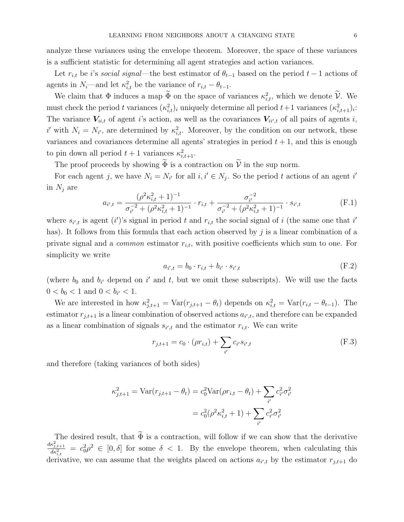analyze these variances using the envelope theorem. Moreover, the space of these variances is a sufficient statistic for determining all agent strategies and action variances.

Let  $r_{i,t}$  be i's social signal—the best estimator of  $\theta_{t-1}$  based on the period  $t-1$  actions of agents in  $N_i$ —and let  $\kappa_{i,t}^2$  be the variance of  $r_{i,t} - \theta_{t-1}$ .

We claim that  $\Phi$  induces a map  $\Phi$  on the space of variances  $\kappa_{i,t}^2$ , which we denote  $\mathcal{V}$ . We must check the period t variances  $(\kappa_{i,t}^2)_i$  uniquely determine all period  $t+1$  variances  $(\kappa_{i,t+1}^2)_i$ : The variance  $V_{ii,t}$  of agent i's action, as well as the covariances  $V_{ii',t}$  of all pairs of agents i, i' with  $N_i = N_{i'}$ , are determined by  $\kappa_{i,t}^2$ . Moreover, by the condition on our network, these variances and covariances determine all agents' strategies in period  $t + 1$ , and this is enough to pin down all period  $t+1$  variances  $\kappa_{i,t+1}^2$ .

The proof proceeds by showing  $\widetilde{\Phi}$  is a contraction on  $\widetilde{\mathcal{V}}$  in the sup norm.

For each agent j, we have  $N_i = N_{i'}$  for all  $i, i' \in N_j$ . So the period t actions of an agent i' in  $N_j$  are

<span id="page-57-2"></span>
$$
a_{i',t} = \frac{(\rho^2 \kappa_{i,t}^2 + 1)^{-1}}{\sigma_{i'}^{-2} + (\rho^2 \kappa_{i,t}^2 + 1)^{-1}} \cdot r_{i,t} + \frac{\sigma_{i'}^{-2}}{\sigma_{i'}^{-2} + (\rho^2 \kappa_{i,t}^2 + 1)^{-1}} \cdot s_{i',t}
$$
(F.1)

where  $s_{i',t}$  is agent (i')'s signal in period t and  $r_{i,t}$  the social signal of i (the same one that i' has). It follows from this formula that each action observed by  $j$  is a linear combination of a private signal and a *common* estimator  $r_{i,t}$ , with positive coefficients which sum to one. For simplicity we write

<span id="page-57-0"></span>
$$
a_{i',t} = b_0 \cdot r_{i,t} + b_{i'} \cdot s_{i',t} \tag{F.2}
$$

(where  $b_0$  and  $b_{i'}$  depend on i' and t, but we omit these subscripts). We will use the facts  $0 < b_0 < 1$  and  $0 < b_{i'} < 1$ .

We are interested in how  $\kappa_{j,t+1}^2 = \text{Var}(r_{j,t+1} - \theta_t)$  depends on  $\kappa_{i,t}^2 = \text{Var}(r_{i,t} - \theta_{t-1})$ . The estimator  $r_{j,t+1}$  is a linear combination of observed actions  $a_{i',t}$ , and therefore can be expanded as a linear combination of signals  $s_{i',t}$  and the estimator  $r_{i,t}$ . We can write

<span id="page-57-1"></span>
$$
r_{j,t+1} = c_0 \cdot (\rho r_{i,t}) + \sum_{i'} c_{i'} s_{i',t}
$$
 (F.3)

and therefore (taking variances of both sides)

$$
\kappa_{j,t+1}^2 = \text{Var}(r_{j,t+1} - \theta_t) = c_0^2 \text{Var}(\rho r_{i,t} - \theta_t) + \sum_{i'} c_{i'}^2 \sigma_{i'}^2
$$

$$
= c_0^2 (\rho^2 \kappa_{i,t}^2 + 1) + \sum_{i'} c_{i'}^2 \sigma_{i'}^2
$$

The desired result, that  $\widetilde{\Phi}$  is a contraction, will follow if we can show that the derivative  $\frac{d\kappa_{j,t+1}^2}{d\kappa_{i,t}^2} = c_0^2 \rho^2 \in [0,\delta]$  for some  $\delta < 1$ . By the envelope theorem, when calculating this derivative, we can assume that the weights placed on actions  $a_{i',t}$  by the estimator  $r_{j,t+1}$  do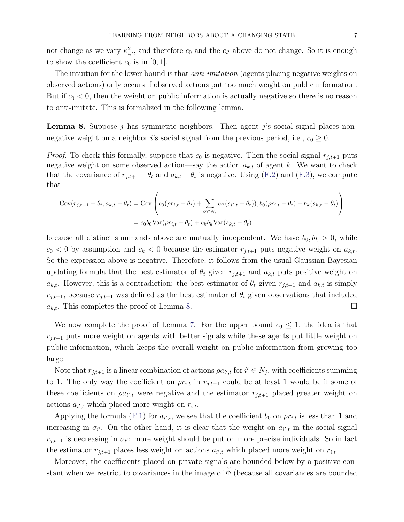not change as we vary  $\kappa_{i,t}^2$ , and therefore  $c_0$  and the  $c_{i'}$  above do not change. So it is enough to show the coefficient  $c_0$  is in [0, 1].

The intuition for the lower bound is that *anti-imitation* (agents placing negative weights on observed actions) only occurs if observed actions put too much weight on public information. But if  $c_0 < 0$ , then the weight on public information is actually negative so there is no reason to anti-imitate. This is formalized in the following lemma.

<span id="page-58-0"></span>**Lemma 8.** Suppose j has symmetric neighbors. Then agent j's social signal places nonnegative weight on a neighbor i's social signal from the previous period, i.e.,  $c_0 \geq 0$ .

*Proof.* To check this formally, suppose that  $c_0$  is negative. Then the social signal  $r_{j,t+1}$  puts negative weight on some observed action—say the action  $a_{k,t}$  of agent k. We want to check that the covariance of  $r_{j,t+1} - \theta_t$  and  $a_{k,t} - \theta_t$  is negative. Using [\(F.2\)](#page-57-0) and [\(F.3\)](#page-57-1), we compute that

$$
Cov(r_{j,t+1} - \theta_t, a_{k,t} - \theta_t) = Cov\left(c_0(\rho r_{i,t} - \theta_t) + \sum_{i' \in N_j} c_{i'}(s_{i',t} - \theta_t)), b_0(\rho r_{i,t} - \theta_t) + b_k(s_{k,t} - \theta_t)\right)
$$
  
=  $c_0 b_0 Var(\rho r_{i,t} - \theta_t) + c_k b_k Var(s_{k,t} - \theta_t)$ 

because all distinct summands above are mutually independent. We have  $b_0, b_k > 0$ , while  $c_0 < 0$  by assumption and  $c_k < 0$  because the estimator  $r_{j,t+1}$  puts negative weight on  $a_{k,t}$ . So the expression above is negative. Therefore, it follows from the usual Gaussian Bayesian updating formula that the best estimator of  $\theta_t$  given  $r_{j,t+1}$  and  $a_{k,t}$  puts positive weight on  $a_{k,t}$ . However, this is a contradiction: the best estimator of  $\theta_t$  given  $r_{j,t+1}$  and  $a_{k,t}$  is simply  $r_{j,t+1}$ , because  $r_{j,t+1}$  was defined as the best estimator of  $\theta_t$  given observations that included  $a_{k,t}$ . This completes the proof of Lemma [8.](#page-58-0)

We now complete the proof of Lemma [7.](#page-56-2) For the upper bound  $c_0 \leq 1$ , the idea is that  $r_{i,t+1}$  puts more weight on agents with better signals while these agents put little weight on public information, which keeps the overall weight on public information from growing too large.

Note that  $r_{j,t+1}$  is a linear combination of actions  $\rho a_{i',t}$  for  $i' \in N_j$ , with coefficients summing to 1. The only way the coefficient on  $\rho r_{i,t}$  in  $r_{j,t+1}$  could be at least 1 would be if some of these coefficients on  $\varphi a_{i',t}$  were negative and the estimator  $r_{j,t+1}$  placed greater weight on actions  $a_{i',t}$  which placed more weight on  $r_{i,t}$ .

Applying the formula [\(F.1\)](#page-57-2) for  $a_{i',t}$ , we see that the coefficient  $b_0$  on  $\rho r_{i,t}$  is less than 1 and increasing in  $\sigma_{i'}$ . On the other hand, it is clear that the weight on  $a_{i',t}$  in the social signal  $r_{j,t+1}$  is decreasing in  $\sigma_{i'}$ : more weight should be put on more precise individuals. So in fact the estimator  $r_{j,t+1}$  places less weight on actions  $a_{i',t}$  which placed more weight on  $r_{i,t}$ .

Moreover, the coefficients placed on private signals are bounded below by a positive constant when we restrict to covariances in the image of  $\widetilde{\Phi}$  (because all covariances are bounded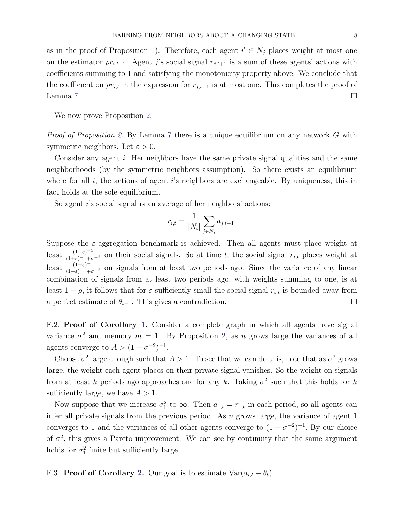as in the proof of Proposition [1\)](#page-11-0). Therefore, each agent  $i' \in N_j$  places weight at most one on the estimator  $\rho r_{i,t-1}$ . Agent j's social signal  $r_{j,t+1}$  is a sum of these agents' actions with coefficients summing to 1 and satisfying the monotonicity property above. We conclude that the coefficient on  $\rho r_{i,t}$  in the expression for  $r_{j,t+1}$  is at most one. This completes the proof of Lemma [7.](#page-56-2)  $\Box$ 

We now prove Proposition [2.](#page-19-0)

*Proof of Proposition [2.](#page-19-0)* By Lemma [7](#page-56-2) there is a unique equilibrium on any network G with symmetric neighbors. Let  $\varepsilon > 0$ .

Consider any agent i. Her neighbors have the same private signal qualities and the same neighborhoods (by the symmetric neighbors assumption). So there exists an equilibrium where for all  $i$ , the actions of agent  $i$ 's neighbors are exchangeable. By uniqueness, this in fact holds at the sole equilibrium.

So agent *i*'s social signal is an average of her neighbors' actions:

$$
r_{i,t} = \frac{1}{|N_i|} \sum_{j \in N_i} a_{j,t-1}.
$$

Suppose the  $\varepsilon$ -aggregation benchmark is achieved. Then all agents must place weight at least  $\frac{(1+\varepsilon)^{-1}}{(1+\varepsilon)^{-1}+\sigma^{-2}}$  on their social signals. So at time t, the social signal  $r_{i,t}$  places weight at least  $\frac{(1+\varepsilon)^{-1}}{(1+\varepsilon)^{-1}+\sigma^{-2}}$  on signals from at least two periods ago. Since the variance of any linear combination of signals from at least two periods ago, with weights summing to one, is at least  $1 + \rho$ , it follows that for  $\varepsilon$  sufficiently small the social signal  $r_{i,t}$  is bounded away from a perfect estimate of  $\theta_{t-1}$ . This gives a contradiction.  $\Box$ 

F.2. Proof of Corollary [1.](#page-20-0) Consider a complete graph in which all agents have signal variance  $\sigma^2$  and memory  $m = 1$ . By Proposition [2,](#page-19-0) as n grows large the variances of all agents converge to  $A > (1 + \sigma^{-2})^{-1}$ .

Choose  $\sigma^2$  large enough such that  $A > 1$ . To see that we can do this, note that as  $\sigma^2$  grows large, the weight each agent places on their private signal vanishes. So the weight on signals from at least k periods ago approaches one for any k. Taking  $\sigma^2$  such that this holds for k sufficiently large, we have  $A > 1$ .

Now suppose that we increase  $\sigma_1^2$  to  $\infty$ . Then  $a_{1,t} = r_{1,t}$  in each period, so all agents can infer all private signals from the previous period. As  $n$  grows large, the variance of agent 1 converges to 1 and the variances of all other agents converge to  $(1 + \sigma^{-2})^{-1}$ . By our choice of  $\sigma^2$ , this gives a Pareto improvement. We can see by continuity that the same argument holds for  $\sigma_1^2$  finite but sufficiently large.

F.3. Proof of Corollary [2.](#page-22-0) Our goal is to estimate  $Var(a_{i,t} - \theta_t)$ .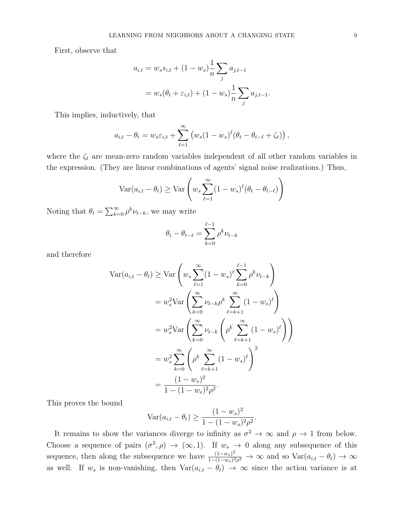First, observe that

$$
a_{i,t} = w_s s_{i,t} + (1 - w_s) \frac{1}{n} \sum_j a_{j,t-1}
$$
  
=  $w_s(\theta_t + \varepsilon_{i,t}) + (1 - w_s) \frac{1}{n} \sum_j a_{j,t-1}.$ 

This implies, inductively, that

$$
a_{i,t} - \theta_t = w_s \varepsilon_{i,t} + \sum_{\ell=1}^{\infty} \left( w_s (1 - w_s)^{\ell} (\theta_t - \theta_{t-\ell} + \zeta_t) \right),
$$

where the  $\zeta_t$  are mean-zero random variables independent of all other random variables in the expression. (They are linear combinations of agents' signal noise realizations.) Thus,

$$
\text{Var}(a_{i,t} - \theta_t) \ge \text{Var}\left(w_s \sum_{\ell=1}^{\infty} (1 - w_s)^{\ell} (\theta_t - \theta_{t-\ell})\right)
$$

Noting that  $\theta_t = \sum_{k=0}^{\infty} \rho^k \nu_{t-k}$ , we may write

$$
\theta_t - \theta_{t-\ell} = \sum_{k=0}^{\ell-1} \rho^k \nu_{t-k}
$$

and therefore

$$
\begin{split} \text{Var}(a_{i,t} - \theta_t) &\geq \text{Var}\left(w_s \sum_{\ell=1}^{\infty} (1 - w_s)^{\ell} \sum_{k=0}^{\ell-1} \rho^k \nu_{t-k}\right) \\ &= w_s^2 \text{Var}\left(\sum_{k=0}^{\infty} \nu_{t-k} \rho^k \sum_{\ell=k+1}^{\infty} (1 - w_s)^{\ell}\right) \\ &= w_s^2 \text{Var}\left(\sum_{k=0}^{\infty} \nu_{t-k} \left(\rho^k \sum_{\ell=k+1}^{\infty} (1 - w_s)^{\ell}\right)\right) \\ &= w_s^2 \sum_{k=0}^{\infty} \left(\rho^k \sum_{\ell=k+1}^{\infty} (1 - w_s)^{\ell}\right)^2 \\ &= \frac{(1 - w_s)^2}{1 - (1 - w_s)^2 \rho^2}. \end{split}
$$

This proves the bound

$$
\text{Var}(a_{i,t} - \theta_t) \ge \frac{(1 - w_s)^2}{1 - (1 - w_s)^2 \rho^2}.
$$

It remains to show the variances diverge to infinity as  $\sigma^2 \to \infty$  and  $\rho \to 1$  from below. Choose a sequence of pairs  $(\sigma^2, \rho) \to (\infty, 1)$ . If  $w_s \to 0$  along any subsequence of this sequence, then along the subsequence we have  $\frac{(1-w_s)^2}{1-(1-w_s)^2}$  $\frac{(1-w_s)^2}{1-(1-w_s)^2\rho^2} \to \infty$  and so  $\text{Var}(a_{i,t} - \theta_t) \to \infty$ as well. If  $w_s$  is non-vanishing, then  $Var(a_{i,t} - \theta_t) \to \infty$  since the action variance is at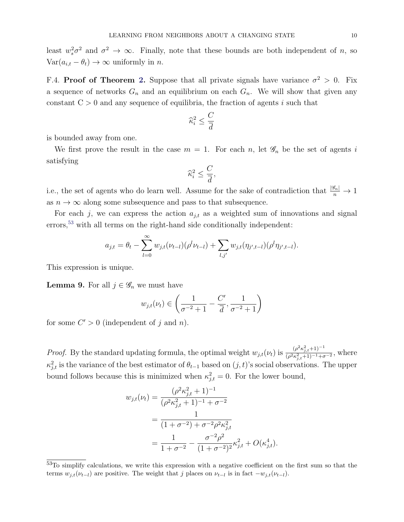least  $w_s^2 \sigma^2$  and  $\sigma^2 \to \infty$ . Finally, note that these bounds are both independent of n, so  $Var(a_{i,t} - \theta_t) \rightarrow \infty$  uniformly in *n*.

F.4. Proof of Theorem [2.](#page-21-0) Suppose that all private signals have variance  $\sigma^2 > 0$ . Fix a sequence of networks  $G_n$  and an equilibrium on each  $G_n$ . We will show that given any constant  $C > 0$  and any sequence of equilibria, the fraction of agents i such that

$$
\widehat{\kappa}_{i}^{2}\leq\frac{C}{\overline{d}}
$$

is bounded away from one.

We first prove the result in the case  $m = 1$ . For each n, let  $\mathscr{G}_n$  be the set of agents i satisfying

$$
\widehat{\kappa}_{i}^{2}\leq\frac{C}{\overline{d}},
$$

i.e., the set of agents who do learn well. Assume for the sake of contradiction that  $\frac{|\mathscr{G}_n|}{n} \to 1$ as  $n \to \infty$  along some subsequence and pass to that subsequence.

For each j, we can express the action  $a_{j,t}$  as a weighted sum of innovations and signal errors,<sup>[53](#page-61-0)</sup> with all terms on the right-hand side conditionally independent:

$$
a_{j,t} = \theta_t - \sum_{l=0}^{\infty} w_{j,t}(\nu_{t-l})(\rho^l \nu_{t-l}) + \sum_{l,j'} w_{j,t}(\eta_{j',t-l})(\rho^l \eta_{j',t-l}).
$$

This expression is unique.

<span id="page-61-1"></span>**Lemma 9.** For all  $j \in \mathscr{G}_n$  we must have

$$
w_{j,t}(\nu_t) \in \left(\frac{1}{\sigma^{-2}+1} - \frac{C'}{\overline{d}}, \frac{1}{\sigma^{-2}+1}\right)
$$

for some  $C' > 0$  (independent of j and n).

*Proof.* By the standard updating formula, the optimal weight  $w_{j,t}(\nu_t)$  is  $\frac{(\rho^2 \kappa_{j,t+1}^2)^{-1}}{(\rho^2 \kappa_{j,t+1}^2)^{-1} + \rho^2}$  $\frac{(\rho \kappa_{j,t}+1)}{(\rho^2 \kappa_{j,t}^2+1)^{-1}+\sigma^{-2}}$ , where  $\kappa_{j,t}^2$  is the variance of the best estimator of  $\theta_{t-1}$  based on  $(j,t)$ 's social observations. The upper bound follows because this is minimized when  $\kappa_{j,t}^2 = 0$ . For the lower bound,

$$
w_{j,t}(\nu_t) = \frac{(\rho^2 \kappa_{j,t}^2 + 1)^{-1}}{(\rho^2 \kappa_{j,t}^2 + 1)^{-1} + \sigma^{-2}}
$$
  
= 
$$
\frac{1}{(1 + \sigma^{-2}) + \sigma^{-2} \rho^2 \kappa_{j,t}^2}
$$
  
= 
$$
\frac{1}{1 + \sigma^{-2}} - \frac{\sigma^{-2} \rho^2}{(1 + \sigma^{-2})^2} \kappa_{j,t}^2 + O(\kappa_{j,t}^4).
$$

<span id="page-61-0"></span><sup>53</sup>To simplify calculations, we write this expression with a negative coefficient on the first sum so that the terms  $w_{j,t}(\nu_{t-l})$  are positive. The weight that j places on  $\nu_{t-l}$  is in fact  $-w_{j,t}(\nu_{t-l})$ .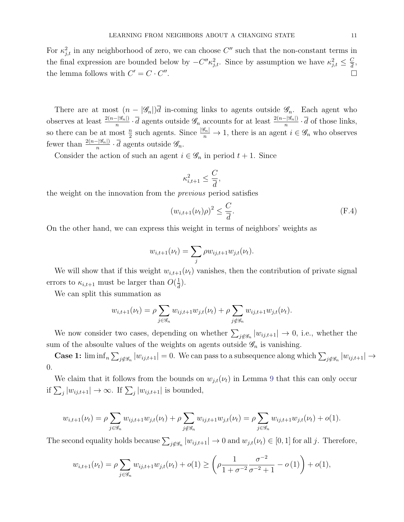For  $\kappa_{j,t}^2$  in any neighborhood of zero, we can choose C'' such that the non-constant terms in the final expression are bounded below by  $-C''\kappa_{j,t}^2$ . Since by assumption we have  $\kappa_{j,t}^2 \leq \frac{C}{d}$  $\frac{C}{\overline{d}},$ the lemma follows with  $C' = C \cdot C''$ . В последните поставите на селото на селото на селото на селото на селото на селото на селото на селото на се<br>Селото на селото на селото на селото на селото на селото на селото на селото на селото на селото на селото на

There are at most  $(n - |\mathscr{G}_n|)$  in-coming links to agents outside  $\mathscr{G}_n$ . Each agent who observes at least  $\frac{2(n-|\mathcal{G}_n|)}{n} \cdot \overline{d}$  agents outside  $\mathcal{G}_n$  accounts for at least  $\frac{2(n-|\mathcal{G}_n|)}{n} \cdot \overline{d}$  of those links, so there can be at most  $\frac{n}{2}$  such agents. Since  $\frac{|\mathscr{G}_n|}{n} \to 1$ , there is an agent  $i \in \mathscr{G}_n$  who observes fewer than  $\frac{2(n-|\mathscr{G}_n|)}{n} \cdot \overline{d}$  agents outside  $\mathscr{G}_n$ .

Consider the action of such an agent  $i \in \mathscr{G}_n$  in period  $t + 1$ . Since

$$
\kappa_{i,t+1}^2 \le \frac{C}{\overline{d}},
$$

the weight on the innovation from the previous period satisfies

<span id="page-62-0"></span>
$$
(w_{i,t+1}(\nu_t)\rho)^2 \le \frac{C}{\overline{d}}.\tag{F.4}
$$

On the other hand, we can express this weight in terms of neighbors' weights as

$$
w_{i,t+1}(\nu_t) = \sum_j \rho w_{ij,t+1} w_{j,t}(\nu_t).
$$

We will show that if this weight  $w_{i,t+1}(\nu_t)$  vanishes, then the contribution of private signal errors to  $\kappa_{i,t+1}$  must be larger than  $O(\frac{1}{d})$  $\frac{1}{d}$ .

We can split this summation as

$$
w_{i,t+1}(\nu_t) = \rho \sum_{j \in \mathcal{G}_n} w_{ij,t+1} w_{j,t}(\nu_t) + \rho \sum_{j \notin \mathcal{G}_n} w_{ij,t+1} w_{j,t}(\nu_t).
$$

We now consider two cases, depending on whether  $\sum_{j \notin \mathscr{G}_n} |w_{ij,t+1}| \to 0$ , i.e., whether the sum of the absoulte values of the weights on agents outside  $\mathscr{G}_n$  is vanishing.

**Case 1:**  $\liminf_n \sum_{j \notin \mathscr{G}_n} |w_{ij,t+1}| = 0$ . We can pass to a subsequence along which  $\sum_{j \notin \mathscr{G}_n} |w_{ij,t+1}| \to$ 0.

We claim that it follows from the bounds on  $w_{j,t}(\nu_t)$  in Lemma [9](#page-61-1) that this can only occur if  $\sum_j |w_{ij,t+1}| \to \infty$ . If  $\sum_j |w_{ij,t+1}|$  is bounded,

$$
w_{i,t+1}(\nu_t) = \rho \sum_{j \in \mathcal{G}_n} w_{ij,t+1} w_{j,t}(\nu_t) + \rho \sum_{j \notin \mathcal{G}_n} w_{ij,t+1} w_{j,t}(\nu_t) = \rho \sum_{j \in \mathcal{G}_n} w_{ij,t+1} w_{j,t}(\nu_t) + o(1).
$$

The second equality holds because  $\sum_{j \notin \mathscr{G}_n} |w_{ij,t+1}| \to 0$  and  $w_{j,t}(\nu_t) \in [0,1]$  for all j. Therefore,

$$
w_{i,t+1}(\nu_t) = \rho \sum_{j \in \mathcal{G}_n} w_{ij,t+1} w_{j,t}(\nu_t) + o(1) \ge \left(\rho \frac{1}{1 + \sigma^{-2}} \frac{\sigma^{-2}}{\sigma^{-2} + 1} - o(1)\right) + o(1),
$$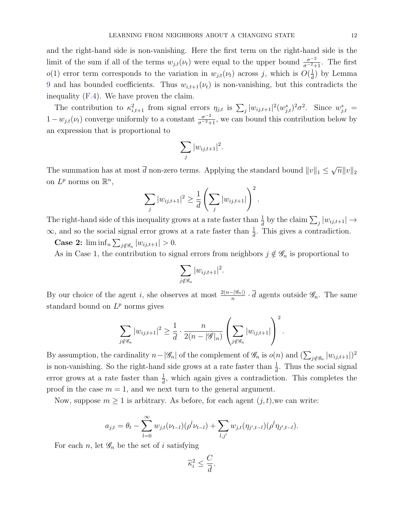and the right-hand side is non-vanishing. Here the first term on the right-hand side is the limit of the sum if all of the terms  $w_{j,t}(\nu_t)$  were equal to the upper bound  $\frac{\sigma^{-2}}{\sigma^{-2}+1}$ . The first  $o(1)$  error term corresponds to the variation in  $w_{j,t}(\nu_t)$  across j, which is  $O(\frac{1}{d})$  $\frac{1}{d}$ ) by Lemma [9](#page-61-1) and has bounded coefficients. Thus  $w_{i,t+1}(\nu_t)$  is non-vanishing, but this contradicts the inequality [\(F.4\)](#page-62-0). We have proven the claim.

The contribution to  $\kappa_{i,t+1}^2$  from signal errors  $\eta_{j,t}$  is  $\sum_j |w_{ij,t+1}|^2 (w_{j,t}^s)^2 \sigma^2$ . Since  $w_{j,t}^s =$  $1-w_{j,t}(\nu_t)$  converge uniformly to a constant  $\frac{\sigma^{-2}}{\sigma^{-2}+1}$ , we can bound this contribution below by an expression that is proportional to

$$
\sum_j |w_{ij,t+1}|^2.
$$

The summation has at most d non-zero terms. Applying the standard bound  $||v||_1 \le$ √  $\overline{n} \|v\|_2$ on  $L^p$  norms on  $\mathbb{R}^n$ ,

$$
\sum_{j} |w_{ij,t+1}|^2 \ge \frac{1}{d} \left( \sum_{j} |w_{ij,t+1}| \right)^2.
$$

The right-hand side of this inequality grows at a rate faster than  $\frac{1}{d}$  by the claim  $\sum_j |w_{ij,t+1}| \to$  $\infty$ , and so the social signal error grows at a rate faster than  $\frac{1}{d}$ . This gives a contradiction.

**Case 2:**  $\liminf_{n} \sum_{j \notin \mathscr{G}_n} |w_{ij,t+1}| > 0.$ 

As in Case 1, the contribution to signal errors from neighbors  $j \notin \mathscr{G}_n$  is proportional to

$$
\sum_{j \notin \mathscr{G}_n} |w_{ij,t+1}|^2.
$$

By our choice of the agent *i*, she observes at most  $\frac{2(n-|\mathscr{G}_n|)}{n} \cdot \overline{d}$  agents outside  $\mathscr{G}_n$ . The same standard bound on  $L^p$  norms gives

$$
\sum_{j \notin \mathscr{G}_n} |w_{ij,t+1}|^2 \ge \frac{1}{d} \cdot \frac{n}{2(n-|\mathscr{G}|_n)} \left( \sum_{j \notin \mathscr{G}_n} |w_{ij,t+1}| \right)^2.
$$

By assumption, the cardinality  $n-|\mathscr{G}_n|$  of the complement of  $\mathscr{G}_n$  is  $o(n)$  and  $(\sum_{j \notin \mathscr{G}_n} |w_{ij,t+1}|)^2$ is non-vanishing. So the right-hand side grows at a rate faster than  $\frac{1}{d}$ . Thus the social signal error grows at a rate faster than  $\frac{1}{d}$ , which again gives a contradiction. This completes the proof in the case  $m = 1$ , and we next turn to the general argument.

Now, suppose  $m \geq 1$  is arbitrary. As before, for each agent  $(j, t)$ , we can write:

$$
a_{j,t} = \theta_t - \sum_{l=0}^{\infty} w_{j,t}(\nu_{t-l})(\rho^l \nu_{t-l}) + \sum_{l,j'} w_{j,t}(\eta_{j',t-l})(\rho^l \eta_{j',t-l}).
$$

For each n, let  $\mathscr{G}_n$  be the set of i satisfying

$$
\widehat{\kappa}_{i}^{2} \leq \frac{C}{\overline{d}}.
$$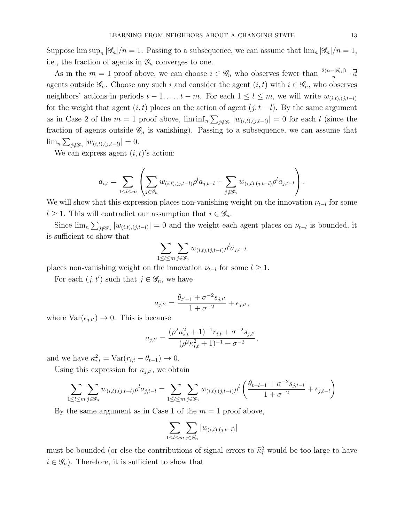Suppose  $\limsup_n |\mathscr{G}_n|/n = 1$ . Passing to a subsequence, we can assume that  $\lim_n |\mathscr{G}_n|/n = 1$ , i.e., the fraction of agents in  $\mathscr{G}_n$  converges to one.

As in the  $m=1$  proof above, we can choose  $i \in \mathscr{G}_n$  who observes fewer than  $\frac{2(n-|\mathscr{G}_n|)}{n} \cdot \overline{d}$ agents outside  $\mathscr{G}_n$ . Choose any such i and consider the agent  $(i, t)$  with  $i \in \mathscr{G}_n$ , who observes neighbors' actions in periods  $t - 1, \ldots, t - m$ . For each  $1 \leq l \leq m$ , we will write  $w_{(i,t),(j,t-l)}$ for the weight that agent  $(i, t)$  places on the action of agent  $(j, t - l)$ . By the same argument as in Case 2 of the  $m=1$  proof above,  $\liminf_{n\sum_{j\notin\mathscr{G}_n}|w_{(i,t),(j,t-l)}|=0$  for each l (since the fraction of agents outside  $\mathscr{G}_n$  is vanishing). Passing to a subsequence, we can assume that  $\lim_{n \sum_{j \notin \mathscr{G}_n} |w_{(i,t),(j,t-l)}| = 0.$ 

We can express agent  $(i, t)$ 's action:

$$
a_{i,t} = \sum_{1 \leq l \leq m} \left( \sum_{j \in \mathcal{G}_n} w_{(i,t),(j,t-l)} \rho^l a_{j,t-l} + \sum_{j \notin \mathcal{G}_n} w_{(i,t),(j,t-l)} \rho^l a_{j,t-l} \right).
$$

We will show that this expression places non-vanishing weight on the innovation  $\nu_{t-l}$  for some  $l \geq 1$ . This will contradict our assumption that  $i \in \mathscr{G}_n$ .

Since  $\lim_{n\to\infty} \sum_{j\notin\mathscr{G}_n} |w_{(i,t),(j,t-l)}| = 0$  and the weight each agent places on  $\nu_{t-l}$  is bounded, it is sufficient to show that

$$
\sum_{1 \leq l \leq m} \sum_{j \in \mathscr{G}_n} w_{(i,t),(j,t-l)} \rho^l a_{j,t-l}
$$

places non-vanishing weight on the innovation  $\nu_{t-l}$  for some  $l \geq 1$ .

For each  $(j, t')$  such that  $j \in \mathscr{G}_n$ , we have

$$
a_{j,t'} = \frac{\theta_{t'-1} + \sigma^{-2} s_{j,t'}}{1 + \sigma^{-2}} + \epsilon_{j,t'},
$$

where  $Var(\epsilon_{j,t'}) \rightarrow 0$ . This is because

$$
a_{j,t'} = \frac{(\rho^2 \kappa_{i,t}^2 + 1)^{-1} r_{i,t} + \sigma^{-2} s_{j,t'}}{(\rho^2 \kappa_{i,t}^2 + 1)^{-1} + \sigma^{-2}},
$$

and we have  $\kappa_{i,t}^2 = \text{Var}(r_{i,t} - \theta_{t-1}) \to 0$ .

Using this expression for  $a_{j,t'}$ , we obtain

$$
\sum_{1 \leq l \leq m} \sum_{j \in \mathcal{G}_n} w_{(i,t),(j,t-l)} \rho^l a_{j,t-l} = \sum_{1 \leq l \leq m} \sum_{j \in \mathcal{G}_n} w_{(i,t),(j,t-l)} \rho^l \left( \frac{\theta_{t-l-1} + \sigma^{-2} s_{j,t-l}}{1 + \sigma^{-2}} + \epsilon_{j,t-l} \right)
$$

By the same argument as in Case 1 of the  $m = 1$  proof above,

$$
\sum_{1 \leq l \leq m} \sum_{j \in \mathcal{G}_n} |w_{(i,t),(j,t-l)}|
$$

must be bounded (or else the contributions of signal errors to  $\hat{\kappa}_i^2$  would be too large to have  $i \in \mathscr{G}_n$ . Therefore, it is sufficient to show that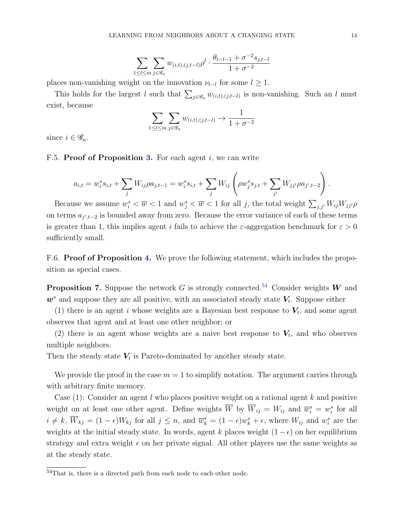$$
\sum_{1 \leq l \leq m} \sum_{j \in \mathcal{G}_n} w_{(i,t),(j,t-l)} \rho^l \cdot \frac{\theta_{t-l-1} + \sigma^{-2} s_{j,t-l}}{1 + \sigma^{-2}}
$$

places non-vanishing weight on the innovation  $\nu_{t-l}$  for some  $l \geq 1$ .

This holds for the largest l such that  $\sum_{j\in\mathscr{G}_n} w_{(i,t),(j,t-l)}$  is non-vanishing. Such an l must exist, because

$$
\sum_{1 \leq l \leq m} \sum_{j \in \mathcal{G}_n} w_{(i,t),(j,t-l)} \to \frac{1}{1 + \sigma^{-2}}
$$

since  $i \in \mathscr{G}_n$ .

F.5. Proof of Proposition [3.](#page-25-0) For each agent i, we can write

$$
a_{i,t} = w_i^s s_{i,t} + \sum_j W_{ij} \rho a_{j,t-1} = w_i^s s_{i,t} + \sum_j W_{ij} \left( \rho w_j^s s_{j,t} + \sum_{j'} W_{jj'} \rho a_{j',t-2} \right).
$$

Because we assume  $w_i^s < \overline{w} < 1$  and  $w_j^s < \overline{w} < 1$  for all j, the total weight  $\sum_{j,j'} W_{ij} W_{jj'} \rho$ on terms  $a_{j',t-2}$  is bounded away from zero. Because the error variance of each of these terms is greater than 1, this implies agent i fails to achieve the  $\varepsilon$ -aggregation benchmark for  $\varepsilon > 0$ sufficiently small.

F.6. **Proof of Proposition [4.](#page-25-1)** We prove the following statement, which includes the proposition as special cases.

**Proposition 7.** Suppose the network G is strongly connected.<sup>[54](#page-65-0)</sup> Consider weights W and  $w^s$  and suppose they are all positive, with an associated steady state  $V_t$ . Suppose either

(1) there is an agent i whose weights are a Bayesian best response to  $V_t$ , and some agent observes that agent and at least one other neighbor; or

(2) there is an agent whose weights are a naive best response to  $V_t$ , and who observes multiple neighbors.

Then the steady state  $V_t$  is Pareto-dominated by another steady state.

We provide the proof in the case  $m = 1$  to simplify notation. The argument carries through with arbitrary finite memory.

Case  $(1)$ : Consider an agent l who places positive weight on a rational agent k and positive weight on at least one other agent. Define weights  $\overline{W}$  by  $\overline{W}_{ij} = W_{ij}$  and  $\overline{w}_i^s = w_i^s$  for all  $i \neq k$ ,  $\overline{W}_{kj} = (1 - \epsilon)W_{kj}$  for all  $j \leq n$ , and  $\overline{w}_k^s = (1 - \epsilon)w_k^s + \epsilon$ , where  $W_{ij}$  and  $w_i^s$  are the weights at the initial steady state. In words, agent k places weight  $(1 - \epsilon)$  on her equilibrium strategy and extra weight  $\epsilon$  on her private signal. All other players use the same weights as at the steady state.

<span id="page-65-0"></span> $\frac{54}{100}$  That is, there is a directed path from each node to each other node.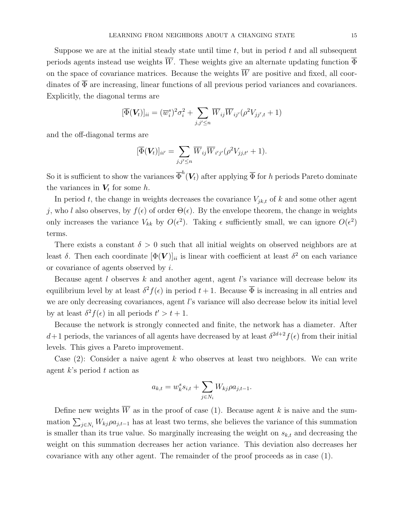Suppose we are at the initial steady state until time  $t$ , but in period  $t$  and all subsequent periods agents instead use weights  $\overline{W}$ . These weights give an alternate updating function  $\overline{\Phi}$ on the space of covariance matrices. Because the weights  $\overline{W}$  are positive and fixed, all coordinates of  $\overline{\Phi}$  are increasing, linear functions of all previous period variances and covariances. Explicitly, the diagonal terms are

$$
[\overline{\Phi}(\boldsymbol{V}_{t})]_{ii} = (\overline{w}_{i}^{s})^{2} \sigma_{i}^{2} + \sum_{j,j' \leq n} \overline{W}_{ij} \overline{W}_{ij'} (\rho^{2} V_{jj',t} + 1)
$$

and the off-diagonal terms are

$$
[\overline{\Phi}(\boldsymbol{V}_t)]_{ii'} = \sum_{j,j' \leq n} \overline{W}_{ij} \overline{W}_{i'j'} (\rho^2 V_{jj,t'} + 1).
$$

So it is sufficient to show the variances  $\overline{\Phi}^h(\bm{V}_t)$  after applying  $\overline{\Phi}$  for h periods Pareto dominate the variances in  $V_t$  for some h.

In period t, the change in weights decreases the covariance  $V_{jk,t}$  of k and some other agent j, who l also observes, by  $f(\epsilon)$  of order  $\Theta(\epsilon)$ . By the envelope theorem, the change in weights only increases the variance  $V_{kk}$  by  $O(\epsilon^2)$ . Taking  $\epsilon$  sufficiently small, we can ignore  $O(\epsilon^2)$ terms.

There exists a constant  $\delta > 0$  such that all initial weights on observed neighbors are at least  $\delta$ . Then each coordinate  $[\Phi(\bm{V})]_{ii}$  is linear with coefficient at least  $\delta^2$  on each variance or covariance of agents observed by i.

Because agent  $l$  observes  $k$  and another agent, agent  $l$ 's variance will decrease below its equilibrium level by at least  $\delta^2 f(\epsilon)$  in period  $t+1$ . Because  $\overline{\Phi}$  is increasing in all entries and we are only decreasing covariances, agent l's variance will also decrease below its initial level by at least  $\delta^2 f(\epsilon)$  in all periods  $t' > t + 1$ .

Because the network is strongly connected and finite, the network has a diameter. After  $d+1$  periods, the variances of all agents have decreased by at least  $\delta^{2d+2} f(\epsilon)$  from their initial levels. This gives a Pareto improvement.

Case  $(2)$ : Consider a naive agent k who observes at least two neighbors. We can write agent  $k$ 's period  $t$  action as

$$
a_{k,t} = w_k^s s_{i,t} + \sum_{j \in N_i} W_{kj} \rho a_{j,t-1}.
$$

Define new weights  $\overline{W}$  as in the proof of case (1). Because agent k is naive and the summation  $\sum_{j\in N_i} W_{kj}\rho a_{j,t-1}$  has at least two terms, she believes the variance of this summation is smaller than its true value. So marginally increasing the weight on  $s_{k,t}$  and decreasing the weight on this summation decreases her action variance. This deviation also decreases her covariance with any other agent. The remainder of the proof proceeds as in case (1).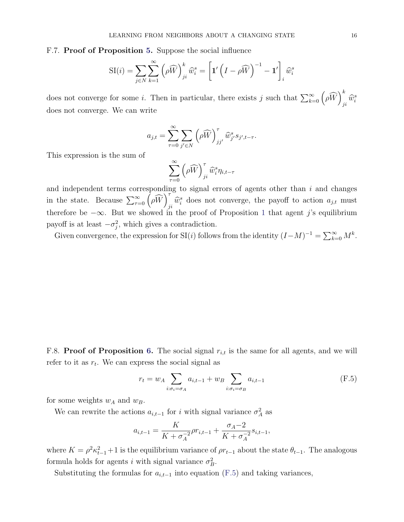## F.7. Proof of Proposition [5.](#page-27-0) Suppose the social influence

$$
SI(i) = \sum_{j \in N} \sum_{k=1}^{\infty} \left( \rho \widehat{W} \right)_{ji}^{k} \widehat{w}_{i}^{s} = \left[ \mathbf{1}' \left( I - \rho \widehat{W} \right)^{-1} - \mathbf{1}' \right]_{i} \widehat{w}_{i}^{s}
$$

does not converge for some *i*. Then in particular, there exists *j* such that  $\sum_{k=0}^{\infty} (\rho \widehat{W})_j^k$  $\widehat{w}_i^s$ does not converge. We can write

$$
a_{j,t} = \sum_{\tau=0}^{\infty} \sum_{j' \in N} \left( \rho \widehat{W} \right)_{jj'}^{\tau} \widehat{w}_{j'}^{s} s_{j',t-\tau}.
$$

This expression is the sum of

$$
\sum_{\tau=0}^{\infty} \left( \rho \widehat{W} \right)_{ji}^{\tau} \widehat{w}_{i}^{s} \eta_{i,t-\tau}
$$

and independent terms corresponding to signal errors of agents other than  $i$  and changes in the state. Because  $\sum_{\tau=0}^{\infty} \left( \rho \widehat{W} \right)^{\tau}_{i}$  $\hat{w}_i^s$  does not converge, the payoff to action  $a_{j,t}$  must therefore be  $-\infty$ . But we showed in the proof of Proposition [1](#page-11-0) that agent j's equilibrium payoff is at least  $-\sigma_j^2$ , which gives a contradiction.

Given convergence, the expression for SI(i) follows from the identity  $(I-M)^{-1} = \sum_{k=0}^{\infty} M^k$ .

F.8. Proof of Proposition [6.](#page-28-0) The social signal  $r_{i,t}$  is the same for all agents, and we will refer to it as  $r_t$ . We can express the social signal as

<span id="page-67-0"></span>
$$
r_t = w_A \sum_{i:\sigma_i = \sigma_A} a_{i,t-1} + w_B \sum_{i:\sigma_i = \sigma_B} a_{i,t-1}
$$
 (F.5)

for some weights  $w_{A}$  and  $w_{B}.$ 

We can rewrite the actions  $a_{i,t-1}$  for i with signal variance  $\sigma_A^2$  as

$$
a_{i,t-1} = \frac{K}{K + \sigma_A^{-2}} \rho r_{i,t-1} + \frac{\sigma_A - 2}{K + \sigma_A^{-2}} s_{i,t-1},
$$

where  $K = \rho^2 \kappa_{t-1}^2 + 1$  is the equilibrium variance of  $\rho r_{t-1}$  about the state  $\theta_{t-1}$ . The analogous formula holds for agents *i* with signal variance  $\sigma_B^2$ .

Substituting the formulas for  $a_{i,t-1}$  into equation [\(F.5\)](#page-67-0) and taking variances,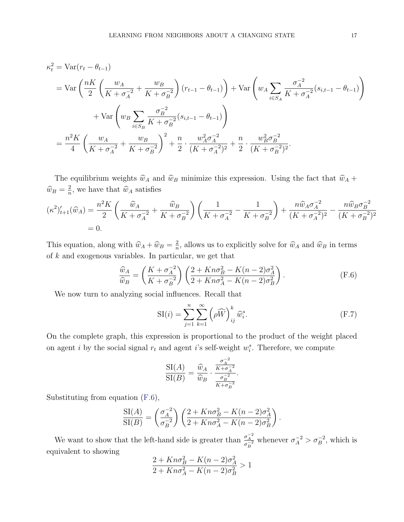$$
\kappa_t^2 = \text{Var}(r_t - \theta_{t-1})
$$
  
= 
$$
\text{Var}\left(\frac{nK}{2}\left(\frac{w_A}{K + \sigma_A^{-2}} + \frac{w_B}{K + \sigma_B^{-2}}\right)(r_{t-1} - \theta_{t-1})\right) + \text{Var}\left(w_A \sum_{i \in S_A} \frac{\sigma_A^{-2}}{K + \sigma_A^{-2}}(s_{i,t-1} - \theta_{t-1})\right)
$$
  
+ 
$$
\text{Var}\left(w_B \sum_{i \in S_B} \frac{\sigma_B^{-2}}{K + \sigma_B^{-2}}(s_{i,t-1} - \theta_{t-1})\right)
$$
  
= 
$$
\frac{n^2 K}{4}\left(\frac{w_A}{K + \sigma_A^{-2}} + \frac{w_B}{K + \sigma_B^{-2}}\right)^2 + \frac{n}{2} \cdot \frac{w_A^2 \sigma_A^{-2}}{(K + \sigma_A^{-2})^2} + \frac{n}{2} \cdot \frac{w_B^2 \sigma_B^{-2}}{(K + \sigma_B^{-2})^2}.
$$

The equilibrium weights  $\hat{w}_A$  and  $\hat{w}_B$  minimize this expression. Using the fact that  $\hat{w}_A$  +  $\widehat{w}_B = \frac{2}{n}$  $\frac{2}{n}$ , we have that  $\widehat{w}_A$  satisfies

$$
(\kappa^2)'_{t+1}(\widehat{w}_A) = \frac{n^2 K}{2} \left( \frac{\widehat{w}_A}{K + \sigma_A^{-2}} + \frac{\widehat{w}_B}{K + \sigma_B^{-2}} \right) \left( \frac{1}{K + \sigma_A^{-2}} - \frac{1}{K + \sigma_B^{-2}} \right) + \frac{n \widehat{w}_A \sigma_A^{-2}}{(K + \sigma_A^{-2})^2} - \frac{n \widehat{w}_B \sigma_B^{-2}}{(K + \sigma_B^{-2})^2}
$$
  
= 0.

This equation, along with  $\widehat{w}_A + \widehat{w}_B = \frac{2}{n}$  $\frac{2}{n}$ , allows us to explicitly solve for  $\widehat{w}_A$  and  $\widehat{w}_B$  in terms of k and exogenous variables. In particular, we get that

<span id="page-68-0"></span>
$$
\frac{\widehat{w}_A}{\widehat{w}_B} = \left(\frac{K + \sigma_A^{-2}}{K + \sigma_B^{-2}}\right) \left(\frac{2 + Kn\sigma_B^2 - K(n-2)\sigma_A^2}{2 + Kn\sigma_A^2 - K(n-2)\sigma_B^2}\right). \tag{F.6}
$$

We now turn to analyzing social influences. Recall that

$$
SI(i) = \sum_{j=1}^{n} \sum_{k=1}^{\infty} \left(\rho \widehat{W}\right)_{ij}^{k} \widehat{w}_{i}^{s}.
$$
 (F.7)

On the complete graph, this expression is proportional to the product of the weight placed on agent i by the social signal  $r_t$  and agent i's self-weight  $w_i^s$ . Therefore, we compute

$$
\frac{\operatorname{SI}(A)}{\operatorname{SI}(B)} = \frac{\widehat{w}_A}{\widehat{w}_B} \cdot \frac{\frac{\sigma_A^{-2}}{K + \sigma_A^{-2}}}{\frac{\sigma_B^{-2}}{K + \sigma_B^{-2}}}.
$$

Substituting from equation [\(F.6\)](#page-68-0),

$$
\frac{\operatorname{SI}(A)}{\operatorname{SI}(B)} = \left(\frac{\sigma_A^{-2}}{\sigma_B^{-2}}\right) \left(\frac{2 + Kn\sigma_B^2 - K(n-2)\sigma_A^2}{2 + Kn\sigma_A^2 - K(n-2)\sigma_B^2}\right).
$$

We want to show that the left-hand side is greater than  $\frac{\sigma_A^{-2}}{\sigma_B^{-2}}$  whenever  $\sigma_A^{-2} > \sigma_B^{-2}$ , which is equivalent to showing

$$
\frac{2 + Kn\sigma_B^2 - K(n-2)\sigma_A^2}{2 + Kn\sigma_A^2 - K(n-2)\sigma_B^2} > 1
$$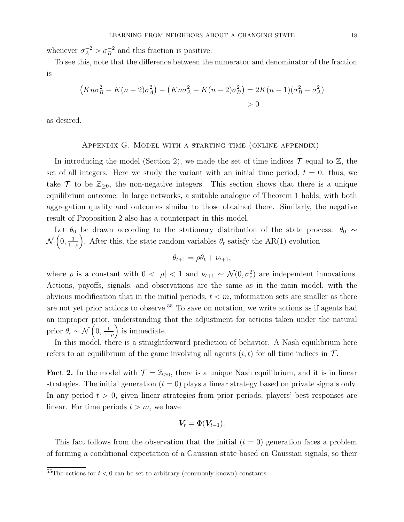whenever  $\sigma_A^{-2} > \sigma_B^{-2}$  and this fraction is positive.

To see this, note that the difference between the numerator and denominator of the fraction is

$$
(Kn\sigma_B^2 - K(n-2)\sigma_A^2) - (Kn\sigma_A^2 - K(n-2)\sigma_B^2) = 2K(n-1)(\sigma_B^2 - \sigma_A^2) > 0
$$

as desired.

### Appendix G. Model with a starting time (online appendix)

In introducing the model (Section [2\)](#page-6-0), we made the set of time indices  $\mathcal T$  equal to  $\mathbb Z$ , the set of all integers. Here we study the variant with an initial time period,  $t = 0$ : thus, we take  $\mathcal T$  to be  $\mathbb{Z}_{\geq 0}$ , the non-negative integers. This section shows that there is a unique equilibrium outcome. In large networks, a suitable analogue of Theorem 1 holds, with both aggregation quality and outcomes similar to those obtained there. Similarly, the negative result of Proposition 2 also has a counterpart in this model.

Let  $\theta_0$  be drawn according to the stationary distribution of the state process:  $\theta_0 \sim$  $\mathcal{N}\left(0,\frac{1}{1-\right)$  $\frac{1}{1-\rho}$ . After this, the state random variables  $\theta_t$  satisfy the AR(1) evolution

$$
\theta_{t+1} = \rho \theta_t + \nu_{t+1},
$$

where  $\rho$  is a constant with  $0 < |\rho| < 1$  and  $\nu_{t+1} \sim \mathcal{N}(0, \sigma_{\nu}^2)$  are independent innovations. Actions, payoffs, signals, and observations are the same as in the main model, with the obvious modification that in the initial periods,  $t < m$ , information sets are smaller as there are not yet prior actions to observe.<sup>[55](#page-69-0)</sup> To save on notation, we write actions as if agents had an improper prior, understanding that the adjustment for actions taken under the natural prior  $\theta_t \sim \mathcal{N}\left(0, \frac{1}{1-\epsilon}\right)$  $\frac{1}{1-\rho}$  is immediate.

In this model, there is a straightforward prediction of behavior. A Nash equilibrium here refers to an equilibrium of the game involving all agents  $(i, t)$  for all time indices in  $\mathcal{T}$ .

**Fact 2.** In the model with  $\mathcal{T} = \mathbb{Z}_{\geq 0}$ , there is a unique Nash equilibrium, and it is in linear strategies. The initial generation  $(t = 0)$  plays a linear strategy based on private signals only. In any period  $t > 0$ , given linear strategies from prior periods, players' best responses are linear. For time periods  $t > m$ , we have

$$
\boldsymbol{V_t} = \Phi(\boldsymbol{V_{t-1}}).
$$

This fact follows from the observation that the initial  $(t = 0)$  generation faces a problem of forming a conditional expectation of a Gaussian state based on Gaussian signals, so their

<span id="page-69-0"></span> $55$ The actions for  $t < 0$  can be set to arbitrary (commonly known) constants.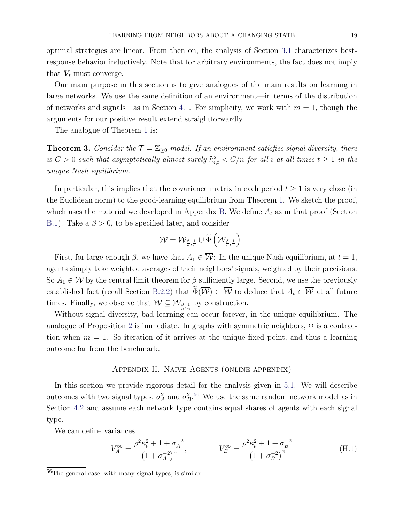optimal strategies are linear. From then on, the analysis of Section [3.1](#page-8-0) characterizes bestresponse behavior inductively. Note that for arbitrary environments, the fact does not imply that  $V_t$  must converge.

Our main purpose in this section is to give analogues of the main results on learning in large networks. We use the same definition of an environment—in terms of the distribution of networks and signals—as in Section [4.1.](#page-14-0) For simplicity, we work with  $m = 1$ , though the arguments for our positive result extend straightforwardly.

The analogue of Theorem [1](#page-16-0) is:

**Theorem 3.** Consider the  $\mathcal{T} = \mathbb{Z}_{\geq 0}$  model. If an environment satisfies signal diversity, there is  $C > 0$  such that asymptotically almost surely  $\hat{\kappa}^2_{i,t} < C/n$  for all i at all times  $t \ge 1$  in the unique Nash equilibrium.

In particular, this implies that the covariance matrix in each period  $t \geq 1$  is very close (in the Euclidean norm) to the good-learning equilibrium from Theorem [1.](#page-16-0) We sketch the proof, which uses the material we developed in Appendix [B.](#page-38-3) We define  $A_t$  as in that proof (Section [B.1\)](#page-38-2). Take a  $\beta > 0$ , to be specified later, and consider

$$
\overline{\mathcal{W}} = \mathcal{W}_{\frac{\beta}{n},\frac{1}{n}} \cup \widetilde{\Phi}\left(\mathcal{W}_{\frac{\beta}{n},\frac{1}{n}}\right).
$$

First, for large enough  $\beta$ , we have that  $A_1 \in \overline{\mathcal{W}}$ : In the unique Nash equilibrium, at  $t = 1$ , agents simply take weighted averages of their neighbors' signals, weighted by their precisions. So  $A_1 \in \overline{\mathcal{W}}$  by the central limit theorem for  $\beta$  sufficiently large. Second, we use the previously established fact (recall Section [B.2.2\)](#page-39-1) that  $\widetilde{\Phi}(\overline{\mathcal{W}}) \subset \overline{\mathcal{W}}$  to deduce that  $A_t \in \overline{\mathcal{W}}$  at all future times. Finally, we observe that  $\overline{\mathcal{W}} \subseteq \mathcal{W}_{\frac{\beta}{n},\frac{1}{n}}$  by construction.

Without signal diversity, bad learning can occur forever, in the unique equilibrium. The analogue of Proposition [2](#page-19-0) is immediate. In graphs with symmetric neighbors,  $\Phi$  is a contraction when  $m = 1$ . So iteration of it arrives at the unique fixed point, and thus a learning outcome far from the benchmark.

# Appendix H. Naive Agents (online appendix)

In this section we provide rigorous detail for the analysis given in [5.1.](#page-23-0) We will describe outcomes with two signal types,  $\sigma_A^2$  and  $\sigma_B^2$ .<sup>[56](#page-70-0)</sup> We use the same random network model as in Section [4.2](#page-15-0) and assume each network type contains equal shares of agents with each signal type.

We can define variances

$$
V_A^{\infty} = \frac{\rho^2 \kappa_t^2 + 1 + \sigma_A^{-2}}{\left(1 + \sigma_A^{-2}\right)^2}, \qquad V_B^{\infty} = \frac{\rho^2 \kappa_t^2 + 1 + \sigma_B^{-2}}{\left(1 + \sigma_B^{-2}\right)^2} \tag{H.1}
$$

<span id="page-70-0"></span><sup>56</sup>The general case, with many signal types, is similar.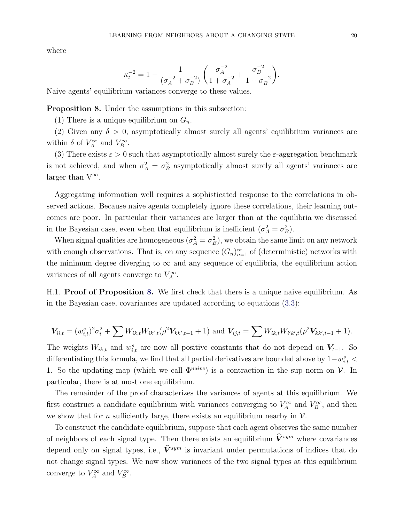where

$$
\kappa_t^{-2} = 1 - \frac{1}{(\sigma_A^{-2} + \sigma_B^{-2})} \left( \frac{\sigma_A^{-2}}{1 + \sigma_A^{-2}} + \frac{\sigma_B^{-2}}{1 + \sigma_B^{-2}} \right).
$$

Naive agents' equilibrium variances converge to these values.

<span id="page-71-0"></span>Proposition 8. Under the assumptions in this subsection:

(1) There is a unique equilibrium on  $G_n$ .

(2) Given any  $\delta > 0$ , asymptotically almost surely all agents' equilibrium variances are within  $\delta$  of  $V_A^{\infty}$  and  $V_B^{\infty}$ .

(3) There exists  $\varepsilon > 0$  such that asymptotically almost surely the  $\varepsilon$ -aggregation benchmark is not achieved, and when  $\sigma_A^2 = \sigma_B^2$  asymptotically almost surely all agents' variances are larger than  $V^{\infty}$ .

Aggregating information well requires a sophisticated response to the correlations in observed actions. Because naive agents completely ignore these correlations, their learning outcomes are poor. In particular their variances are larger than at the equilibria we discussed in the Bayesian case, even when that equilibrium is inefficient  $(\sigma_A^2 = \sigma_B^2)$ .

When signal qualities are homogeneous  $(\sigma_A^2 = \sigma_B^2)$ , we obtain the same limit on any network with enough observations. That is, on any sequence  $(G_n)_{n=1}^{\infty}$  of (deterministic) networks with the minimum degree diverging to  $\infty$  and any sequence of equilibria, the equilibrium action variances of all agents converge to  $V_A^{\infty}$ .

H.1. **Proof of Proposition [8.](#page-71-0)** We first check that there is a unique naive equilibrium. As in the Bayesian case, covariances are updated according to equations [\(3.3\)](#page-10-0):

$$
\mathbf{V}_{ii,t} = (w_{i,t}^s)^2 \sigma_i^2 + \sum W_{ik,t} W_{ik',t} (\rho^2 \mathbf{V}_{kk',t-1} + 1) \text{ and } \mathbf{V}_{ij,t} = \sum W_{ik,t} W_{i'k',t} (\rho^2 \mathbf{V}_{kk',t-1} + 1).
$$

The weights  $W_{ik,t}$  and  $w_{i,t}^s$  are now all positive constants that do not depend on  $V_{t-1}$ . So differentiating this formula, we find that all partial derivatives are bounded above by  $1-w_{i,t}^s$ 1. So the updating map (which we call  $\Phi^{naive}$ ) is a contraction in the sup norm on V. In particular, there is at most one equilibrium.

The remainder of the proof characterizes the variances of agents at this equilibrium. We first construct a candidate equilibrium with variances converging to  $V_A^{\infty}$  and  $V_B^{\infty}$ , and then we show that for *n* sufficiently large, there exists an equilibrium nearby in  $\mathcal{V}$ .

To construct the candidate equilibrium, suppose that each agent observes the same number of neighbors of each signal type. Then there exists an equilibrium  $\widehat{V}^{sym}$  where covariances depend only on signal types, i.e.,  $\hat{V}^{sym}$  is invariant under permutations of indices that do not change signal types. We now show variances of the two signal types at this equilibrium converge to  $V_A^{\infty}$  and  $V_B^{\infty}$ .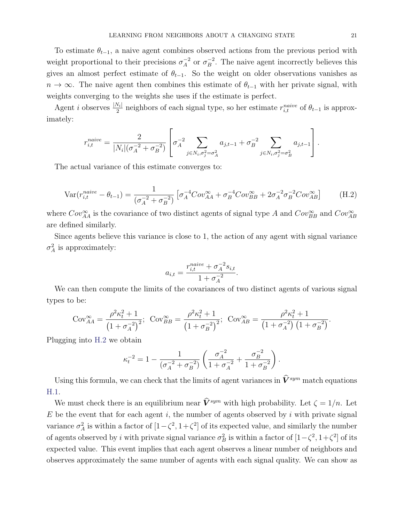To estimate  $\theta_{t-1}$ , a naive agent combines observed actions from the previous period with weight proportional to their precisions  $\sigma_A^{-2}$  $A^2$  or  $\sigma_B^{-2}$  $B^{-2}$ . The naive agent incorrectly believes this gives an almost perfect estimate of  $\theta_{t-1}$ . So the weight on older observations vanishes as  $n \to \infty$ . The naive agent then combines this estimate of  $\theta_{t-1}$  with her private signal, with weights converging to the weights she uses if the estimate is perfect.

Agent *i* observes  $\frac{|N_i|}{2}$  neighbors of each signal type, so her estimate  $r_{i,t}^{naive}$  of  $\theta_{t-1}$  is approximately:

$$
r_{i,t}^{naive} = \frac{2}{|N_i| (\sigma_A^{-2} + \sigma_B^{-2})} \left[ \sigma_A^{-2} \sum_{j \in N_i, \sigma_j^2 = \sigma_A^2} a_{j,t-1} + \sigma_B^{-2} \sum_{j \in N_i, \sigma_j^2 = \sigma_B^2} a_{j,t-1} \right].
$$

The actual variance of this estimate converges to:

<span id="page-72-0"></span>
$$
Var(r_{i,t}^{naive} - \theta_{t-1}) = \frac{1}{(\sigma_A^{-2} + \sigma_B^{-2})} \left[ \sigma_A^{-4} Cov_{AA}^{\infty} + \sigma_B^{-4} Cov_{BB}^{\infty} + 2\sigma_A^{-2} \sigma_B^{-2} Cov_{AB}^{\infty} \right]
$$
(H.2)

where  $Cov_{AA}^{\infty}$  is the covariance of two distinct agents of signal type A and  $Cov_{BB}^{\infty}$  and  $Cov_{AB}^{\infty}$ are defined similarly.

Since agents believe this variance is close to 1, the action of any agent with signal variance  $\sigma_A^2$  is approximately:

$$
a_{i,t} = \frac{r_{i,t}^{naive} + \sigma_A^{-2} s_{i,t}}{1 + \sigma_A^{-2}}.
$$

We can then compute the limits of the covariances of two distinct agents of various signal types to be:

$$
Cov_{AA}^{\infty} = \frac{\rho^2 \kappa_t^2 + 1}{\left(1 + \sigma_A^{-2}\right)^2}; \quad Cov_{BB}^{\infty} = \frac{\rho^2 \kappa_t^2 + 1}{\left(1 + \sigma_B^{-2}\right)^2}; \quad Cov_{AB}^{\infty} = \frac{\rho^2 \kappa_t^2 + 1}{\left(1 + \sigma_A^{-2}\right)\left(1 + \sigma_B^{-2}\right)}.
$$

Plugging into [H.2](#page-72-0) we obtain

$$
\kappa_t^{-2} = 1 - \frac{1}{(\sigma_A^{-2} + \sigma_B^{-2})} \left( \frac{\sigma_A^{-2}}{1 + \sigma_A^{-2}} + \frac{\sigma_B^{-2}}{1 + \sigma_B^{-2}} \right).
$$

Using this formula, we can check that the limits of agent variances in  $\widehat{V}^{sym}$  match equations [H.1.](#page-70-0)

We must check there is an equilibrium near  $\hat{V}^{sym}$  with high probability. Let  $\zeta = 1/n$ . Let  $E$  be the event that for each agent i, the number of agents observed by i with private signal variance  $\sigma_A^2$  is within a factor of  $[1-\zeta^2, 1+\zeta^2]$  of its expected value, and similarly the number of agents observed by i with private signal variance  $\sigma_B^2$  is within a factor of  $[1-\zeta^2, 1+\zeta^2]$  of its expected value. This event implies that each agent observes a linear number of neighbors and observes approximately the same number of agents with each signal quality. We can show as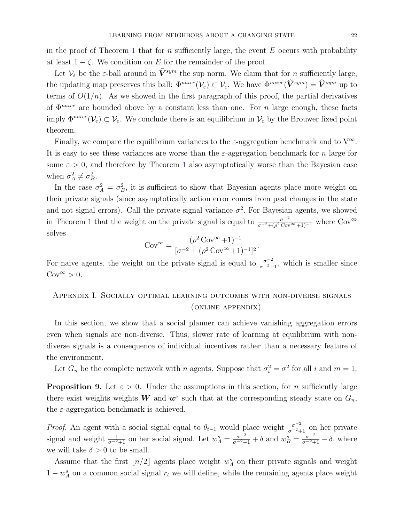in the proof of Theorem [1](#page-16-0) that for n sufficiently large, the event  $E$  occurs with probability at least  $1 - \zeta$ . We condition on E for the remainder of the proof.

Let  $\mathcal{V}_{\varepsilon}$  be the  $\varepsilon$ -ball around in  $\widehat{\mathbf{V}}^{sym}$  the sup norm. We claim that for *n* sufficiently large, the updating map preserves this ball:  $\Phi^{naive}(\mathcal{V}_{\varepsilon}) \subset \mathcal{V}_{\varepsilon}$ . We have  $\Phi^{naive}(\hat{V}^{sym}) = \hat{V}^{sym}$  up to terms of  $O(1/n)$ . As we showed in the first paragraph of this proof, the partial derivatives of  $\Phi^{naive}$  are bounded above by a constant less than one. For n large enough, these facts imply  $\Phi^{naive}(\mathcal{V}_{\varepsilon}) \subset \mathcal{V}_{\varepsilon}$ . We conclude there is an equilibrium in  $\mathcal{V}_{\varepsilon}$  by the Brouwer fixed point theorem.

Finally, we compare the equilibrium variances to the  $\varepsilon$ -aggregation benchmark and to  $V^{\infty}$ . It is easy to see these variances are worse than the  $\varepsilon$ -aggregation benchmark for n large for some  $\varepsilon > 0$ , and therefore by Theorem [1](#page-16-0) also asymptotically worse than the Bayesian case when  $\sigma_A^2 \neq \sigma_B^2$ .

In the case  $\sigma_A^2 = \sigma_B^2$ , it is sufficient to show that Bayesian agents place more weight on their private signals (since asymptotically action error comes from past changes in the state and not signal errors). Call the private signal variance  $\sigma^2$ . For Bayesian agents, we showed in Theorem [1](#page-16-0) that the weight on the private signal is equal to  $\frac{\sigma^{-2}}{\sigma^{-2}+(\rho^2 \text{Cov}^{\infty}+1)^{-1}}$  where  $\text{Cov}^{\infty}$ solves

$$
Cov^{\infty} = \frac{(\rho^2 Cov^{\infty} + 1)^{-1}}{[\sigma^{-2} + (\rho^2 Cov^{\infty} + 1)^{-1}]^2}.
$$

For naive agents, the weight on the private signal is equal to  $\frac{\sigma^{-2}}{\sigma^{-2}+1}$ , which is smaller since  $Cov^{\infty} > 0.$ 

Appendix I. Socially optimal learning outcomes with non-diverse signals (online appendix)

In this section, we show that a social planner can achieve vanishing aggregation errors even when signals are non-diverse. Thus, slower rate of learning at equilibrium with nondiverse signals is a consequence of individual incentives rather than a necessary feature of the environment.

Let  $G_n$  be the complete network with n agents. Suppose that  $\sigma_i^2 = \sigma^2$  for all i and  $m = 1$ .

**Proposition 9.** Let  $\varepsilon > 0$ . Under the assumptions in this section, for *n* sufficiently large there exist weights weights W and  $w^s$  such that at the corresponding steady state on  $G_n$ , the  $\varepsilon$ -aggregation benchmark is achieved.

*Proof.* An agent with a social signal equal to  $\theta_{t-1}$  would place weight  $\frac{\sigma^{-2}}{\sigma^{-2}+1}$  on her private signal and weight  $\frac{1}{\sigma^{-2}+1}$  on her social signal. Let  $w_A^s = \frac{\sigma^{-2}}{\sigma^{-2}+1} + \delta$  and  $w_B^s = \frac{\sigma^{-2}}{\sigma^{-2}+1} - \delta$ , where we will take  $\delta > 0$  to be small.

Assume that the first  $\lfloor n/2 \rfloor$  agents place weight  $w_A^s$  on their private signals and weight  $1 - w_A^s$  on a common social signal  $r_t$  we will define, while the remaining agents place weight